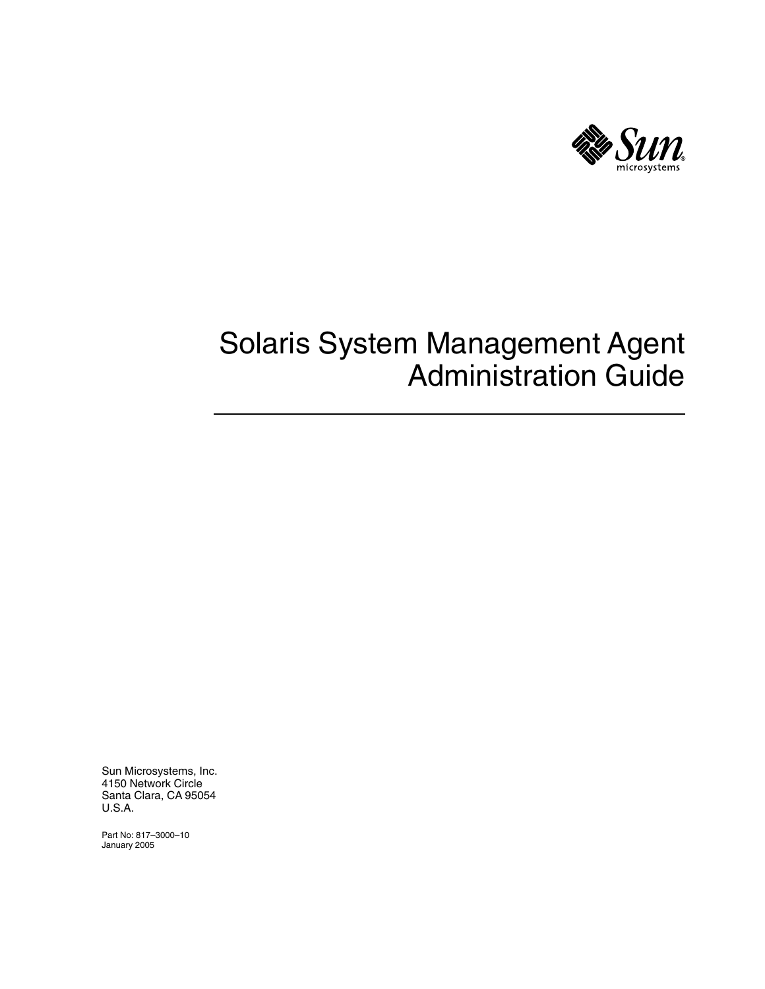

# Solaris System Management Agent Administration Guide

Sun Microsystems, Inc. 4150 Network Circle Santa Clara, CA 95054 U.S.A.

Part No: 817–3000–10 January 2005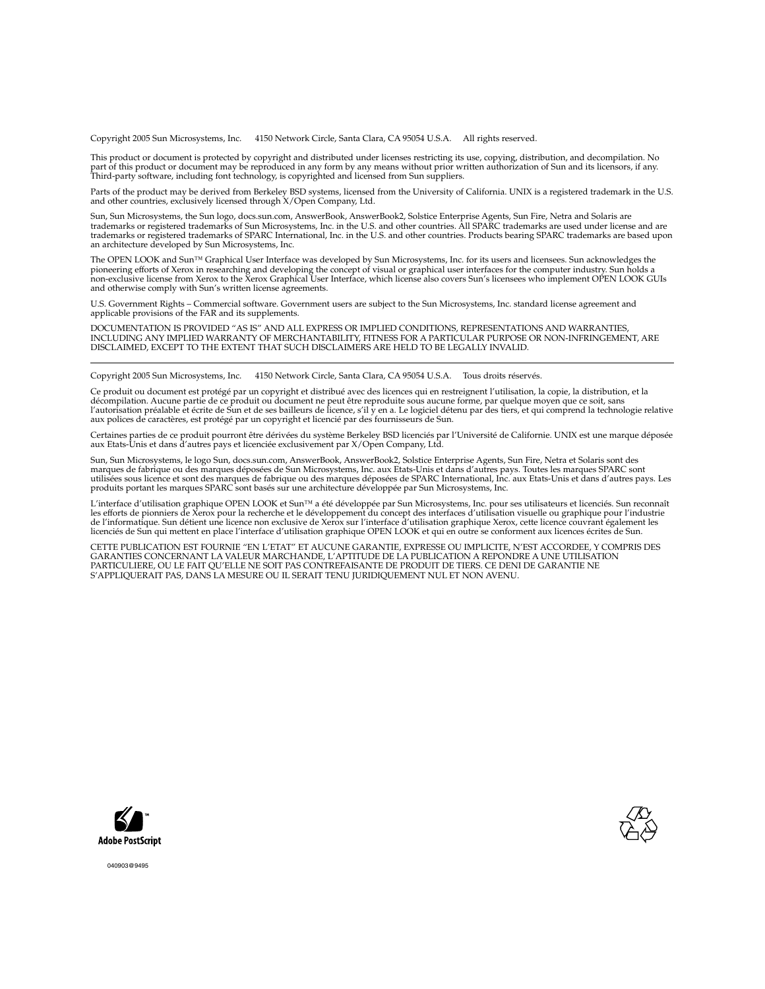Copyright 2005 Sun Microsystems, Inc. 4150 Network Circle, Santa Clara, CA 95054 U.S.A. All rights reserved.

This product or document is protected by copyright and distributed under licenses restricting its use, copying, distribution, and decompilation. No part of this product or document may be reproduced in any form by any means without prior written authorization of Sun and its licensors, if any.<br>Third-party software, including font technology, is copyrighted and licensed

Parts of the product may be derived from Berkeley BSD systems, licensed from the University of California. UNIX is a registered trademark in the U.S. and other countries, exclusively licensed through X/Open Company, Ltd.

Sun, Sun Microsystems, the Sun logo, docs.sun.com, AnswerBook, AnswerBook2, Solstice Enterprise Agents, Sun Fire, Netra and Solaris are<br>trademarks or registered trademarks of Sun Microsystems, Inc. in the U.S. and other co an architecture developed by Sun Microsystems, Inc.

The OPEN LOOK and Sun™ Graphical User Interface was developed by Sun Microsystems, Inc. for its users and licensees. Sun acknowledges the pioneering efforts of Xerox in researching and developing the concept of visual or graphical user interfaces for the computer industry. Sun holds a<br>non-exclusive license from Xerox to the Xerox Graphical User Interface, wh and otherwise comply with Sun's written license agreements.

U.S. Government Rights – Commercial software. Government users are subject to the Sun Microsystems, Inc. standard license agreement and applicable provisions of the FAR and its supplements.

DOCUMENTATION IS PROVIDED "AS IS" AND ALL EXPRESS OR IMPLIED CONDITIONS, REPRESENTATIONS AND WARRANTIES,<br>INCLUDING ANY IMPLIED WARRANTY OF MERCHANTABILITY, FITNESS FOR A PARTICULAR PURPOSE OR NON-INFRINGEMENT, ARE<br>DISCLAIM

Copyright 2005 Sun Microsystems, Inc. 4150 Network Circle, Santa Clara, CA 95054 U.S.A. Tous droits réservés.

Ce produit ou document est protégé par un copyright et distribué avec des licences qui en restreignent l'utilisation, la copie, la distribution, et la décompilation. Aucune partie de ce produit ou document ne peut être reproduite sous aucune forme, par quelque moyen que ce soit, sans<br>l'autorisation préalable et écrite de Sun et de ses bailleurs de licence, s'il y en a. L

Certaines parties de ce produit pourront être dérivées du système Berkeley BSD licenciés par l'Université de Californie. UNIX est une marque déposée aux Etats-Unis et dans d'autres pays et licenciée exclusivement par X/Open Company, Ltd.

Sun, Sun Microsystems, le logo Sun, docs.sun.com, AnswerBook, AnswerBook2, Solstice Enterprise Agents, Sun Fire, Netra et Solaris sont des marques de fabrique ou des marques déposées de Sun Microsystems, Inc. aux Etats-Unis et dans d'autres pays. Toutes les marques SPARC sont<br>utilisées sous licence et sont des marques de fabrique ou des marques déposées de SP produits portant les marques SPARC sont basés sur une architecture développée par Sun Microsystems, Inc.

L'interface d'utilisation graphique OPEN LOOK et Sun™a été développée par Sun Microsystems, Inc. pour ses utilisateurs et licenciés. Sun reconnaît<br>les efforts de pionniers de Xerox pour la recherche et le développement du de l'informatique. Sun détient une licence non exclusive de Xerox sur l'interface d'utilisation graphique Xerox, cette licence couvrant également les<br>licenciés de Sun qui mettent en place l'interface d'utilisation graphiqu

CETTE PUBLICATION EST FOURNIE "EN L'ETAT" ET AUCUNE GARANTIE, EXPRESSE OU IMPLICITE, N'EST ACCORDEE, Y COMPRIS DES GARANTIES CONCERNANT LA VALEUR MARCHANDE, L'APTITUDE DE LA PUBLICATION A REPONDRE A UNE UTILISATION<br>PARTICULIERE, OU LE FAIT QU'ELLE NE SOIT PAS CONTREFAISANTE DE PRODUIT DE TIERS. CE DENI DE GARANTIE NE<br>S'APPLIQUERAIT PAS





040903@9495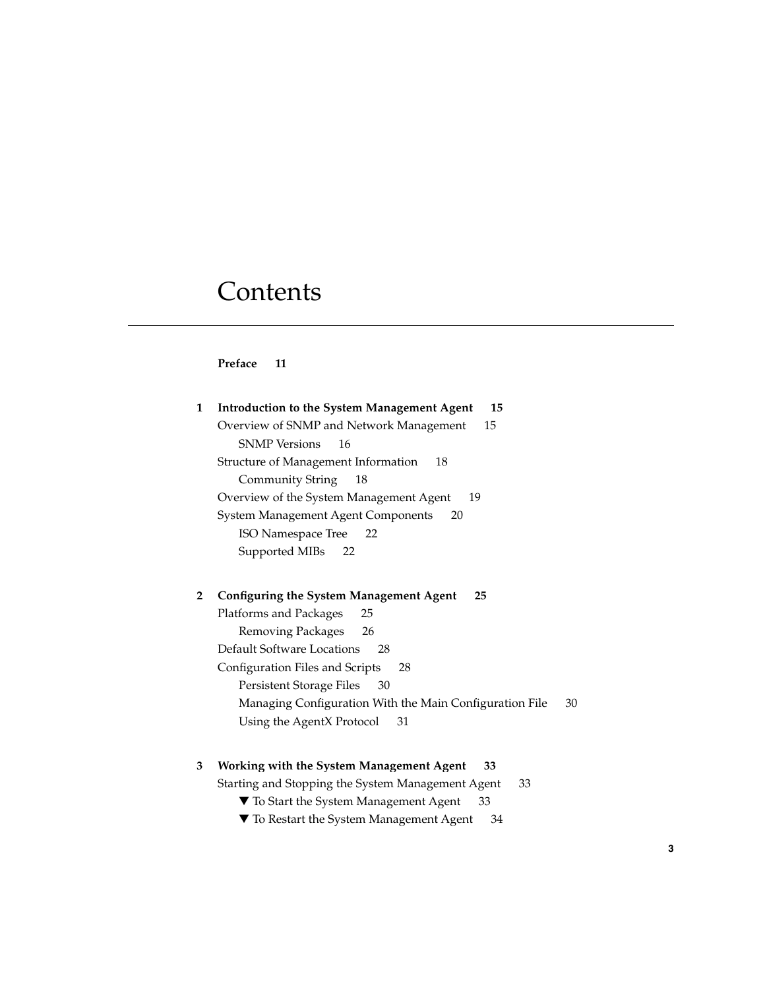# **Contents**

#### **[Preface 11](#page-10-0)**

| 1 | 15<br>Introduction to the System Management Agent       |    |
|---|---------------------------------------------------------|----|
|   | Overview of SNMP and Network Management<br>15           |    |
|   | <b>SNMP</b> Versions<br>16                              |    |
|   | Structure of Management Information<br>18               |    |
|   | Community String 18                                     |    |
|   | Overview of the System Management Agent<br>19           |    |
|   | <b>System Management Agent Components</b><br>20         |    |
|   | ISO Namespace Tree 22                                   |    |
|   | Supported MIBs 22                                       |    |
|   |                                                         |    |
| 2 | Configuring the System Management Agent<br>25           |    |
|   | Platforms and Packages<br>25                            |    |
|   | Removing Packages 26                                    |    |
|   | Default Software Locations<br>28                        |    |
|   | Configuration Files and Scripts<br>- 28                 |    |
|   | Persistent Storage Files<br>- 30                        |    |
|   | Managing Configuration With the Main Configuration File | 30 |
|   | Using the AgentX Protocol 31                            |    |
|   |                                                         |    |
|   |                                                         |    |

### **[3 Working with the System Management Agent 33](#page-32-0)**

[Starting and Stopping the System Management Agent 33](#page-32-0)

- ▼ [To Start the System Management Agent 33](#page-32-0)
- ▼ [To Restart the System Management Agent 34](#page-33-0)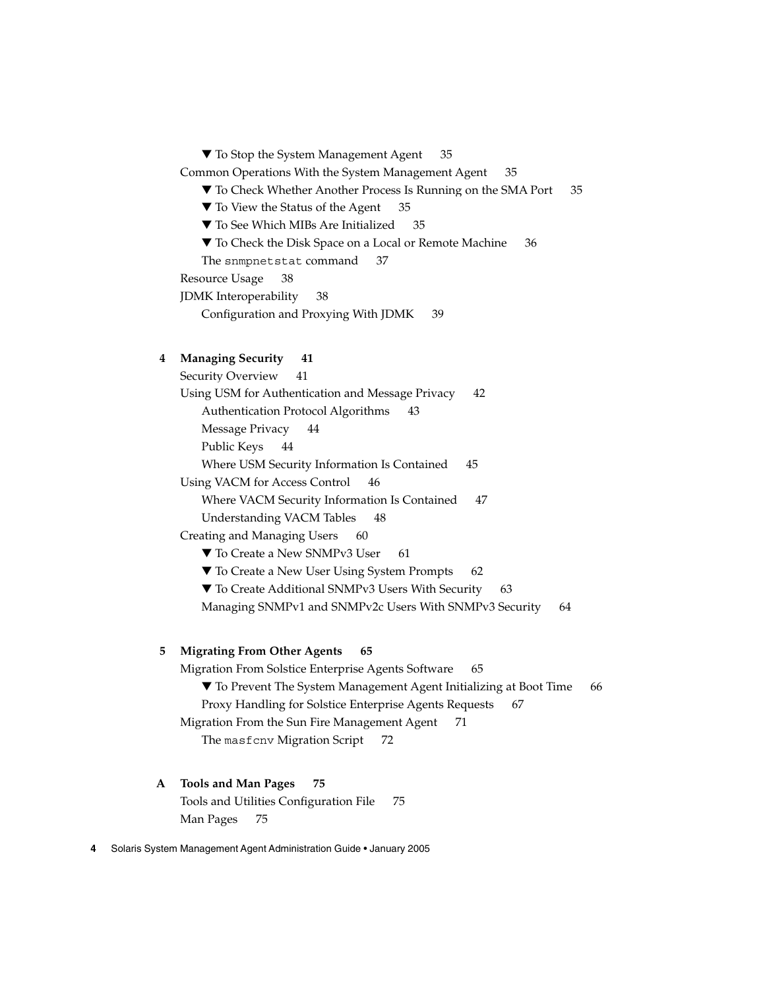▼ [To Stop the System Management Agent 35](#page-34-0) [Common Operations With the System Management Agent 35](#page-34-0) ▼ [To Check Whether Another Process Is Running on the SMA Port 35](#page-34-0) ▼ [To View the Status of the Agent 35](#page-34-0) ▼ [To See Which MIBs Are Initialized 35](#page-34-0) ▼ [To Check the Disk Space on a Local or Remote Machine 36](#page-35-0) The snmpnetstat [command 37](#page-36-0) [Resource Usage 38](#page-37-0) [JDMK Interoperability 38](#page-37-0) [Configuration and Proxying With JDMK 39](#page-38-0) **[4 Managing Security 41](#page-40-0)** [Security Overview 41](#page-40-0) [Using USM for Authentication and Message Privacy 42](#page-41-0) [Authentication Protocol Algorithms 43](#page-42-0)

[Message Privacy 44](#page-43-0) [Public Keys 44](#page-43-0) [Where USM Security Information Is Contained 45](#page-44-0) [Using VACM for Access Control 46](#page-45-0) [Where VACM Security Information Is Contained 47](#page-46-0) [Understanding VACM Tables 48](#page-47-0) [Creating and Managing Users 60](#page-59-0) ▼ [To Create a New SNMPv3 User 61](#page-60-0) ▼ [To Create a New User Using System Prompts 62](#page-61-0)

▼ [To Create Additional SNMPv3 Users With Security 63](#page-62-0) [Managing SNMPv1 and SNMPv2c Users With SNMPv3 Security 64](#page-63-0)

#### **[5 Migrating From Other Agents 65](#page-64-0)**

[Migration From Solstice Enterprise Agents Software 65](#page-64-0) ▼ [To Prevent The System Management Agent Initializing at Boot Time 66](#page-65-0) [Proxy Handling for Solstice Enterprise Agents Requests 67](#page-66-0) [Migration From the Sun Fire Management Agent 71](#page-70-0) The masfcnv [Migration Script 72](#page-71-0)

#### **[A Tools and Man Pages 75](#page-74-0)** [Tools and Utilities Configuration File 75](#page-74-0) [Man Pages 75](#page-74-0)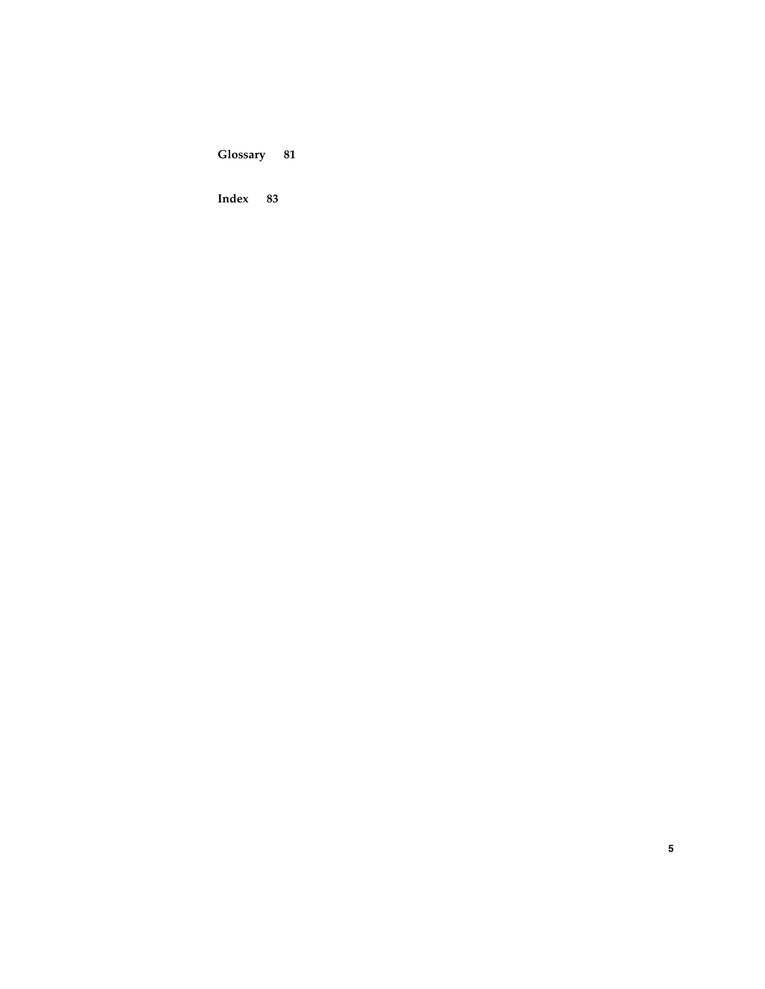**[Glossary 81](#page-80-0)**

**[Index 83](#page-82-0)**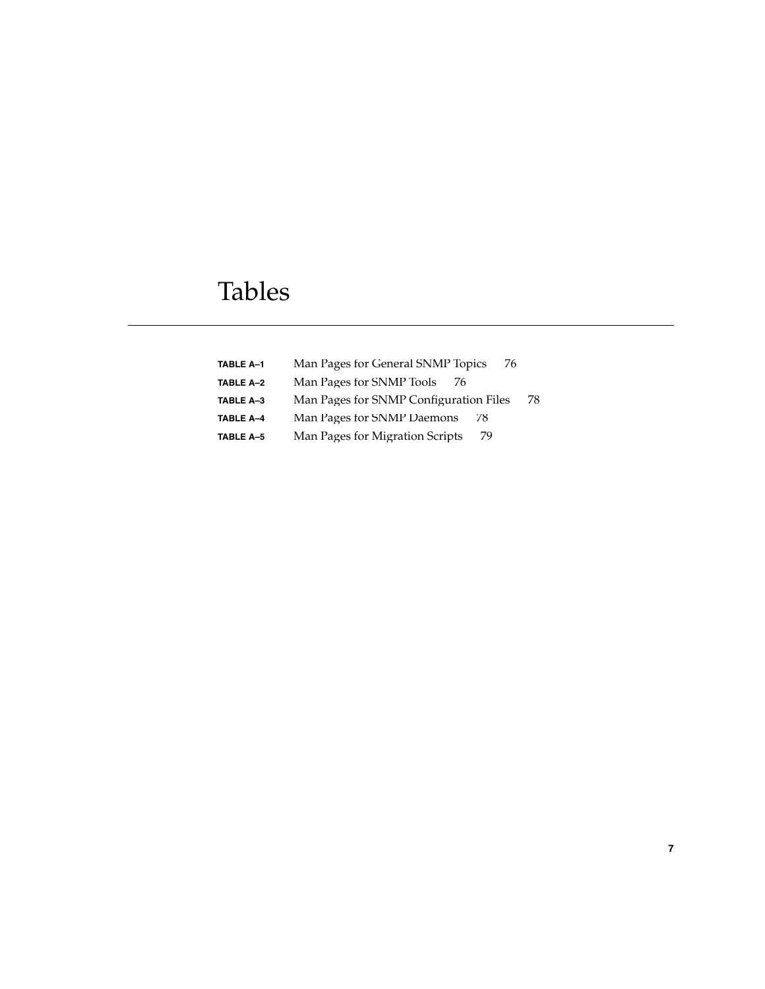# Tables

| <b>TABLE A-1</b> | Man Pages for General SNMP Topics<br>76 |    |
|------------------|-----------------------------------------|----|
| TABLE A-2        | Man Pages for SNMP Tools<br>76          |    |
| TABLE A-3        | Man Pages for SNMP Configuration Files  | 78 |
| TABLE A-4        | Man Pages for SNMP Daemons<br>78        |    |
| TABLE A-5        | Man Pages for Migration Scripts<br>79   |    |
|                  |                                         |    |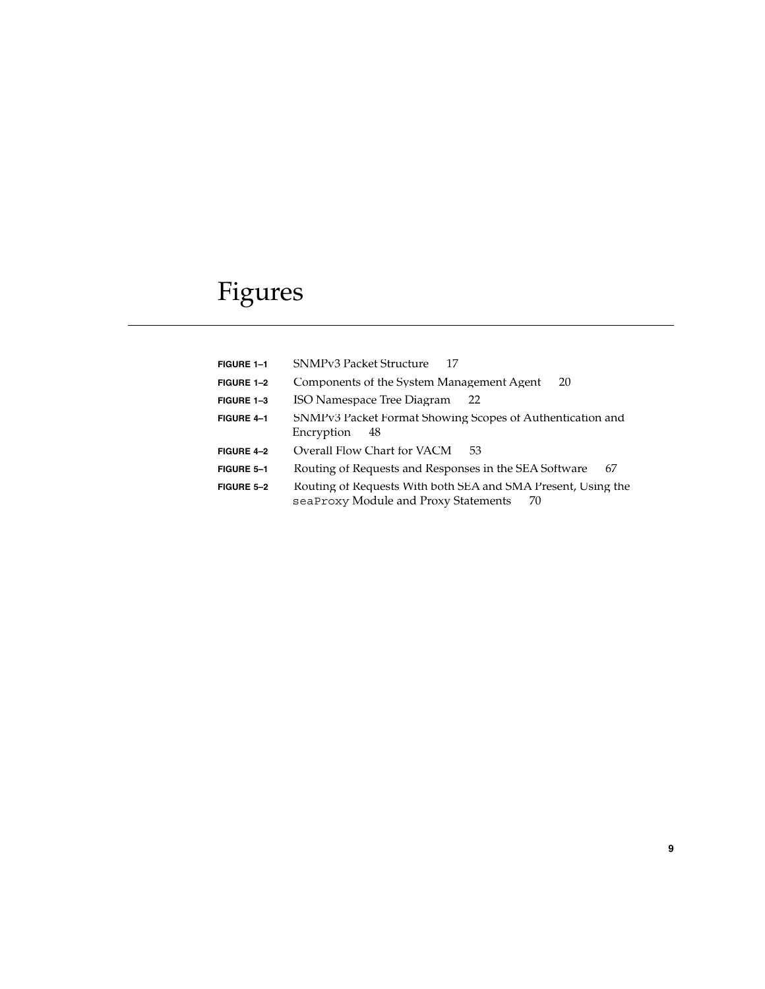# Figures

| FIGURE 1-1 | <b>SNMPv3 Packet Structure</b><br>17                                                                       |
|------------|------------------------------------------------------------------------------------------------------------|
| FIGURE 1-2 | Components of the System Management Agent<br>20                                                            |
| FIGURE 1-3 | ISO Namespace Tree Diagram<br>22                                                                           |
| FIGURE 4-1 | SNMPv3 Packet Format Showing Scopes of Authentication and<br>Encryption<br>48                              |
| FIGURE 4-2 | Overall Flow Chart for VACM<br>53                                                                          |
| FIGURE 5-1 | Routing of Requests and Responses in the SEA Software<br>67                                                |
| FIGURE 5-2 | Routing of Requests With both SEA and SMA Present, Using the<br>seaProxy Module and Proxy Statements<br>70 |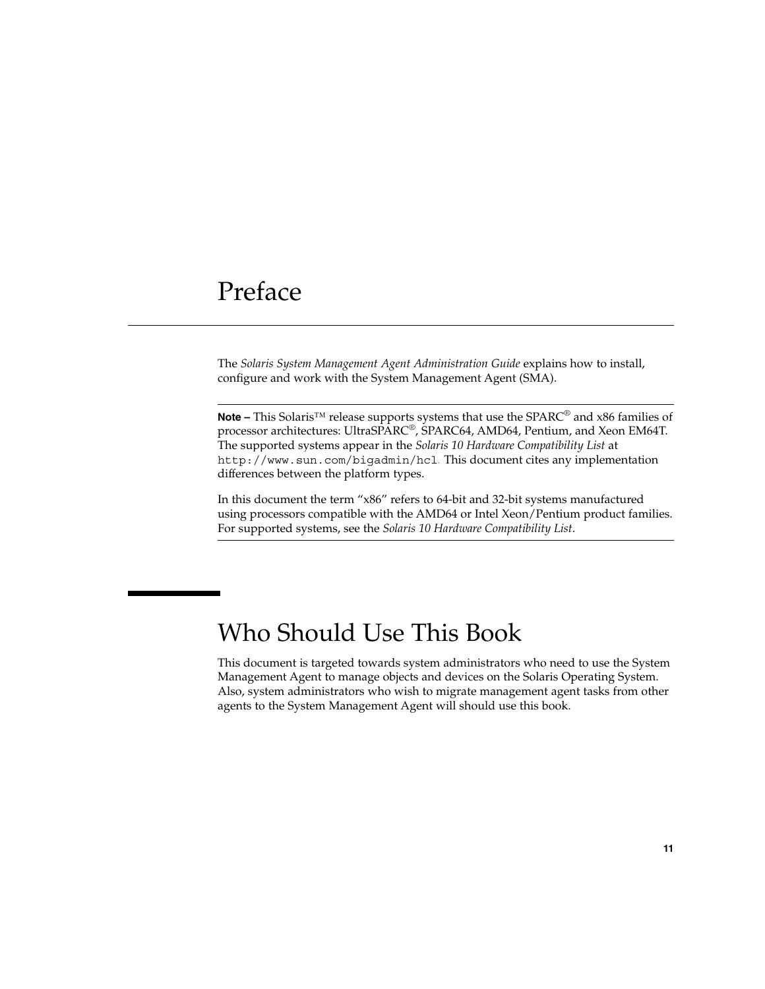## <span id="page-10-0"></span>Preface

The *Solaris System Management Agent Administration Guide* explains how to install, configure and work with the System Management Agent (SMA).

**Note –** This Solaris™ release supports systems that use the SPARC® and x86 families of processor architectures: UltraSPARC®, SPARC64, AMD64, Pentium, and Xeon EM64T. The supported systems appear in the *Solaris 10 Hardware Compatibility List* at <http://www.sun.com/bigadmin/hcl>. This document cites any implementation differences between the platform types.

In this document the term "x86" refers to 64-bit and 32-bit systems manufactured using processors compatible with the AMD64 or Intel Xeon/Pentium product families. For supported systems, see the *Solaris 10 Hardware Compatibility List*.

## Who Should Use This Book

This document is targeted towards system administrators who need to use the System Management Agent to manage objects and devices on the Solaris Operating System. Also, system administrators who wish to migrate management agent tasks from other agents to the System Management Agent will should use this book.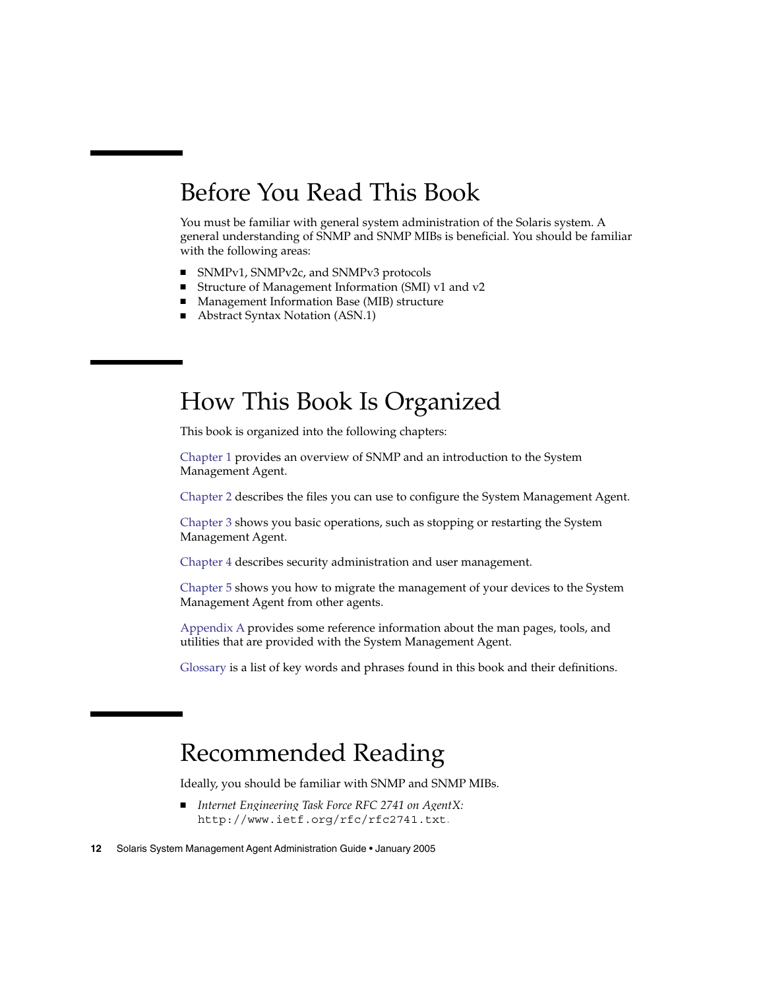## Before You Read This Book

You must be familiar with general system administration of the Solaris system. A general understanding of SNMP and SNMP MIBs is beneficial. You should be familiar with the following areas:

- SNMPv1, SNMPv2c, and SNMPv3 protocols
- Structure of Management Information (SMI) v1 and v2
- Management Information Base (MIB) structure
- Abstract Syntax Notation (ASN.1)

## How This Book Is Organized

This book is organized into the following chapters:

[Chapter 1](#page-14-0) provides an overview of SNMP and an introduction to the System Management Agent.

[Chapter 2](#page-24-0) describes the files you can use to configure the System Management Agent.

[Chapter 3](#page-32-0) shows you basic operations, such as stopping or restarting the System Management Agent.

[Chapter 4](#page-40-0) describes security administration and user management.

[Chapter 5](#page-64-0) shows you how to migrate the management of your devices to the System Management Agent from other agents.

[Appendix A](#page-74-0) provides some reference information about the man pages, tools, and utilities that are provided with the System Management Agent.

[Glossary](#page-80-0) is a list of key words and phrases found in this book and their definitions.

## Recommended Reading

Ideally, you should be familiar with SNMP and SNMP MIBs.

■ *Internet Engineering Task Force RFC 2741 on AgentX:* <http://www.ietf.org/rfc/rfc2741.txt>.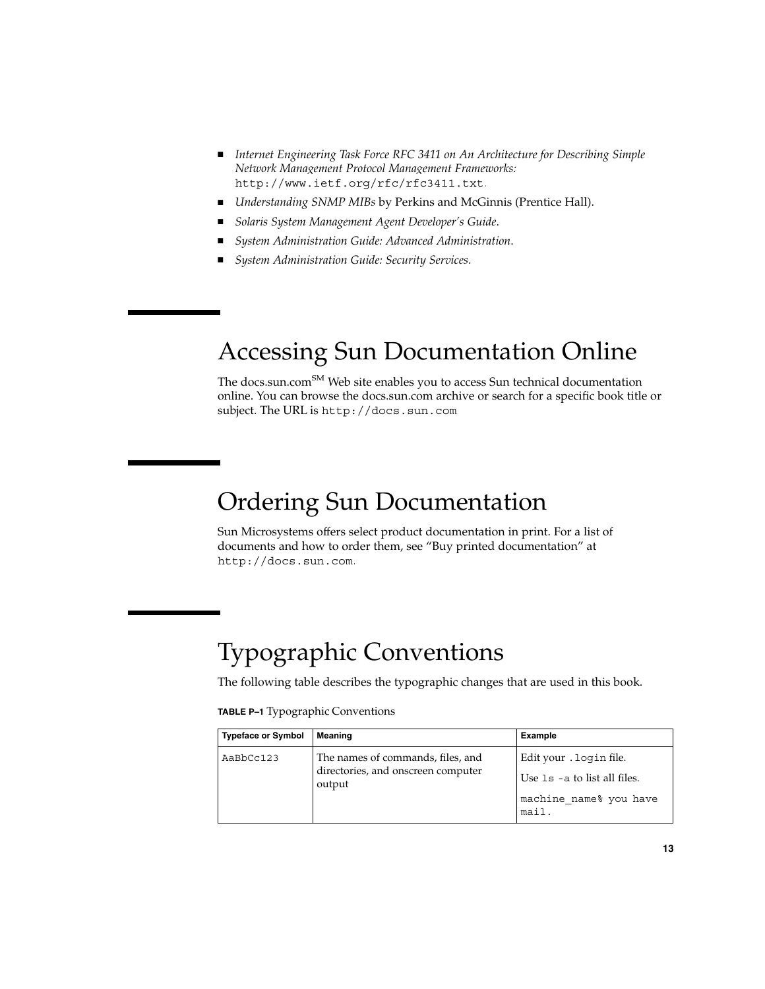- *Internet Engineering Task Force RFC 3411 on An Architecture for Describing Simple Network Management Protocol Management Frameworks:* <http://www.ietf.org/rfc/rfc3411.txt>.
- *Understanding SNMP MIBs* by Perkins and McGinnis (Prentice Hall).
- Solaris System Management Agent Developer's Guide.
- *System Administration Guide: Advanced Administration*.
- *System Administration Guide: Security Services*.

## Accessing Sun Documentation Online

The docs.sun.com<sup>SM</sup> Web site enables you to access Sun technical documentation online. You can browse the docs.sun.com archive or search for a specific book title or subject. The URL is <http://docs.sun.com>.

## Ordering Sun Documentation

Sun Microsystems offers select product documentation in print. For a list of documents and how to order them, see "Buy printed documentation" at <http://docs.sun.com>.

## Typographic Conventions

The following table describes the typographic changes that are used in this book.

#### **TABLE P–1** Typographic Conventions

| <b>Typeface or Symbol</b> | Meaning                                                                           | <b>Example</b>                                                                               |
|---------------------------|-----------------------------------------------------------------------------------|----------------------------------------------------------------------------------------------|
| AaBbCc123                 | The names of commands, files, and<br>directories, and onscreen computer<br>output | Edit your . login file.<br>Use $1s$ -a to list all files.<br>machine name% you have<br>mail. |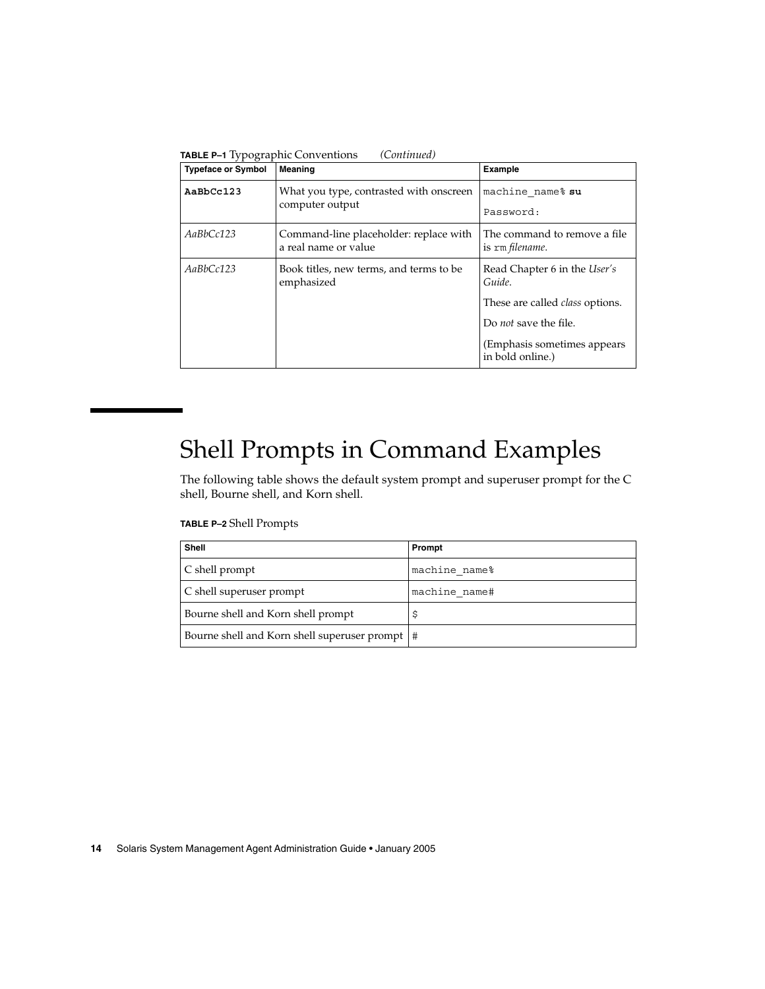**TABLE P–1** Typographic Conventions *(Continued)*

| <b>Typeface or Symbol</b> | <b>Meaning</b>                                                 | <b>Example</b>                                  |
|---------------------------|----------------------------------------------------------------|-------------------------------------------------|
| AaBbCc123                 | What you type, contrasted with onscreen                        | machine name% su                                |
|                           | computer output                                                | Password:                                       |
| AaBbCc123                 | Command-line placeholder: replace with<br>a real name or value | The command to remove a file<br>is rm filename. |
| AaBbCc123                 | Book titles, new terms, and terms to be<br>emphasized          | Read Chapter 6 in the User's<br>Guide.          |
|                           |                                                                | These are called <i>class</i> options.          |
|                           |                                                                | Do <i>not</i> save the file.                    |
|                           |                                                                | (Emphasis sometimes appears<br>in bold online.) |

# Shell Prompts in Command Examples

The following table shows the default system prompt and superuser prompt for the C shell, Bourne shell, and Korn shell.

**TABLE P–2** Shell Prompts

| <b>Shell</b>                                     | Prompt        |
|--------------------------------------------------|---------------|
| C shell prompt                                   | machine name% |
| C shell superuser prompt                         | machine name# |
| Bourne shell and Korn shell prompt               |               |
| Bourne shell and Korn shell superuser prompt   # |               |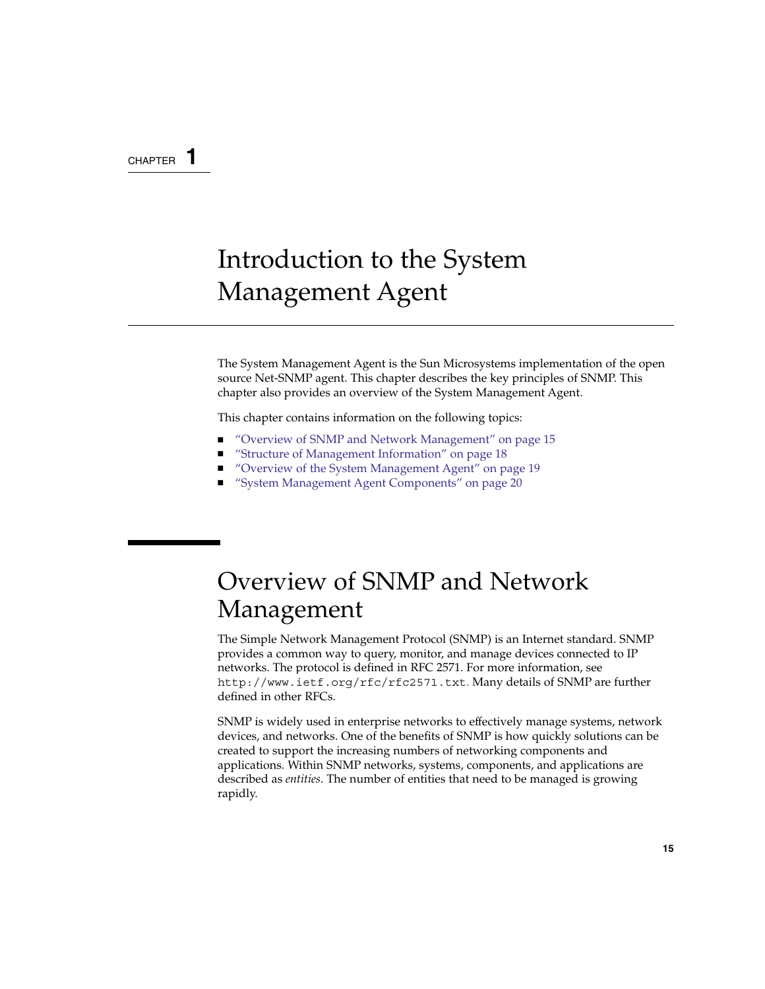### <span id="page-14-0"></span>CHAPTER **1**

# Introduction to the System Management Agent

The System Management Agent is the Sun Microsystems implementation of the open source Net-SNMP agent. This chapter describes the key principles of SNMP. This chapter also provides an overview of the System Management Agent.

This chapter contains information on the following topics:

- "Overview of SNMP and Network Management" on page 15
- ["Structure of Management Information"](#page-17-0) on page 18
- ["Overview of the System Management Agent"](#page-18-0) on page 19
- ["System Management Agent Components"](#page-19-0) on page 20

## Overview of SNMP and Network Management

The Simple Network Management Protocol (SNMP) is an Internet standard. SNMP provides a common way to query, monitor, and manage devices connected to IP networks. The protocol is defined in RFC 2571. For more information, see <http://www.ietf.org/rfc/rfc2571.txt>. Many details of SNMP are further defined in other RFCs.

SNMP is widely used in enterprise networks to effectively manage systems, network devices, and networks. One of the benefits of SNMP is how quickly solutions can be created to support the increasing numbers of networking components and applications. Within SNMP networks, systems, components, and applications are described as *entities*. The number of entities that need to be managed is growing rapidly.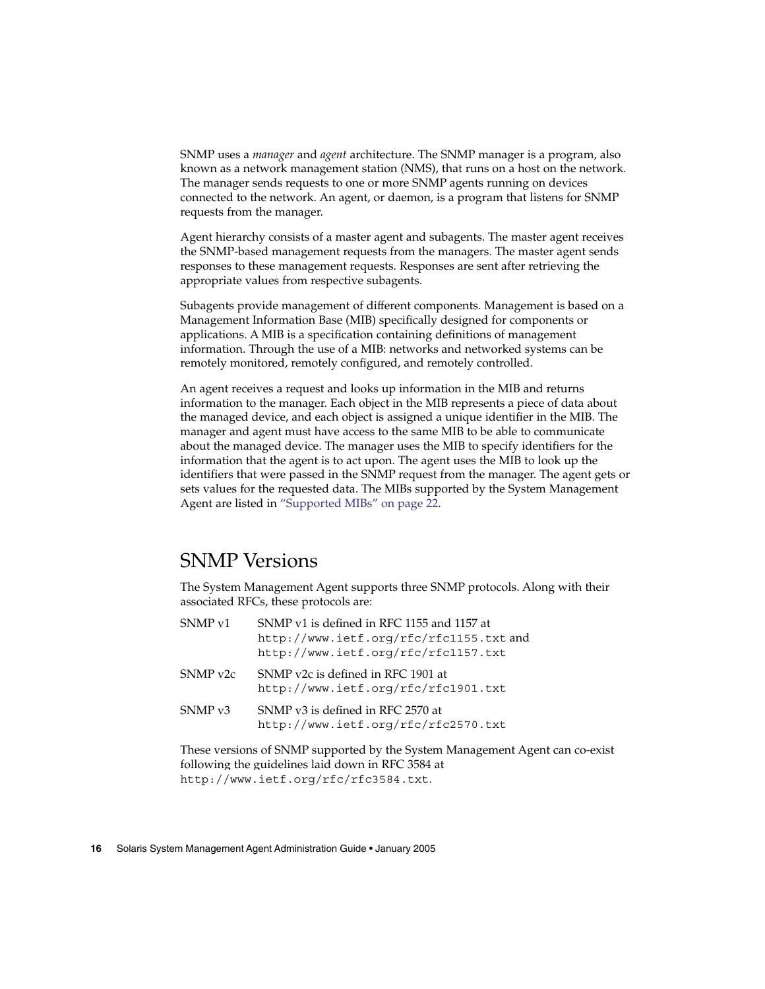<span id="page-15-0"></span>SNMP uses a *manager* and *agent* architecture. The SNMP manager is a program, also known as a network management station (NMS), that runs on a host on the network. The manager sends requests to one or more SNMP agents running on devices connected to the network. An agent, or daemon, is a program that listens for SNMP requests from the manager.

Agent hierarchy consists of a master agent and subagents. The master agent receives the SNMP-based management requests from the managers. The master agent sends responses to these management requests. Responses are sent after retrieving the appropriate values from respective subagents.

Subagents provide management of different components. Management is based on a Management Information Base (MIB) specifically designed for components or applications. A MIB is a specification containing definitions of management information. Through the use of a MIB: networks and networked systems can be remotely monitored, remotely configured, and remotely controlled.

An agent receives a request and looks up information in the MIB and returns information to the manager. Each object in the MIB represents a piece of data about the managed device, and each object is assigned a unique identifier in the MIB. The manager and agent must have access to the same MIB to be able to communicate about the managed device. The manager uses the MIB to specify identifiers for the information that the agent is to act upon. The agent uses the MIB to look up the identifiers that were passed in the SNMP request from the manager. The agent gets or sets values for the requested data. The MIBs supported by the System Management Agent are listed in ["Supported MIBs"](#page-21-0) on page 22.

### SNMP Versions

The System Management Agent supports three SNMP protocols. Along with their associated RFCs, these protocols are:

| SNMP v1                                                                      | SNMP v1 is defined in RFC 1155 and 1157 at<br>http://www.ietf.org/rfc/rfc1155.txtand<br>http://www.ietf.org/rfc/rfc1157.txt |  |
|------------------------------------------------------------------------------|-----------------------------------------------------------------------------------------------------------------------------|--|
| SNMP v2c                                                                     | SNMP v2c is defined in RFC 1901 at<br>http://www.ietf.org/rfc/rfc1901.txt                                                   |  |
| SNMP v3                                                                      | SNMP v3 is defined in RFC 2570 at<br>http://www.ietf.org/rfc/rfc2570.txt                                                    |  |
| These versions of CNMD supported by the Cystem Managament $\Lambda_{\infty}$ |                                                                                                                             |  |

These versions of SNMP supported by the System Management Agent can co-exist following the guidelines laid down in RFC 3584 at <http://www.ietf.org/rfc/rfc3584.txt>.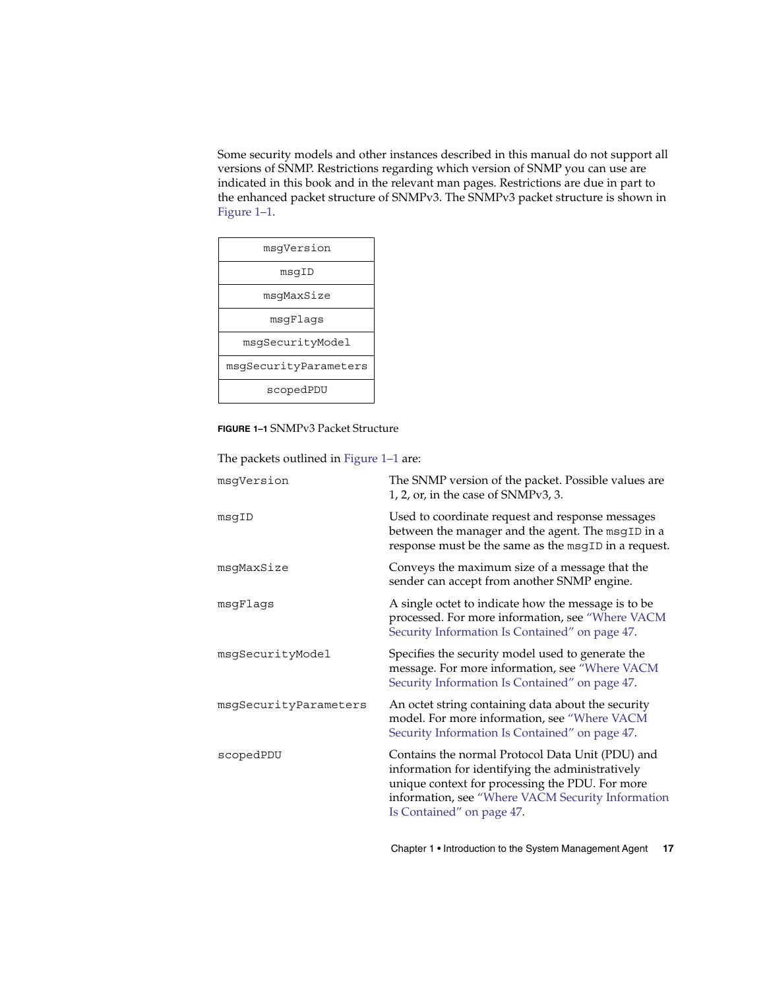<span id="page-16-0"></span>Some security models and other instances described in this manual do not support all versions of SNMP. Restrictions regarding which version of SNMP you can use are indicated in this book and in the relevant man pages. Restrictions are due in part to the enhanced packet structure of SNMPv3. The SNMPv3 packet structure is shown in Figure 1–1.

| msqVersion            |
|-----------------------|
| msqID                 |
| msqMaxSize            |
| msqFlaqs              |
| msqSecurityModel      |
| msqSecurityParameters |
| scopedPDU             |

#### **FIGURE 1–1** SNMPv3 Packet Structure

The packets outlined in Figure 1–1 are:

| msqVersion            | The SNMP version of the packet. Possible values are<br>1, 2, or, in the case of SNMPv3, 3.                                                                                                                                                |
|-----------------------|-------------------------------------------------------------------------------------------------------------------------------------------------------------------------------------------------------------------------------------------|
| msgID                 | Used to coordinate request and response messages<br>between the manager and the agent. The msgID in a<br>response must be the same as the msgID in a request.                                                                             |
| msqMaxSize            | Conveys the maximum size of a message that the<br>sender can accept from another SNMP engine.                                                                                                                                             |
| msqFlaqs              | A single octet to indicate how the message is to be<br>processed. For more information, see "Where VACM<br>Security Information Is Contained" on page 47.                                                                                 |
| msqSecurityModel      | Specifies the security model used to generate the<br>message. For more information, see "Where VACM<br>Security Information Is Contained" on page 47.                                                                                     |
| msgSecurityParameters | An octet string containing data about the security<br>model. For more information, see "Where VACM<br>Security Information Is Contained" on page 47.                                                                                      |
| scopedPDU             | Contains the normal Protocol Data Unit (PDU) and<br>information for identifying the administratively<br>unique context for processing the PDU. For more<br>information, see "Where VACM Security Information<br>Is Contained" on page 47. |

Chapter 1 • Introduction to the System Management Agent **17**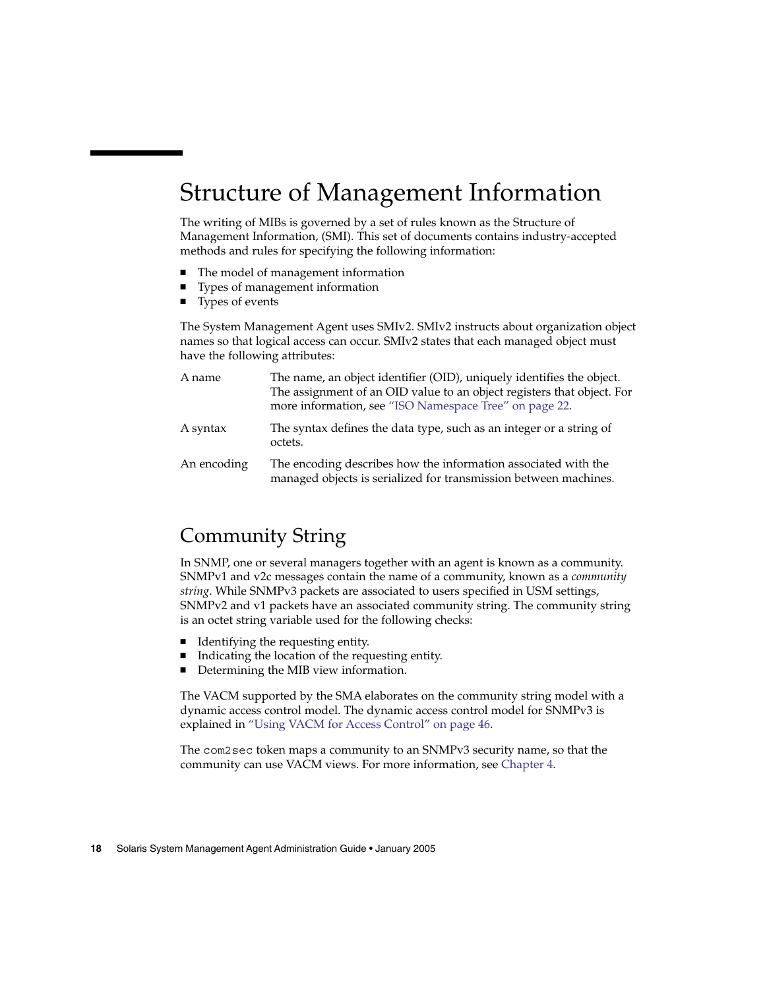## <span id="page-17-0"></span>Structure of Management Information

The writing of MIBs is governed by a set of rules known as the Structure of Management Information, (SMI). This set of documents contains industry-accepted methods and rules for specifying the following information:

- The model of management information
- Types of management information
- Types of events

The System Management Agent uses SMIv2. SMIv2 instructs about organization object names so that logical access can occur. SMIv2 states that each managed object must have the following attributes:

| A name      | The name, an object identifier (OID), uniquely identifies the object.<br>The assignment of an OID value to an object registers that object. For<br>more information, see "ISO Namespace Tree" on page 22. |
|-------------|-----------------------------------------------------------------------------------------------------------------------------------------------------------------------------------------------------------|
| A syntax    | The syntax defines the data type, such as an integer or a string of<br>octets.                                                                                                                            |
| An encoding | The encoding describes how the information associated with the<br>managed objects is serialized for transmission between machines.                                                                        |

## Community String

In SNMP, one or several managers together with an agent is known as a community. SNMPv1 and v2c messages contain the name of a community, known as a *community string*. While SNMPv3 packets are associated to users specified in USM settings, SNMPv2 and v1 packets have an associated community string. The community string is an octet string variable used for the following checks:

- Identifying the requesting entity.
- Indicating the location of the requesting entity.
- Determining the MIB view information.

The VACM supported by the SMA elaborates on the community string model with a dynamic access control model. The dynamic access control model for SNMPv3 is explained in ["Using VACM for Access Control"](#page-45-0) on page 46.

The com2sec token maps a community to an SNMPv3 security name, so that the community can use VACM views. For more information, see [Chapter 4.](#page-40-0)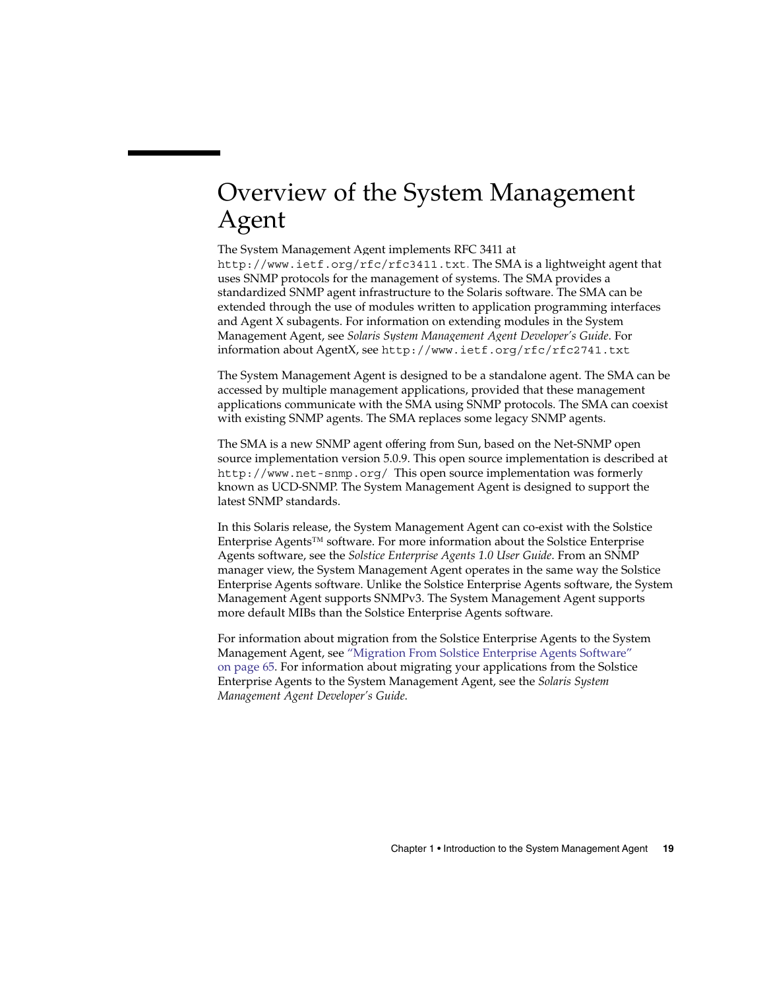## <span id="page-18-0"></span>Overview of the System Management Agent

The System Management Agent implements RFC 3411 at

<http://www.ietf.org/rfc/rfc3411.txt>. The SMA is a lightweight agent that uses SNMP protocols for the management of systems. The SMA provides a standardized SNMP agent infrastructure to the Solaris software. The SMA can be extended through the use of modules written to application programming interfaces and Agent X subagents. For information on extending modules in the System Management Agent, see *Solaris System Management Agent Developer's Guide*. For information about AgentX, see <http://www.ietf.org/rfc/rfc2741.txt>.

The System Management Agent is designed to be a standalone agent. The SMA can be accessed by multiple management applications, provided that these management applications communicate with the SMA using SNMP protocols. The SMA can coexist with existing SNMP agents. The SMA replaces some legacy SNMP agents.

The SMA is a new SNMP agent offering from Sun, based on the Net-SNMP open source implementation version 5.0.9. This open source implementation is described at <http://www.net-snmp.org/>. This open source implementation was formerly known as UCD-SNMP. The System Management Agent is designed to support the latest SNMP standards.

In this Solaris release, the System Management Agent can co-exist with the Solstice Enterprise Agents™ software. For more information about the Solstice Enterprise Agents software, see the *Solstice Enterprise Agents 1.0 User Guide*. From an SNMP manager view, the System Management Agent operates in the same way the Solstice Enterprise Agents software. Unlike the Solstice Enterprise Agents software, the System Management Agent supports SNMPv3. The System Management Agent supports more default MIBs than the Solstice Enterprise Agents software.

For information about migration from the Solstice Enterprise Agents to the System Management Agent, see ["Migration From Solstice Enterprise Agents Software"](#page-64-0) [on page 65.](#page-64-0) For information about migrating your applications from the Solstice Enterprise Agents to the System Management Agent, see the *Solaris System Management Agent Developer's Guide*.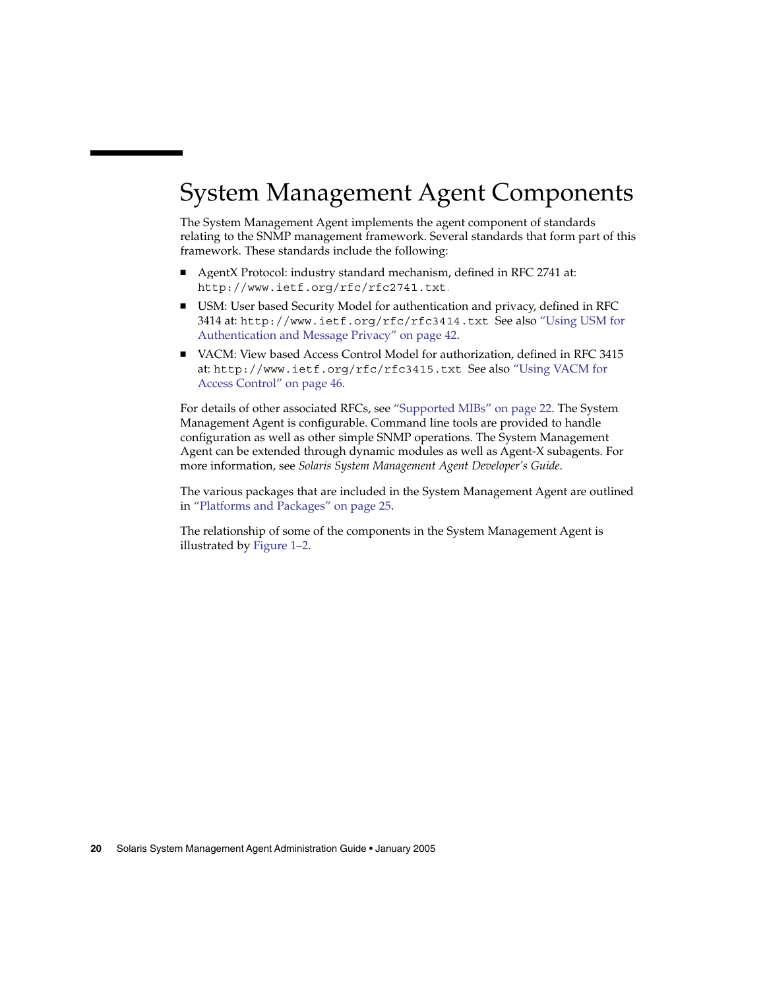## <span id="page-19-0"></span>System Management Agent Components

The System Management Agent implements the agent component of standards relating to the SNMP management framework. Several standards that form part of this framework. These standards include the following:

- AgentX Protocol: industry standard mechanism, defined in RFC 2741 at: <http://www.ietf.org/rfc/rfc2741.txt>.
- USM: User based Security Model for authentication and privacy, defined in RFC 3414 at: <http://www.ietf.org/rfc/rfc3414.txt>. See also ["Using USM for](#page-41-0) [Authentication and Message Privacy"](#page-41-0) on page 42.
- VACM: View based Access Control Model for authorization, defined in RFC 3415 at: <http://www.ietf.org/rfc/rfc3415.txt>. See also ["Using VACM for](#page-45-0) [Access Control"](#page-45-0) on page 46.

For details of other associated RFCs, see ["Supported MIBs"](#page-21-0) on page 22. The System Management Agent is configurable. Command line tools are provided to handle configuration as well as other simple SNMP operations. The System Management Agent can be extended through dynamic modules as well as Agent-X subagents. For more information, see *Solaris System Management Agent Developer's Guide*.

The various packages that are included in the System Management Agent are outlined in ["Platforms and Packages"](#page-24-0) on page 25.

The relationship of some of the components in the System Management Agent is illustrated by Figure 1–2.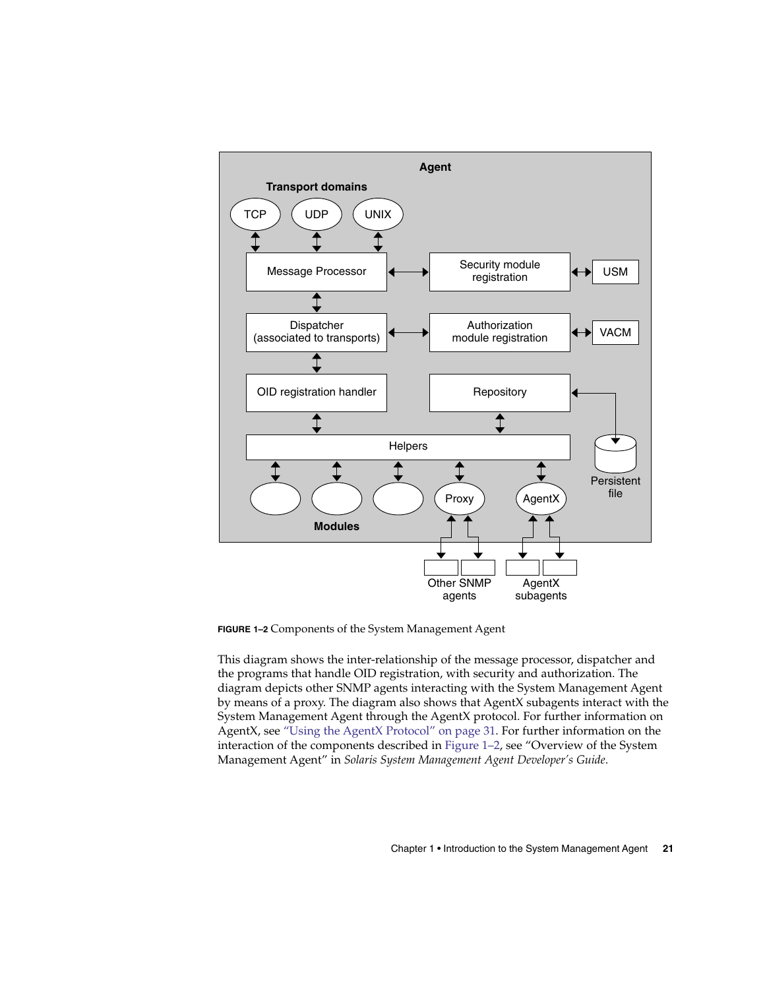

**FIGURE 1–2** Components of the System Management Agent

This diagram shows the inter-relationship of the message processor, dispatcher and the programs that handle OID registration, with security and authorization. The diagram depicts other SNMP agents interacting with the System Management Agent by means of a proxy. The diagram also shows that AgentX subagents interact with the System Management Agent through the AgentX protocol. For further information on AgentX, see ["Using the AgentX Protocol"](#page-30-0) on page 31. For further information on the interaction of the components described in [Figure 1–2,](#page-19-0) see "Overview of the System Management Agent" in *Solaris System Management Agent Developer's Guide*.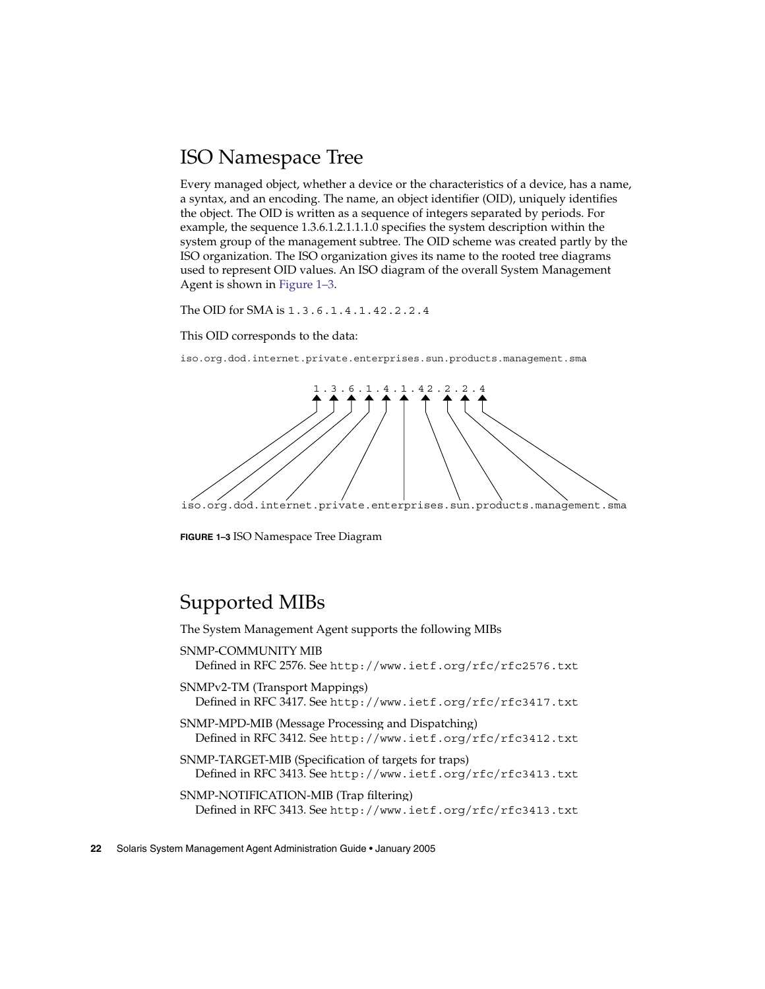### <span id="page-21-0"></span>ISO Namespace Tree

Every managed object, whether a device or the characteristics of a device, has a name, a syntax, and an encoding. The name, an object identifier (OID), uniquely identifies the object. The OID is written as a sequence of integers separated by periods. For example, the sequence 1.3.6.1.2.1.1.1.0 specifies the system description within the system group of the management subtree. The OID scheme was created partly by the ISO organization. The ISO organization gives its name to the rooted tree diagrams used to represent OID values. An ISO diagram of the overall System Management Agent is shown in Figure 1–3.

The OID for SMA is 1.3.6.1.4.1.42.2.2.4

This OID corresponds to the data:

iso.org.dod.internet.private.enterprises.sun.products.management.sma



**FIGURE 1–3** ISO Namespace Tree Diagram

### Supported MIBs

The System Management Agent supports the following MIBs

| SNMP-COMMUNITY MIB<br>Defined in RFC 2576. See http://www.ietf.org/rfc/rfc2576.txt                                   |
|----------------------------------------------------------------------------------------------------------------------|
| <b>SNMPv2-TM (Transport Mappings)</b><br>Defined in RFC 3417. See http://www.ietf.org/rfc/rfc3417.txt                |
| SNMP-MPD-MIB (Message Processing and Dispatching)<br>Defined in RFC 3412. See http://www.ietf.org/rfc/rfc3412.txt    |
| SNMP-TARGET-MIB (Specification of targets for traps)<br>Defined in RFC 3413. See http://www.ietf.org/rfc/rfc3413.txt |
| SNMP-NOTIFICATION-MIB (Trap filtering)<br>Defined in RFC 3413. See http://www.ietf.org/rfc/rfc3413.txt               |
|                                                                                                                      |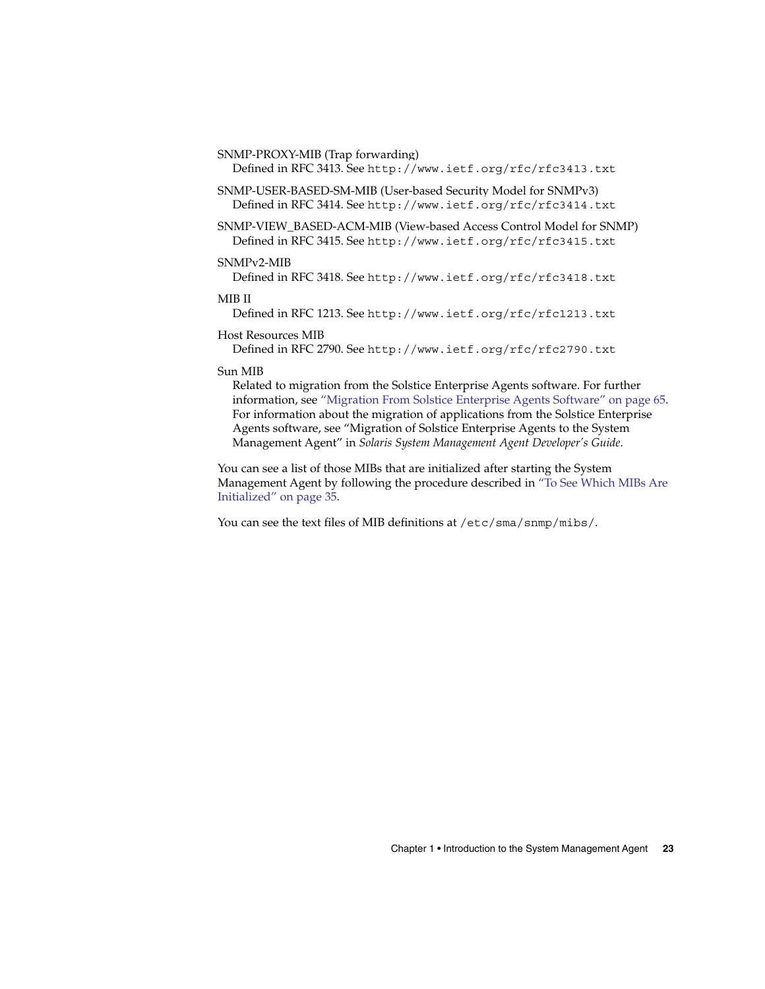#### SNMP-PROXY-MIB (Trap forwarding)

Defined in RFC 3413. See <http://www.ietf.org/rfc/rfc3413.txt>

SNMP-USER-BASED-SM-MIB (User-based Security Model for SNMPv3) Defined in RFC 3414. See <http://www.ietf.org/rfc/rfc3414.txt>

SNMP-VIEW\_BASED-ACM-MIB (View-based Access Control Model for SNMP) Defined in RFC 3415. See <http://www.ietf.org/rfc/rfc3415.txt>

#### SNMPv2-MIB

Defined in RFC 3418. See <http://www.ietf.org/rfc/rfc3418.txt>

#### MIB II

Defined in RFC 1213. See <http://www.ietf.org/rfc/rfc1213.txt>

#### Host Resources MIB

Defined in RFC 2790. See <http://www.ietf.org/rfc/rfc2790.txt>

#### Sun MIB

Related to migration from the Solstice Enterprise Agents software. For further information, see ["Migration From Solstice Enterprise Agents Software"](#page-64-0) on page 65. For information about the migration of applications from the Solstice Enterprise Agents software, see "Migration of Solstice Enterprise Agents to the System Management Agent" in *Solaris System Management Agent Developer's Guide*.

You can see a list of those MIBs that are initialized after starting the System Management Agent by following the procedure described in ["To See Which MIBs Are](#page-34-0) [Initialized"](#page-34-0) on page 35.

You can see the text files of MIB definitions at /etc/sma/snmp/mibs/.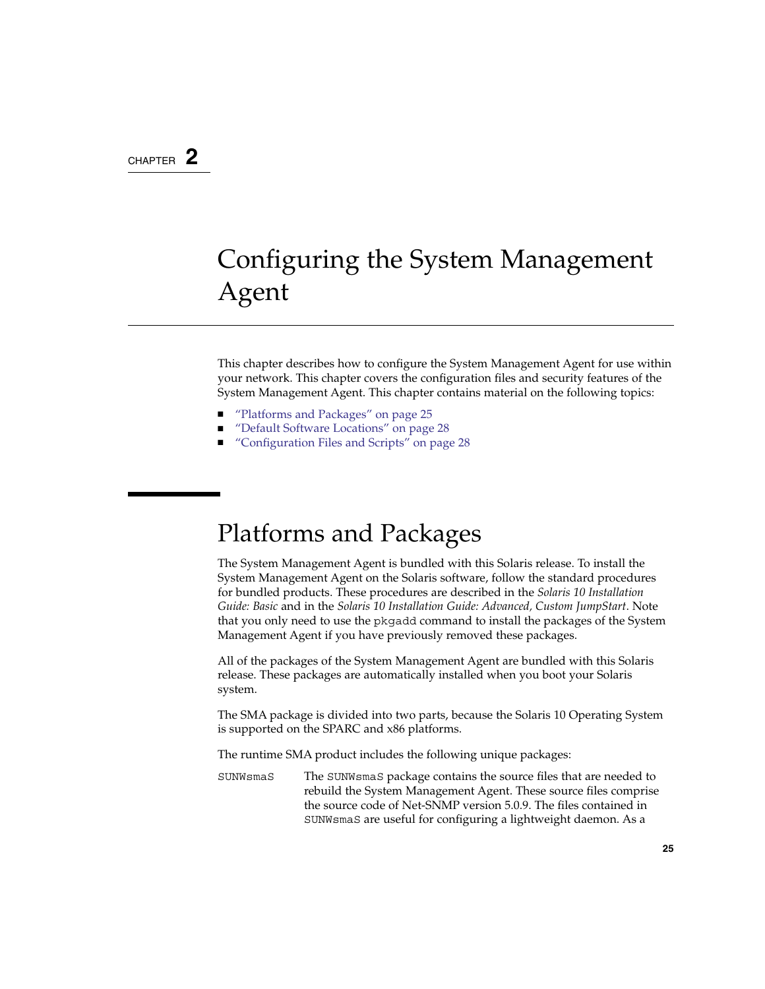### <span id="page-24-0"></span>CHAPTER **2**

# Configuring the System Management Agent

This chapter describes how to configure the System Management Agent for use within your network. This chapter covers the configuration files and security features of the System Management Agent. This chapter contains material on the following topics:

- *"Platforms and Packages"* on page 25
- *["Default Software Locations"](#page-27-0)* on page 28
- ["Configuration Files and Scripts"](#page-27-0) on page 28

## Platforms and Packages

The System Management Agent is bundled with this Solaris release. To install the System Management Agent on the Solaris software, follow the standard procedures for bundled products. These procedures are described in the *Solaris 10 Installation Guide: Basic* and in the *Solaris 10 Installation Guide: Advanced, Custom JumpStart*. Note that you only need to use the pkgadd command to install the packages of the System Management Agent if you have previously removed these packages.

All of the packages of the System Management Agent are bundled with this Solaris release. These packages are automatically installed when you boot your Solaris system.

The SMA package is divided into two parts, because the Solaris 10 Operating System is supported on the SPARC and x86 platforms.

The runtime SMA product includes the following unique packages:

SUNWsmaS The SUNWsmaS package contains the source files that are needed to rebuild the System Management Agent. These source files comprise the source code of Net-SNMP version 5.0.9. The files contained in SUNWsmaS are useful for configuring a lightweight daemon. As a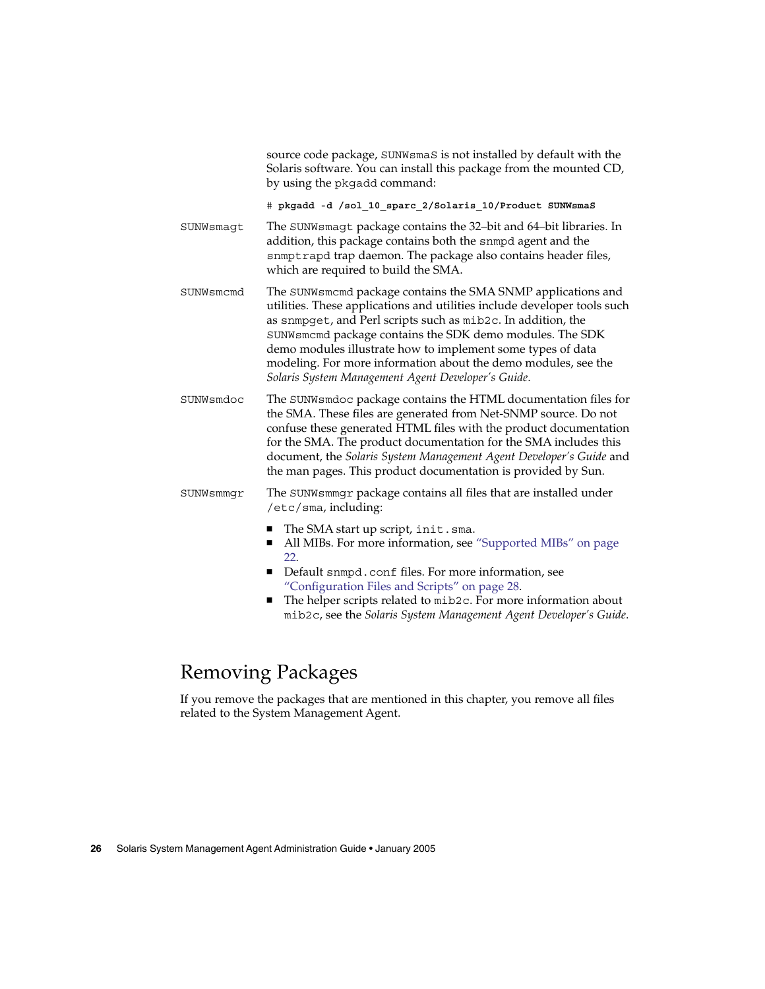<span id="page-25-0"></span>

|           | source code package, SUNWsmaS is not installed by default with the<br>Solaris software. You can install this package from the mounted CD,<br>by using the pkgadd command:                                                                                                                                                                                                                                                                                   |
|-----------|-------------------------------------------------------------------------------------------------------------------------------------------------------------------------------------------------------------------------------------------------------------------------------------------------------------------------------------------------------------------------------------------------------------------------------------------------------------|
|           | # pkgadd -d /sol_10_sparc_2/Solaris_10/Product SUNWsmaS                                                                                                                                                                                                                                                                                                                                                                                                     |
| SUNWsmagt | The SUNWsmagt package contains the 32-bit and 64-bit libraries. In<br>addition, this package contains both the snmpd agent and the<br>snmptrapd trap daemon. The package also contains header files,<br>which are required to build the SMA.                                                                                                                                                                                                                |
| SUNWsmcmd | The SUNWsmcmd package contains the SMA SNMP applications and<br>utilities. These applications and utilities include developer tools such<br>as snmpget, and Perl scripts such as mib2c. In addition, the<br>SUNWsmcmd package contains the SDK demo modules. The SDK<br>demo modules illustrate how to implement some types of data<br>modeling. For more information about the demo modules, see the<br>Solaris System Management Agent Developer's Guide. |
| SUNWsmdoc | The SUNWsmdoc package contains the HTML documentation files for<br>the SMA. These files are generated from Net-SNMP source. Do not<br>confuse these generated HTML files with the product documentation<br>for the SMA. The product documentation for the SMA includes this<br>document, the Solaris System Management Agent Developer's Guide and<br>the man pages. This product documentation is provided by Sun.                                         |
| SUNWsmmqr | The SUNWsmmgr package contains all files that are installed under<br>/etc/sma, including:                                                                                                                                                                                                                                                                                                                                                                   |
|           | The SMA start up script, init.sma.<br>All MIBs. For more information, see "Supported MIBs" on page<br>22.                                                                                                                                                                                                                                                                                                                                                   |

- Default snmpd.conf files. For more information, see ["Configuration Files and Scripts"](#page-27-0) on page 28.
- The helper scripts related to mib2c. For more information about mib2c, see the *Solaris System Management Agent Developer's Guide*.

## Removing Packages

If you remove the packages that are mentioned in this chapter, you remove all files related to the System Management Agent.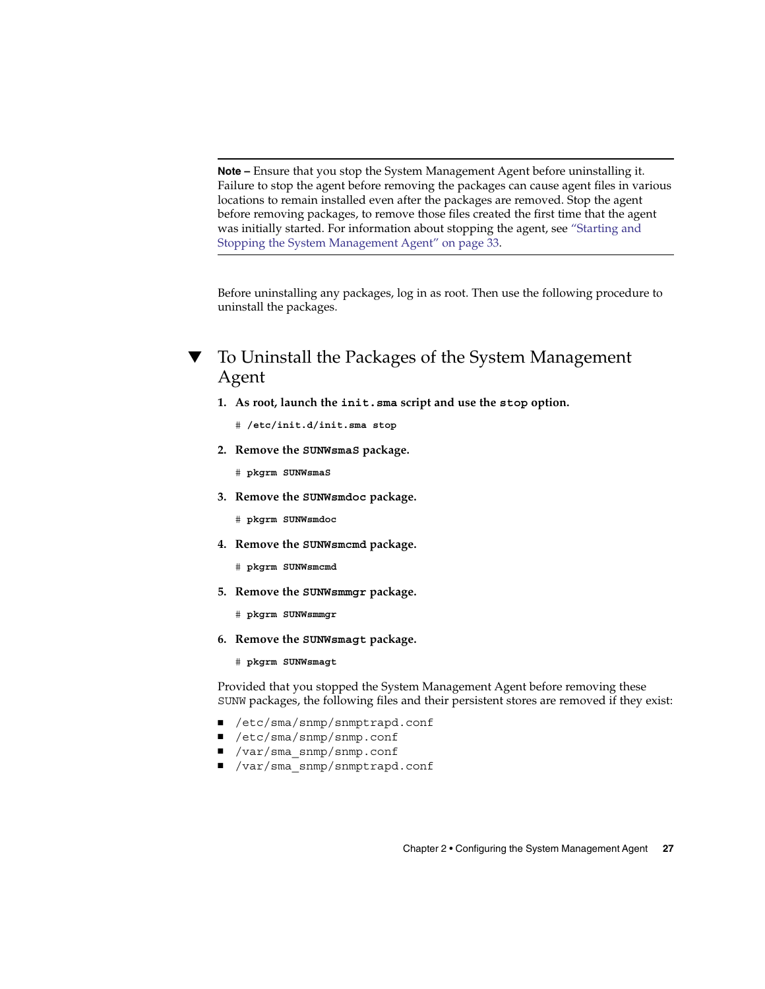**Note –** Ensure that you stop the System Management Agent before uninstalling it. Failure to stop the agent before removing the packages can cause agent files in various locations to remain installed even after the packages are removed. Stop the agent before removing packages, to remove those files created the first time that the agent was initially started. For information about stopping the agent, see ["Starting and](#page-32-0) [Stopping the System Management Agent"](#page-32-0) on page 33.

Before uninstalling any packages, log in as root. Then use the following procedure to uninstall the packages.

### ▼ To Uninstall the Packages of the System Management Agent

- **1. As root, launch the init.sma script and use the stop option.**
	- # **/etc/init.d/init.sma stop**
- **2. Remove the SUNWsmaS package.**
	- # **pkgrm SUNWsmaS**
- **3. Remove the SUNWsmdoc package.**
	- # **pkgrm SUNWsmdoc**
- **4. Remove the SUNWsmcmd package.**
	- # **pkgrm SUNWsmcmd**
- **5. Remove the SUNWsmmgr package.**
	- # **pkgrm SUNWsmmgr**
- **6. Remove the SUNWsmagt package.**
	- # **pkgrm SUNWsmagt**

Provided that you stopped the System Management Agent before removing these SUNW packages, the following files and their persistent stores are removed if they exist:

- /etc/sma/snmp/snmptrapd.conf
- /etc/sma/snmp/snmp.conf
- /var/sma\_snmp/snmp.conf
- /var/sma snmp/snmptrapd.conf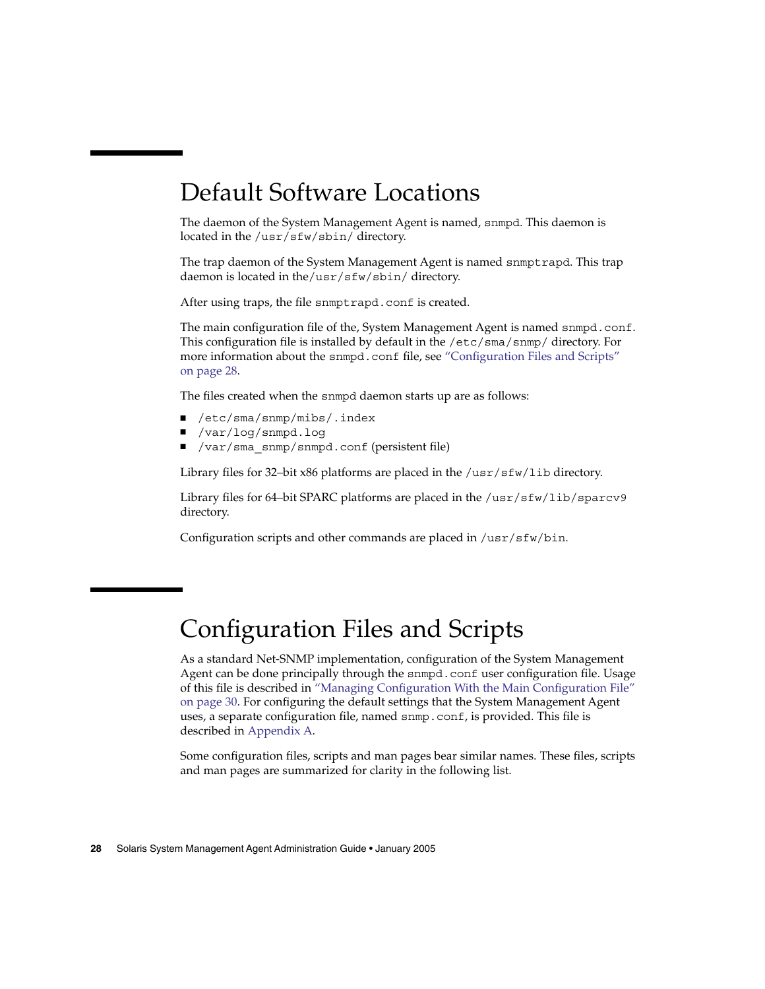## <span id="page-27-0"></span>Default Software Locations

The daemon of the System Management Agent is named, snmpd. This daemon is located in the /usr/sfw/sbin/ directory.

The trap daemon of the System Management Agent is named snmptrapd. This trap daemon is located in the/usr/sfw/sbin/ directory.

After using traps, the file snmptrapd.conf is created.

The main configuration file of the, System Management Agent is named snmpd.conf. This configuration file is installed by default in the /etc/sma/snmp/ directory. For more information about the snmpd.conf file, see "Configuration Files and Scripts" on page 28.

The files created when the snmpd daemon starts up are as follows:

- /etc/sma/snmp/mibs/.index
- /var/log/snmpd.log
- /var/sma\_snmp/snmpd.conf (persistent file)

Library files for 32-bit x86 platforms are placed in the /usr/sfw/lib directory.

Library files for 64–bit SPARC platforms are placed in the /usr/sfw/lib/sparcv9 directory.

Configuration scripts and other commands are placed in /usr/sfw/bin.

## Configuration Files and Scripts

As a standard Net-SNMP implementation, configuration of the System Management Agent can be done principally through the snmpd.conf user configuration file. Usage of this file is described in ["Managing Configuration With the Main Configuration File"](#page-29-0) [on page 30.](#page-29-0) For configuring the default settings that the System Management Agent uses, a separate configuration file, named snmp.conf, is provided. This file is described in [Appendix A.](#page-74-0)

Some configuration files, scripts and man pages bear similar names. These files, scripts and man pages are summarized for clarity in the following list.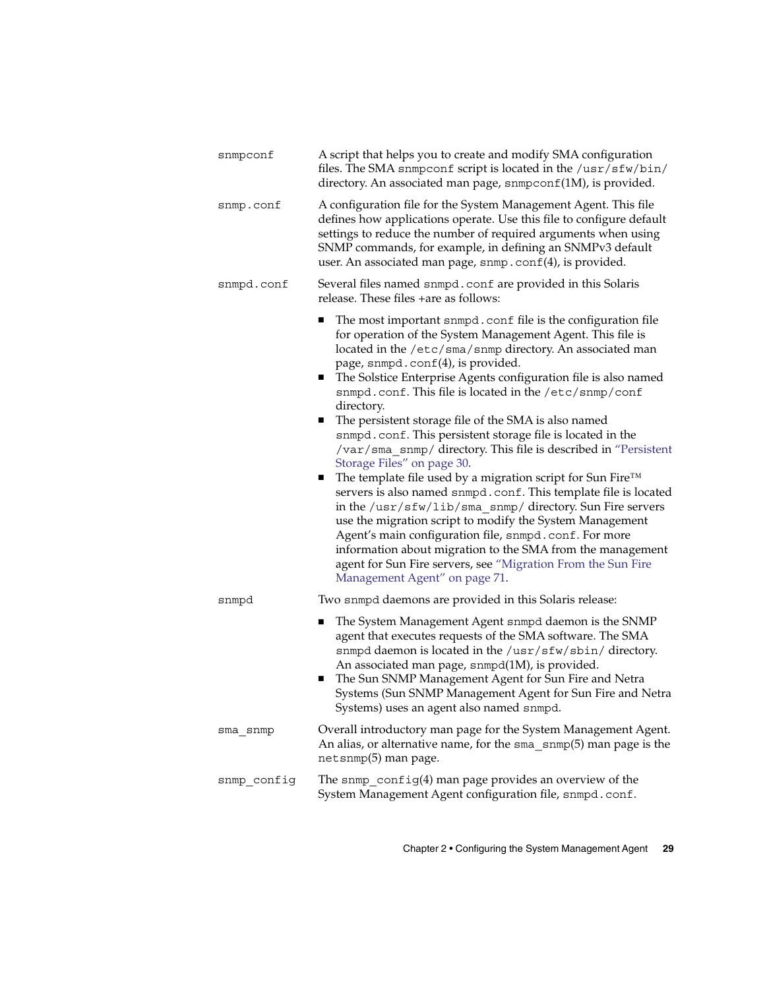| snmpconf    | A script that helps you to create and modify SMA configuration<br>files. The SMA snmpconf script is located in the /usr/sfw/bin/<br>directory. An associated man page, $s$ nmp $\text{conf}(1M)$ , is provided.                                                                                                                                                                                                                                                                                                                                                                                                                                                                                                                                                                                                                                                                                                                                                                                                                                                                                     |
|-------------|-----------------------------------------------------------------------------------------------------------------------------------------------------------------------------------------------------------------------------------------------------------------------------------------------------------------------------------------------------------------------------------------------------------------------------------------------------------------------------------------------------------------------------------------------------------------------------------------------------------------------------------------------------------------------------------------------------------------------------------------------------------------------------------------------------------------------------------------------------------------------------------------------------------------------------------------------------------------------------------------------------------------------------------------------------------------------------------------------------|
| snmp.conf   | A configuration file for the System Management Agent. This file<br>defines how applications operate. Use this file to configure default<br>settings to reduce the number of required arguments when using<br>SNMP commands, for example, in defining an SNMPv3 default<br>user. An associated man page, snmp. conf(4), is provided.                                                                                                                                                                                                                                                                                                                                                                                                                                                                                                                                                                                                                                                                                                                                                                 |
| snmpd.conf  | Several files named snmpd.conf are provided in this Solaris<br>release. These files +are as follows:                                                                                                                                                                                                                                                                                                                                                                                                                                                                                                                                                                                                                                                                                                                                                                                                                                                                                                                                                                                                |
|             | The most important snmpd.conf file is the configuration file<br>ш<br>for operation of the System Management Agent. This file is<br>located in the /etc/sma/snmp directory. An associated man<br>page, snmpd.conf(4), is provided.<br>The Solstice Enterprise Agents configuration file is also named<br>■<br>snmpd.conf. This file is located in the /etc/snmp/conf<br>directory.<br>The persistent storage file of the SMA is also named<br>п<br>snmpd.conf. This persistent storage file is located in the<br>/var/sma_snmp/ directory. This file is described in "Persistent<br>Storage Files" on page 30.<br>The template file used by a migration script for Sun Fire™<br>ш<br>servers is also named snmpd.conf. This template file is located<br>in the /usr/sfw/lib/sma_snmp/directory. Sun Fire servers<br>use the migration script to modify the System Management<br>Agent's main configuration file, snmpd.conf. For more<br>information about migration to the SMA from the management<br>agent for Sun Fire servers, see "Migration From the Sun Fire<br>Management Agent" on page 71. |
| snmpd       | Two snmpd daemons are provided in this Solaris release:                                                                                                                                                                                                                                                                                                                                                                                                                                                                                                                                                                                                                                                                                                                                                                                                                                                                                                                                                                                                                                             |
|             | The System Management Agent snmpd daemon is the SNMP<br>п<br>agent that executes requests of the SMA software. The SMA<br>snmpd daemon is located in the /usr/sfw/sbin/directory.<br>An associated man page, snmpd(1M), is provided.<br>The Sun SNMP Management Agent for Sun Fire and Netra<br>ш<br>Systems (Sun SNMP Management Agent for Sun Fire and Netra<br>Systems) uses an agent also named snmpd.                                                                                                                                                                                                                                                                                                                                                                                                                                                                                                                                                                                                                                                                                          |
| sma snmp    | Overall introductory man page for the System Management Agent.<br>An alias, or alternative name, for the sma_snmp(5) man page is the<br>netsnmp(5) man page.                                                                                                                                                                                                                                                                                                                                                                                                                                                                                                                                                                                                                                                                                                                                                                                                                                                                                                                                        |
| snmp config | The snmp_config $(4)$ man page provides an overview of the<br>System Management Agent configuration file, snmpd.conf.                                                                                                                                                                                                                                                                                                                                                                                                                                                                                                                                                                                                                                                                                                                                                                                                                                                                                                                                                                               |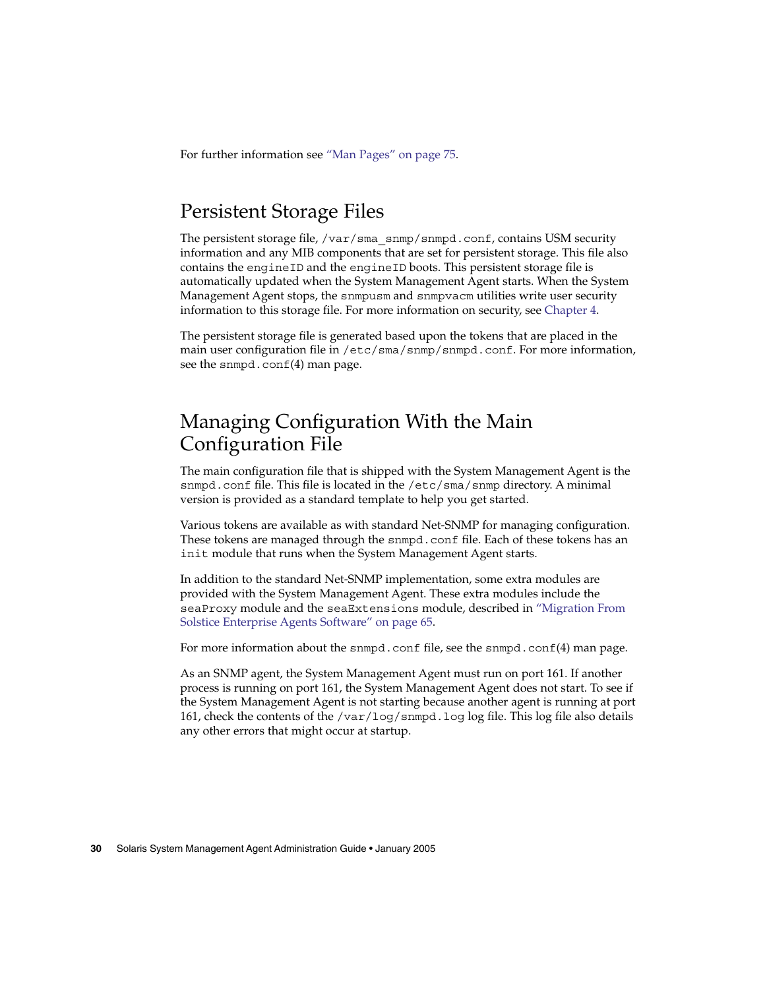<span id="page-29-0"></span>For further information see ["Man Pages"](#page-74-0) on page 75.

### Persistent Storage Files

The persistent storage file, /var/sma\_snmp/snmpd.conf, contains USM security information and any MIB components that are set for persistent storage. This file also contains the engineID and the engineID boots. This persistent storage file is automatically updated when the System Management Agent starts. When the System Management Agent stops, the snmpusm and snmpvacm utilities write user security information to this storage file. For more information on security, see [Chapter 4.](#page-40-0)

The persistent storage file is generated based upon the tokens that are placed in the main user configuration file in /etc/sma/snmp/snmpd.conf. For more information, see the snmpd.con $f(4)$  man page.

## Managing Configuration With the Main Configuration File

The main configuration file that is shipped with the System Management Agent is the snmpd.conf file. This file is located in the /etc/sma/snmp directory. A minimal version is provided as a standard template to help you get started.

Various tokens are available as with standard Net-SNMP for managing configuration. These tokens are managed through the snmpd.conf file. Each of these tokens has an init module that runs when the System Management Agent starts.

In addition to the standard Net-SNMP implementation, some extra modules are provided with the System Management Agent. These extra modules include the seaProxy module and the seaExtensions module, described in ["Migration From](#page-64-0) [Solstice Enterprise Agents Software"](#page-64-0) on page 65.

For more information about the snmpd.conf file, see the snmpd.conf(4) man page.

As an SNMP agent, the System Management Agent must run on port 161. If another process is running on port 161, the System Management Agent does not start. To see if the System Management Agent is not starting because another agent is running at port 161, check the contents of the /var/log/snmpd.log log file. This log file also details any other errors that might occur at startup.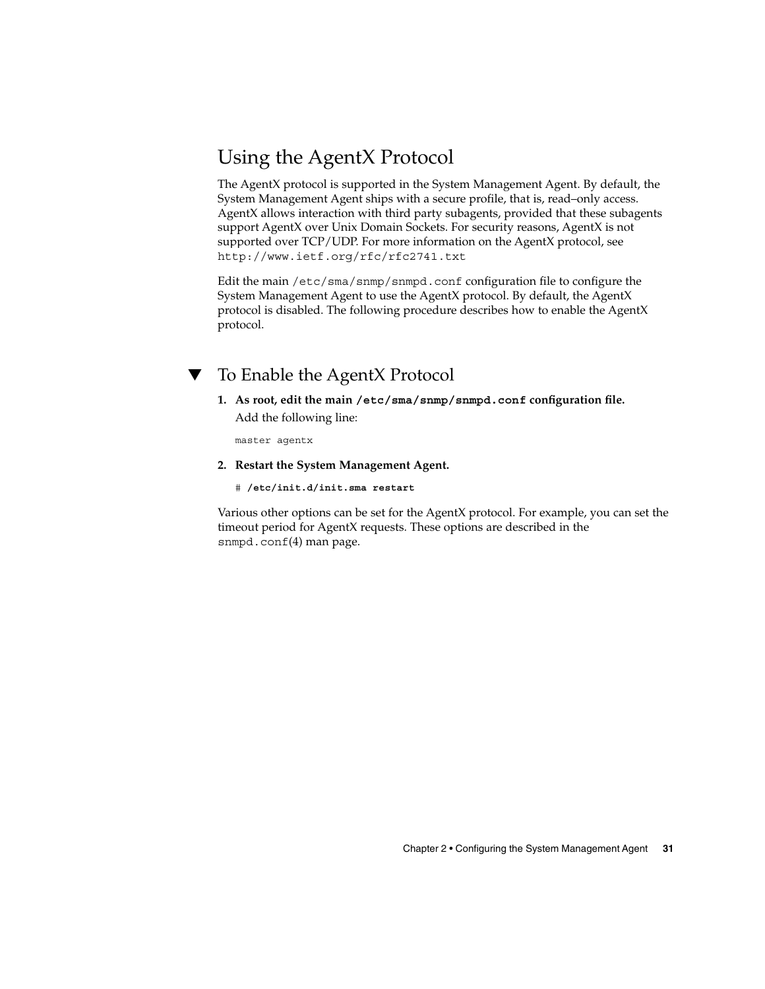## <span id="page-30-0"></span>Using the AgentX Protocol

The AgentX protocol is supported in the System Management Agent. By default, the System Management Agent ships with a secure profile, that is, read–only access. AgentX allows interaction with third party subagents, provided that these subagents support AgentX over Unix Domain Sockets. For security reasons, AgentX is not supported over TCP/UDP. For more information on the AgentX protocol, see <http://www.ietf.org/rfc/rfc2741.txt>

Edit the main /etc/sma/snmp/snmpd.conf configuration file to configure the System Management Agent to use the AgentX protocol. By default, the AgentX protocol is disabled. The following procedure describes how to enable the AgentX protocol.

### To Enable the AgentX Protocol

**1. As root, edit the main /etc/sma/snmp/snmpd.conf configuration file.** Add the following line:

master agentx

**2. Restart the System Management Agent.**

```
# /etc/init.d/init.sma restart
```
Various other options can be set for the AgentX protocol. For example, you can set the timeout period for AgentX requests. These options are described in the snmpd.conf(4) man page.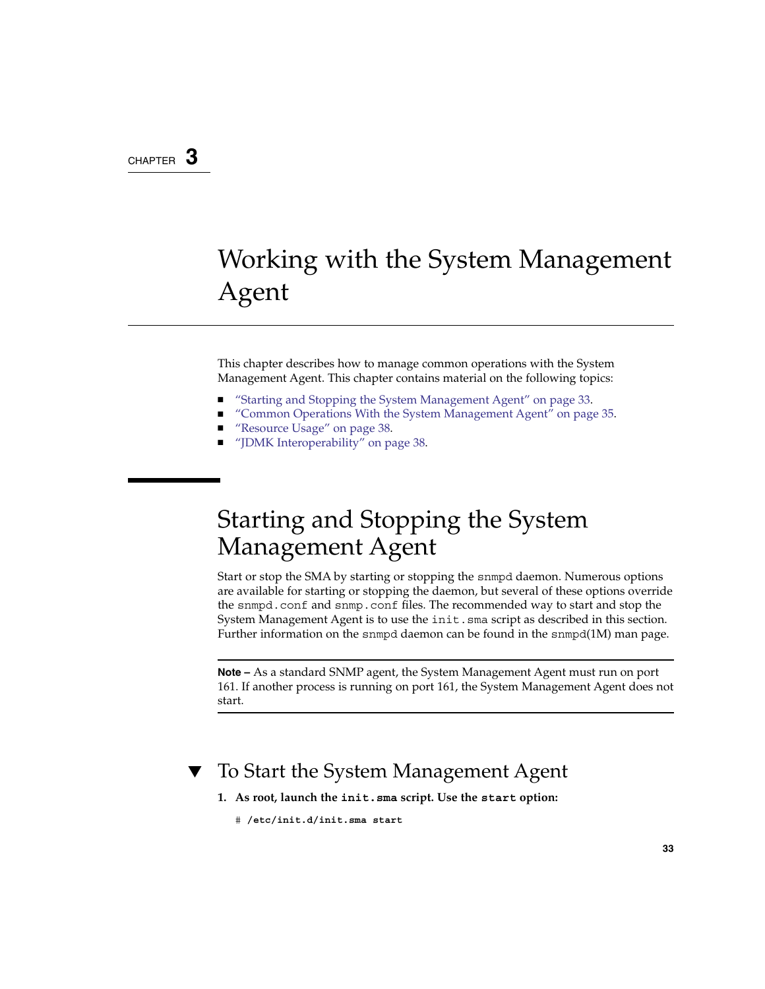### <span id="page-32-0"></span>CHAPTER **3**

# Working with the System Management Agent

This chapter describes how to manage common operations with the System Management Agent. This chapter contains material on the following topics:

- "Starting and Stopping the System Management Agent" on page 33.
- ["Common Operations With the System Management Agent"](#page-34-0) on page 35.
- ["Resource Usage"](#page-37-0) on page 38.
- ["JDMK Interoperability"](#page-37-0) on page 38.

## Starting and Stopping the System Management Agent

Start or stop the SMA by starting or stopping the snmpd daemon. Numerous options are available for starting or stopping the daemon, but several of these options override the snmpd.conf and snmp.conf files. The recommended way to start and stop the System Management Agent is to use the init. sma script as described in this section. Further information on the snmpd daemon can be found in the snmpd(1M) man page.

**Note –** As a standard SNMP agent, the System Management Agent must run on port 161. If another process is running on port 161, the System Management Agent does not start.

### To Start the System Management Agent

**1. As root, launch the init.sma script. Use the start option:**

```
# /etc/init.d/init.sma start
```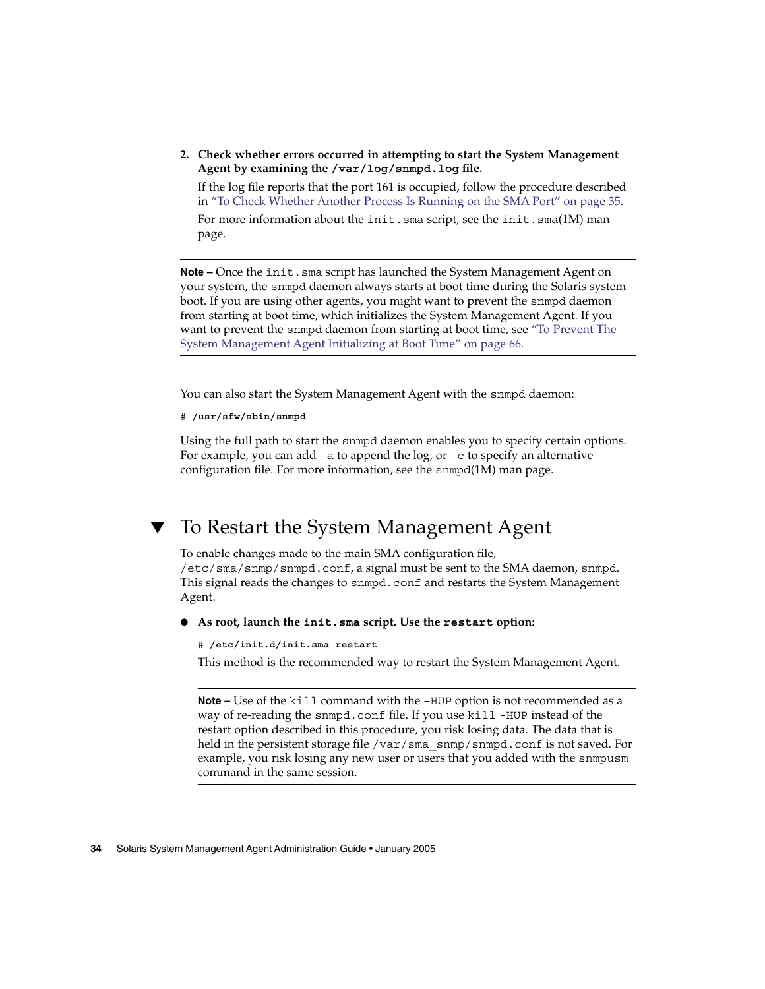<span id="page-33-0"></span>**2. Check whether errors occurred in attempting to start the System Management Agent by examining the /var/log/snmpd.log file.**

If the log file reports that the port 161 is occupied, follow the procedure described in ["To Check Whether Another Process Is Running on the SMA Port"](#page-34-0) on page 35. For more information about the init.sma script, see the init.sma(1M) man page.

**Note** – Once the init. sma script has launched the System Management Agent on your system, the snmpd daemon always starts at boot time during the Solaris system boot. If you are using other agents, you might want to prevent the snmpd daemon from starting at boot time, which initializes the System Management Agent. If you want to prevent the snmpd daemon from starting at boot time, see ["To Prevent The](#page-65-0) [System Management Agent Initializing at Boot Time"](#page-65-0) on page 66.

You can also start the System Management Agent with the snmpd daemon:

```
# /usr/sfw/sbin/snmpd
```
Using the full path to start the snmpd daemon enables you to specify certain options. For example, you can add  $-$ a to append the log, or  $-c$  to specify an alternative configuration file. For more information, see the snmpd(1M) man page.

### To Restart the System Management Agent

To enable changes made to the main SMA configuration file, /etc/sma/snmp/snmpd.conf, a signal must be sent to the SMA daemon, snmpd. This signal reads the changes to snmpd.conf and restarts the System Management Agent.

● **As root, launch the init.sma script. Use the restart option:**

# **/etc/init.d/init.sma restart**

This method is the recommended way to restart the System Management Agent.

**Note** – Use of the kill command with the –HUP option is not recommended as a way of re-reading the snmpd.conf file. If you use kill -HUP instead of the restart option described in this procedure, you risk losing data. The data that is held in the persistent storage file /var/sma\_snmp/snmpd.conf is not saved. For example, you risk losing any new user or users that you added with the snmpusm command in the same session.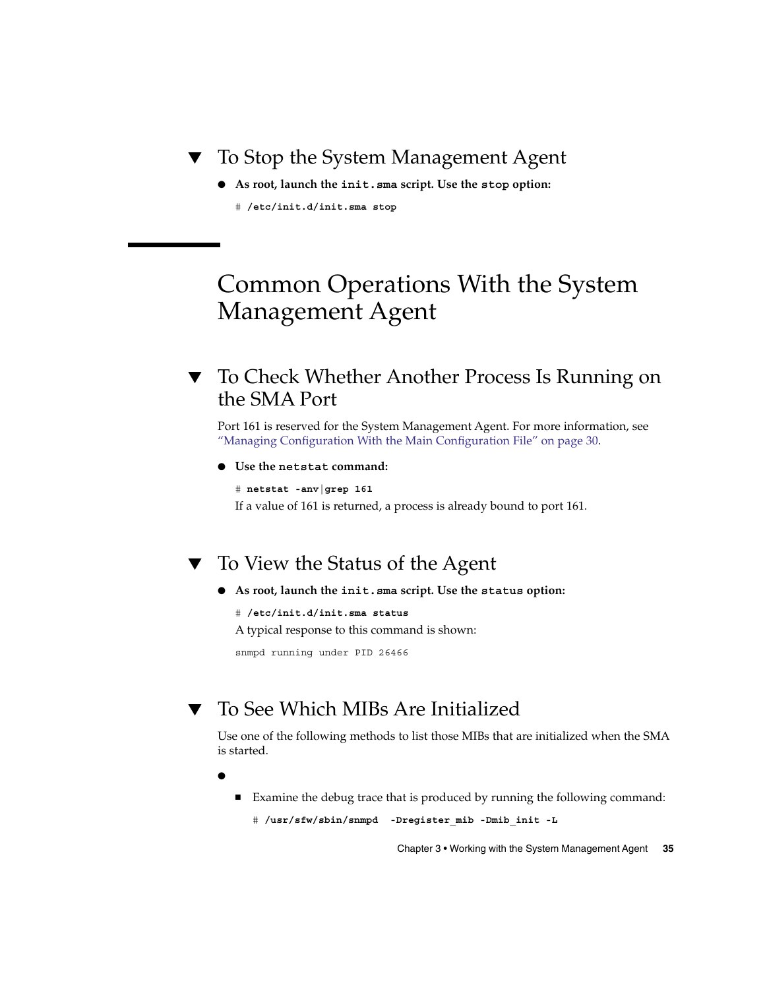### <span id="page-34-0"></span>▼ To Stop the System Management Agent

#### ● **As root, launch the init.sma script. Use the stop option:**

# **/etc/init.d/init.sma stop**

## Common Operations With the System Management Agent

### ▼ To Check Whether Another Process Is Running on the SMA Port

Port 161 is reserved for the System Management Agent. For more information, see ["Managing Configuration With the Main Configuration File"](#page-29-0) on page 30.

● **Use the netstat command:**

```
# netstat -anv|grep 161
```
If a value of 161 is returned, a process is already bound to port 161.

## ▼ To View the Status of the Agent

- **As root, launch the init.sma script. Use the status option:**
	- # **/etc/init.d/init.sma status**

A typical response to this command is shown:

snmpd running under PID 26466

## To See Which MIBs Are Initialized

Use one of the following methods to list those MIBs that are initialized when the SMA is started.

- ●
- Examine the debug trace that is produced by running the following command:

# **/usr/sfw/sbin/snmpd -Dregister\_mib -Dmib\_init -L**

Chapter 3 • Working with the System Management Agent **35**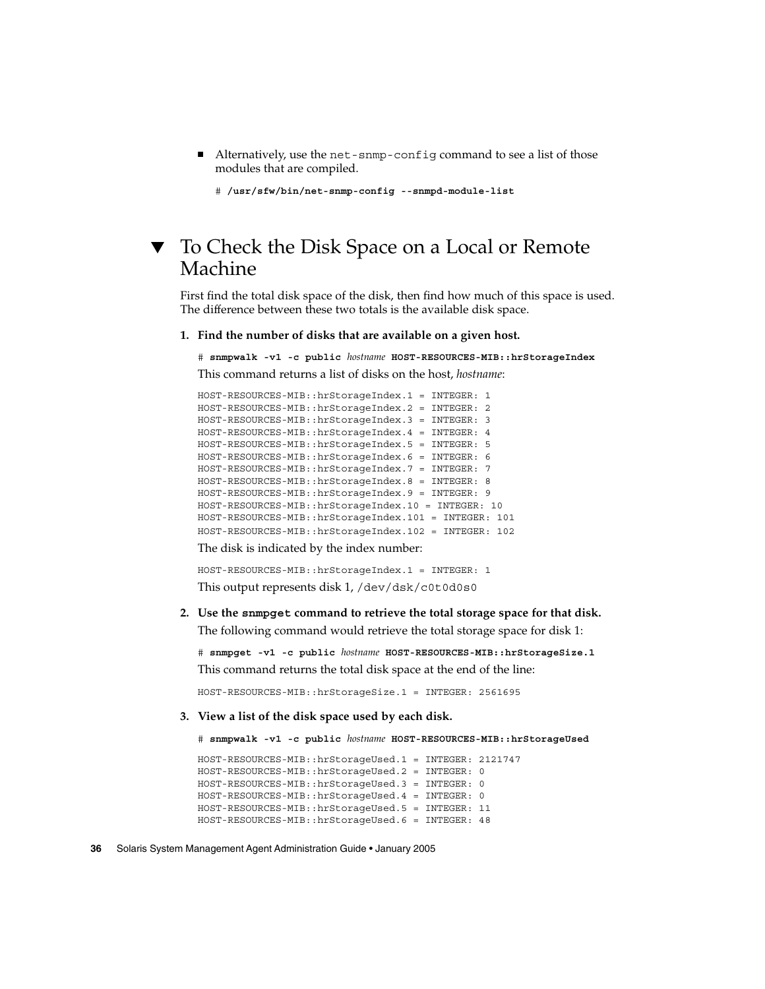<span id="page-35-0"></span>Alternatively, use the net-snmp-config command to see a list of those modules that are compiled.

```
# /usr/sfw/bin/net-snmp-config --snmpd-module-list
```
### To Check the Disk Space on a Local or Remote Machine

First find the total disk space of the disk, then find how much of this space is used. The difference between these two totals is the available disk space.

#### **1. Find the number of disks that are available on a given host.**

# **snmpwalk -v1 -c public** *hostname* **HOST-RESOURCES-MIB::hrStorageIndex**

This command returns a list of disks on the host, *hostname*:

```
HOST-RESOURCES-MIB::hrStorageIndex.1 = INTEGER: 1
HOST-RESOURCES-MIB::hrStorageIndex.2 = INTEGER: 2
HOST-RESOURCES-MIB::hrStorageIndex.3 = INTEGER: 3
HOST-RESOURCES-MIB::hrStorageIndex.4 = INTEGER: 4
HOST-RESOURCES-MIB::hrStorageIndex.5 = INTEGER: 5
HOST-RESOURCES-MIB::hrStorageIndex.6 = INTEGER: 6
HOST-RESOURCES-MIB::hrStorageIndex.7 = INTEGER: 7
HOST-RESOURCES-MIB::hrStorageIndex.8 = INTEGER: 8
HOST-RESOURCES-MIB::hrStorageIndex.9 = INTEGER: 9
HOST-RESOURCES-MIB::hrStorageIndex.10 = INTEGER: 10
HOST-RESOURCES-MIB::hrStorageIndex.101 = INTEGER: 101
HOST-RESOURCES-MIB::hrStorageIndex.102 = INTEGER: 102
```
The disk is indicated by the index number:

HOST-RESOURCES-MIB::hrStorageIndex.1 = INTEGER: 1 This output represents disk 1, /dev/dsk/c0t0d0s0

### **2. Use the snmpget command to retrieve the total storage space for that disk.**

The following command would retrieve the total storage space for disk 1:

# **snmpget -v1 -c public** *hostname* **HOST-RESOURCES-MIB::hrStorageSize.1** This command returns the total disk space at the end of the line:

HOST-RESOURCES-MIB::hrStorageSize.1 = INTEGER: 2561695

#### **3. View a list of the disk space used by each disk.**

# **snmpwalk -v1 -c public** *hostname* **HOST-RESOURCES-MIB::hrStorageUsed**

HOST-RESOURCES-MIB::hrStorageUsed.1 = INTEGER: 2121747 HOST-RESOURCES-MIB::hrStorageUsed.2 = INTEGER: 0 HOST-RESOURCES-MIB::hrStorageUsed.3 = INTEGER: 0 HOST-RESOURCES-MIB::hrStorageUsed.4 = INTEGER: 0 HOST-RESOURCES-MIB::hrStorageUsed.5 = INTEGER: 11 HOST-RESOURCES-MIB::hrStorageUsed.6 = INTEGER: 48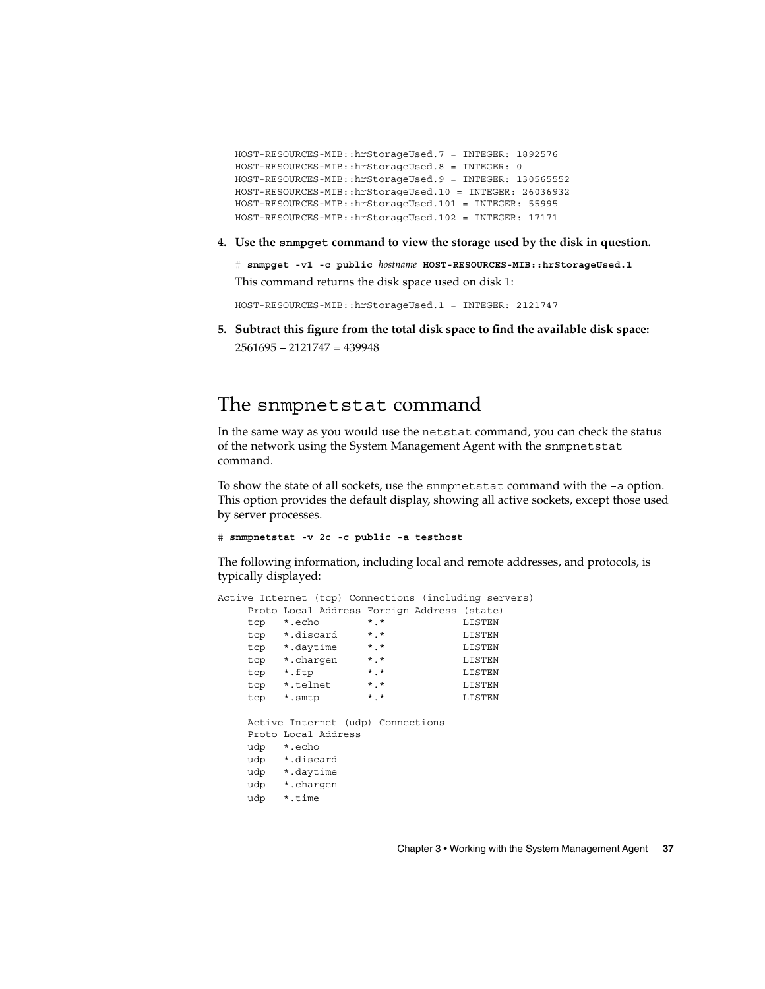```
HOST-RESOURCES-MIB::hrStorageUsed.7 = INTEGER: 1892576
HOST-RESOURCES-MIB::hrStorageUsed.8 = INTEGER: 0
HOST-RESOURCES-MIB::hrStorageUsed.9 = INTEGER: 130565552
HOST-RESOURCES-MIB::hrStorageUsed.10 = INTEGER: 26036932
HOST-RESOURCES-MIB::hrStorageUsed.101 = INTEGER: 55995
HOST-RESOURCES-MIB::hrStorageUsed.102 = INTEGER: 17171
```
**4. Use the snmpget command to view the storage used by the disk in question.**

# **snmpget -v1 -c public** *hostname* **HOST-RESOURCES-MIB::hrStorageUsed.1** This command returns the disk space used on disk 1:

HOST-RESOURCES-MIB::hrStorageUsed.1 = INTEGER: 2121747

**5. Subtract this figure from the total disk space to find the available disk space:**  $2561695 - 2121747 = 439948$ 

### The snmpnetstat command

In the same way as you would use the netstat command, you can check the status of the network using the System Management Agent with the snmpnetstat command.

To show the state of all sockets, use the snmpnetstat command with the –a option. This option provides the default display, showing all active sockets, except those used by server processes.

# **snmpnetstat -v 2c -c public -a testhost**

The following information, including local and remote addresses, and protocols, is typically displayed:

Active Internet (tcp) Connections (including servers) Proto Local Address Foreign Address (state) tcp \*.echo \*.\* LISTEN<br>tcp \*.discard \*.\* LISTEN tcp \*.discard \*.\* LISTEN<br>tcp \*.daytime \*.\* LISTEN<br>tcp \*.chargen \*.\* LISTEN tcp \*.daytime tcp \*.chargen \*.\*<br>tcp \*.ftp \*.\* tcp \*.chargen \*.\* LISTEN<br>tcp \*.ftp \*.\* LISTEN<br>tcp \*.telnet \*.\* LISTEN<br>tcp \*.smtp \*.\* LISTEN<br>tcp \*.smtp \*.\* LISTEN tcp \*.telnet \*.\* LISTEN tcp \*.smtp Active Internet (udp) Connections Proto Local Address udp \*.echo udp \*.discard udp \*.daytime udp \*.chargen udp \*.time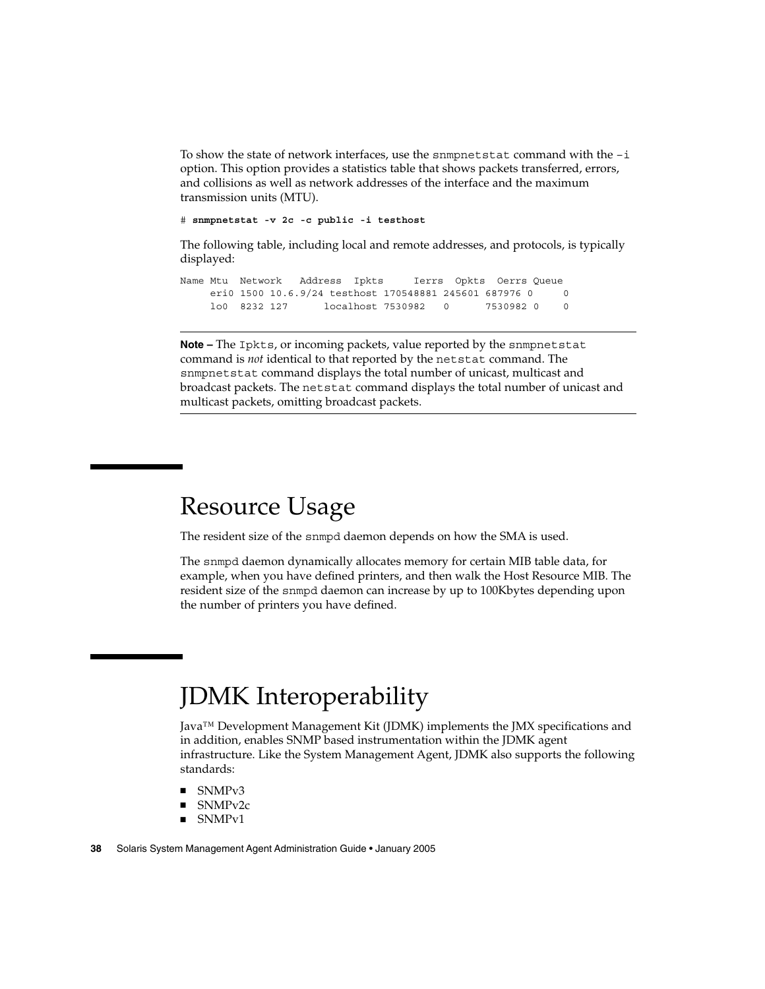To show the state of network interfaces, use the snmpnet stat command with the  $-i$ option. This option provides a statistics table that shows packets transferred, errors, and collisions as well as network addresses of the interface and the maximum transmission units (MTU).

```
# snmpnetstat -v 2c -c public -i testhost
```
The following table, including local and remote addresses, and protocols, is typically displayed:

```
Name Mtu Network Address Ipkts Ierrs Opkts Oerrs Queue
    eri0 1500 10.6.9/24 testhost 170548881 245601 687976 0 0
    lo0 8232 127 localhost 7530982 0 7530982 0 0
```
**Note –** The Ipkts, or incoming packets, value reported by the snmpnetstat command is *not* identical to that reported by the netstat command. The snmpnetstat command displays the total number of unicast, multicast and broadcast packets. The netstat command displays the total number of unicast and multicast packets, omitting broadcast packets.

# Resource Usage

The resident size of the snmpd daemon depends on how the SMA is used.

The snmpd daemon dynamically allocates memory for certain MIB table data, for example, when you have defined printers, and then walk the Host Resource MIB. The resident size of the snmpd daemon can increase by up to 100Kbytes depending upon the number of printers you have defined.

# JDMK Interoperability

Java™ Development Management Kit (JDMK) implements the JMX specifications and in addition, enables SNMP based instrumentation within the JDMK agent infrastructure. Like the System Management Agent, JDMK also supports the following standards:

- SNMP<sub>v3</sub>
- SNMPv2c
- SNMPv1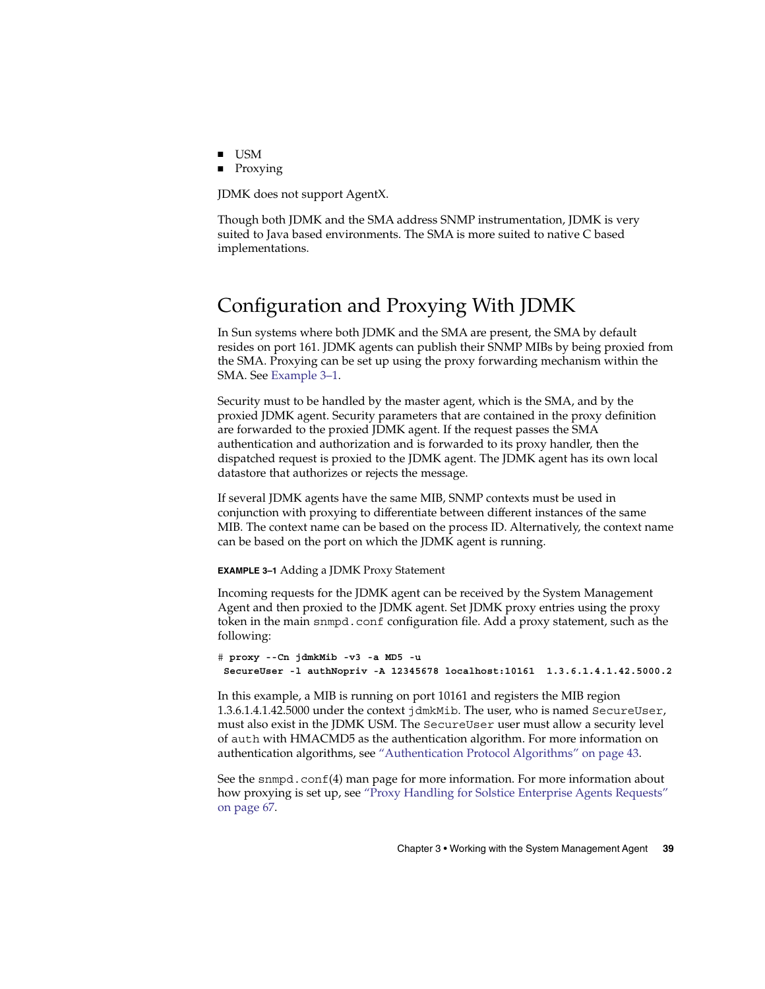- USM
- Proxying

JDMK does not support AgentX.

Though both JDMK and the SMA address SNMP instrumentation, JDMK is very suited to Java based environments. The SMA is more suited to native C based implementations.

## Configuration and Proxying With JDMK

In Sun systems where both JDMK and the SMA are present, the SMA by default resides on port 161. JDMK agents can publish their SNMP MIBs by being proxied from the SMA. Proxying can be set up using the proxy forwarding mechanism within the SMA. See Example 3–1.

Security must to be handled by the master agent, which is the SMA, and by the proxied JDMK agent. Security parameters that are contained in the proxy definition are forwarded to the proxied JDMK agent. If the request passes the SMA authentication and authorization and is forwarded to its proxy handler, then the dispatched request is proxied to the JDMK agent. The JDMK agent has its own local datastore that authorizes or rejects the message.

If several JDMK agents have the same MIB, SNMP contexts must be used in conjunction with proxying to differentiate between different instances of the same MIB. The context name can be based on the process ID. Alternatively, the context name can be based on the port on which the JDMK agent is running.

**EXAMPLE 3–1** Adding a JDMK Proxy Statement

Incoming requests for the JDMK agent can be received by the System Management Agent and then proxied to the JDMK agent. Set JDMK proxy entries using the proxy token in the main snmpd.conf configuration file. Add a proxy statement, such as the following:

```
# proxy --Cn jdmkMib -v3 -a MD5 -u
SecureUser -l authNopriv -A 12345678 localhost:10161 1.3.6.1.4.1.42.5000.2
```
In this example, a MIB is running on port 10161 and registers the MIB region 1.3.6.1.4.1.42.5000 under the context jdmkMib. The user, who is named SecureUser, must also exist in the JDMK USM. The SecureUser user must allow a security level of auth with HMACMD5 as the authentication algorithm. For more information on authentication algorithms, see ["Authentication Protocol Algorithms"](#page-42-0) on page 43.

See the snmpd.conf(4) man page for more information. For more information about how proxying is set up, see ["Proxy Handling for Solstice Enterprise Agents Requests"](#page-66-0) [on page 67.](#page-66-0)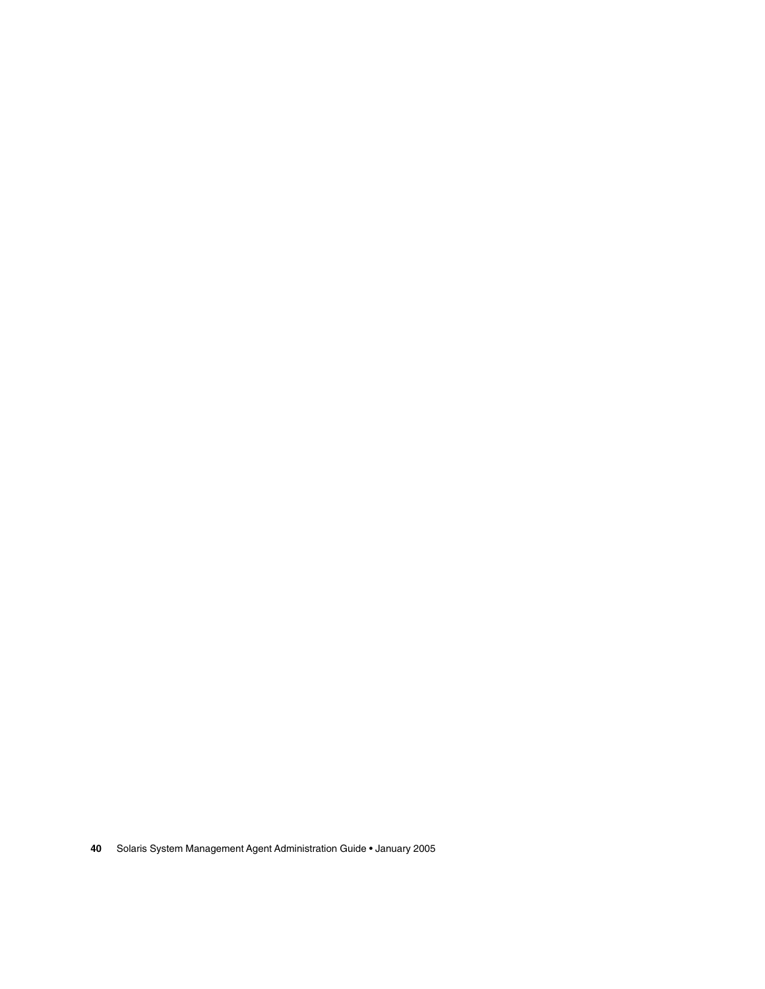Solaris System Management Agent Administration Guide • January 2005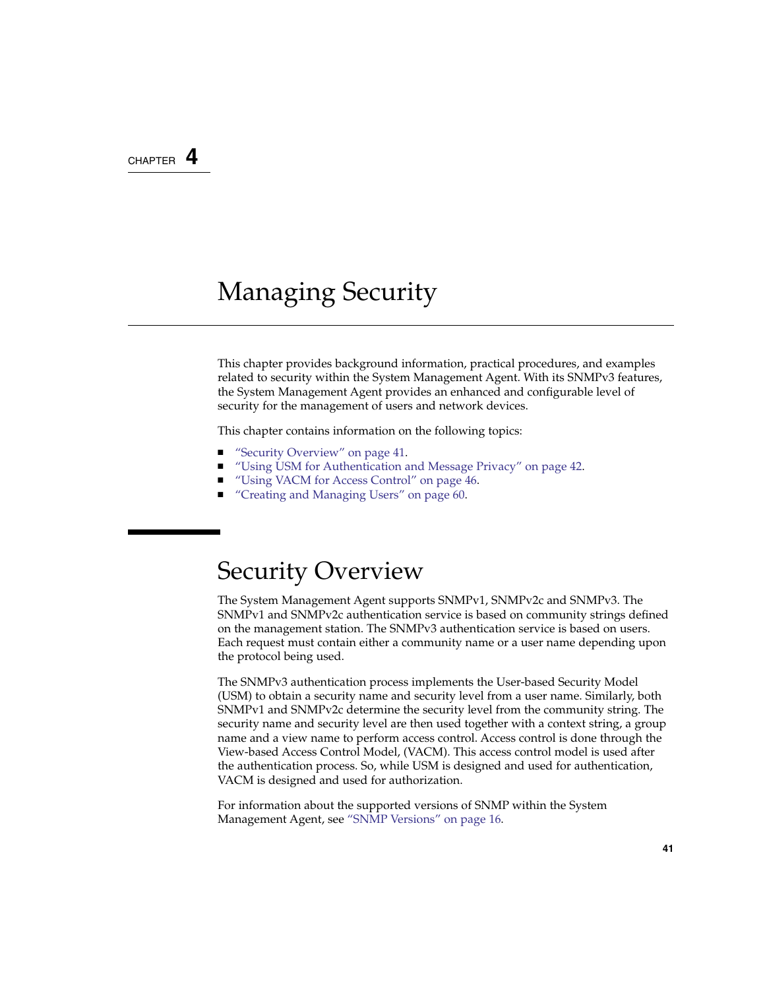### CHAPTER **4**

# Managing Security

This chapter provides background information, practical procedures, and examples related to security within the System Management Agent. With its SNMPv3 features, the System Management Agent provides an enhanced and configurable level of security for the management of users and network devices.

This chapter contains information on the following topics:

- "Security Overview" on page 41.
- ["Using USM for Authentication and Message Privacy"](#page-41-0) on page 42.
- ["Using VACM for Access Control"](#page-45-0) on page 46.
- ["Creating and Managing Users"](#page-59-0) on page 60.

# Security Overview

The System Management Agent supports SNMPv1, SNMPv2c and SNMPv3. The SNMPv1 and SNMPv2c authentication service is based on community strings defined on the management station. The SNMPv3 authentication service is based on users. Each request must contain either a community name or a user name depending upon the protocol being used.

The SNMPv3 authentication process implements the User-based Security Model (USM) to obtain a security name and security level from a user name. Similarly, both SNMPv1 and SNMPv2c determine the security level from the community string. The security name and security level are then used together with a context string, a group name and a view name to perform access control. Access control is done through the View-based Access Control Model, (VACM). This access control model is used after the authentication process. So, while USM is designed and used for authentication, VACM is designed and used for authorization.

For information about the supported versions of SNMP within the System Management Agent, see ["SNMP Versions"](#page-15-0) on page 16.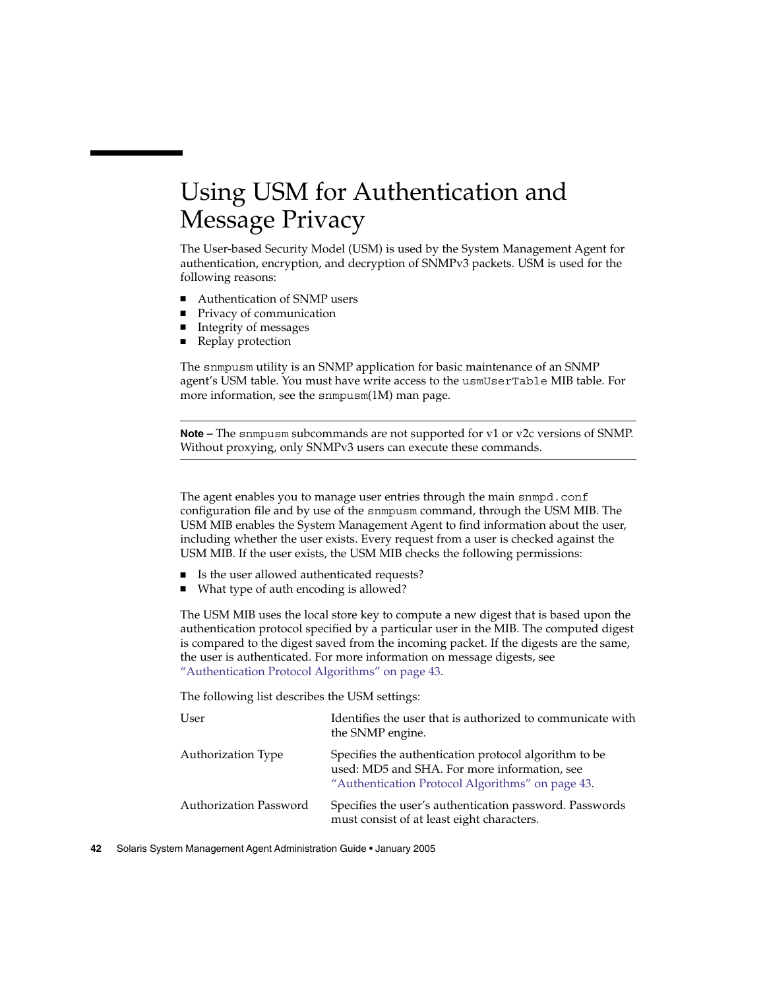# <span id="page-41-0"></span>Using USM for Authentication and Message Privacy

The User-based Security Model (USM) is used by the System Management Agent for authentication, encryption, and decryption of SNMPv3 packets. USM is used for the following reasons:

- Authentication of SNMP users
- Privacy of communication
- Integrity of messages
- Replay protection

The snmpusm utility is an SNMP application for basic maintenance of an SNMP agent's USM table. You must have write access to the usmUserTable MIB table. For more information, see the snmpusm(1M) man page.

**Note –** The snmpusm subcommands are not supported for v1 or v2c versions of SNMP. Without proxying, only SNMPv3 users can execute these commands.

The agent enables you to manage user entries through the main snmpd.conf configuration file and by use of the snmpusm command, through the USM MIB. The USM MIB enables the System Management Agent to find information about the user, including whether the user exists. Every request from a user is checked against the USM MIB. If the user exists, the USM MIB checks the following permissions:

- Is the user allowed authenticated requests?
- What type of auth encoding is allowed?

The USM MIB uses the local store key to compute a new digest that is based upon the authentication protocol specified by a particular user in the MIB. The computed digest is compared to the digest saved from the incoming packet. If the digests are the same, the user is authenticated. For more information on message digests, see ["Authentication Protocol Algorithms"](#page-42-0) on page 43.

The following list describes the USM settings:

| User                          | Identifies the user that is authorized to communicate with<br>the SNMP engine.                                                                            |
|-------------------------------|-----------------------------------------------------------------------------------------------------------------------------------------------------------|
| Authorization Type            | Specifies the authentication protocol algorithm to be<br>used: MD5 and SHA. For more information, see<br>"Authentication Protocol Algorithms" on page 43. |
| <b>Authorization Password</b> | Specifies the user's authentication password. Passwords<br>must consist of at least eight characters.                                                     |

**42** Solaris System Management Agent Administration Guide • January 2005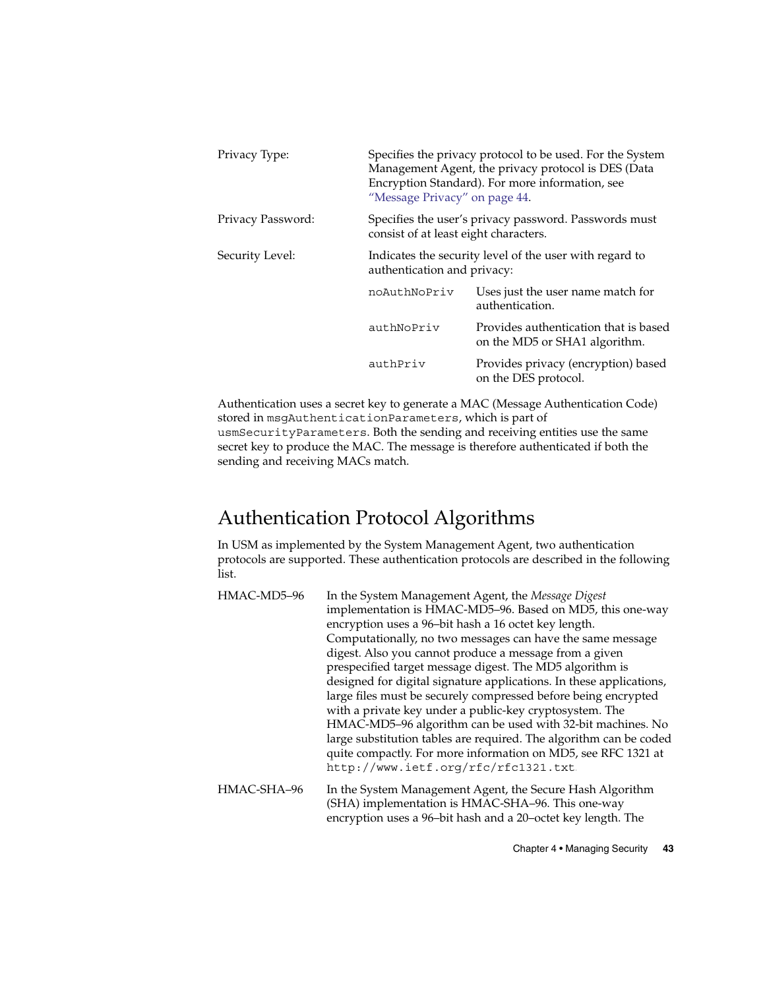<span id="page-42-0"></span>

| Privacy Type:     |                             | Specifies the privacy protocol to be used. For the System<br>Management Agent, the privacy protocol is DES (Data<br>Encryption Standard). For more information, see<br>"Message Privacy" on page 44. |  |  |
|-------------------|-----------------------------|------------------------------------------------------------------------------------------------------------------------------------------------------------------------------------------------------|--|--|
| Privacy Password: |                             | Specifies the user's privacy password. Passwords must<br>consist of at least eight characters.                                                                                                       |  |  |
| Security Level:   | authentication and privacy: | Indicates the security level of the user with regard to                                                                                                                                              |  |  |
|                   | noAuthNoPriv                | Uses just the user name match for<br>authentication.                                                                                                                                                 |  |  |
|                   | authNoPriv                  | Provides authentication that is based<br>on the MD5 or SHA1 algorithm.                                                                                                                               |  |  |
|                   | authPriv                    | Provides privacy (encryption) based<br>on the DES protocol.                                                                                                                                          |  |  |

Authentication uses a secret key to generate a MAC (Message Authentication Code) stored in msgAuthenticationParameters, which is part of usmSecurityParameters. Both the sending and receiving entities use the same secret key to produce the MAC. The message is therefore authenticated if both the sending and receiving MACs match.

# Authentication Protocol Algorithms

In USM as implemented by the System Management Agent, two authentication protocols are supported. These authentication protocols are described in the following list.

| HMAC-MD5-96 | In the System Management Agent, the Message Digest<br>implementation is HMAC-MD5-96. Based on MD5, this one-way<br>encryption uses a 96-bit hash a 16 octet key length.<br>Computationally, no two messages can have the same message<br>digest. Also you cannot produce a message from a given<br>prespecified target message digest. The MD5 algorithm is<br>designed for digital signature applications. In these applications,<br>large files must be securely compressed before being encrypted<br>with a private key under a public-key cryptosystem. The<br>HMAC-MD5-96 algorithm can be used with 32-bit machines. No<br>large substitution tables are required. The algorithm can be coded<br>quite compactly. For more information on MD5, see RFC 1321 at<br>http://www.ietf.org/rfc/rfc1321.txt. |
|-------------|--------------------------------------------------------------------------------------------------------------------------------------------------------------------------------------------------------------------------------------------------------------------------------------------------------------------------------------------------------------------------------------------------------------------------------------------------------------------------------------------------------------------------------------------------------------------------------------------------------------------------------------------------------------------------------------------------------------------------------------------------------------------------------------------------------------|
| HMAC-SHA-96 | In the System Management Agent, the Secure Hash Algorithm<br>(SHA) implementation is HMAC-SHA-96. This one-way<br>encryption uses a 96-bit hash and a 20-octet key length. The                                                                                                                                                                                                                                                                                                                                                                                                                                                                                                                                                                                                                               |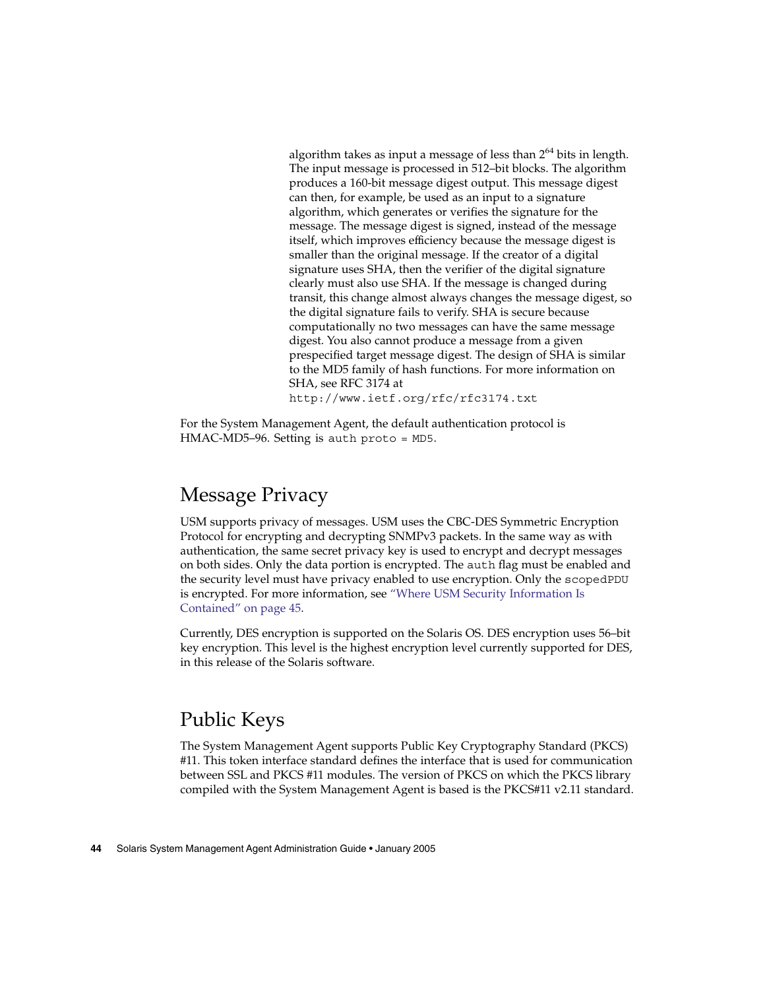<span id="page-43-0"></span>algorithm takes as input a message of less than  $2^{64}$  bits in length. The input message is processed in 512–bit blocks. The algorithm produces a 160-bit message digest output. This message digest can then, for example, be used as an input to a signature algorithm, which generates or verifies the signature for the message. The message digest is signed, instead of the message itself, which improves efficiency because the message digest is smaller than the original message. If the creator of a digital signature uses SHA, then the verifier of the digital signature clearly must also use SHA. If the message is changed during transit, this change almost always changes the message digest, so the digital signature fails to verify. SHA is secure because computationally no two messages can have the same message digest. You also cannot produce a message from a given prespecified target message digest. The design of SHA is similar to the MD5 family of hash functions. For more information on SHA, see RFC 3174 at <http://www.ietf.org/rfc/rfc3174.txt>.

For the System Management Agent, the default authentication protocol is HMAC-MD5–96. Setting is auth proto = MD5.

## Message Privacy

USM supports privacy of messages. USM uses the CBC-DES Symmetric Encryption Protocol for encrypting and decrypting SNMPv3 packets. In the same way as with authentication, the same secret privacy key is used to encrypt and decrypt messages on both sides. Only the data portion is encrypted. The auth flag must be enabled and the security level must have privacy enabled to use encryption. Only the scopedPDU is encrypted. For more information, see ["Where USM Security Information Is](#page-44-0) [Contained"](#page-44-0) on page 45.

Currently, DES encryption is supported on the Solaris OS. DES encryption uses 56–bit key encryption. This level is the highest encryption level currently supported for DES, in this release of the Solaris software.

### Public Keys

The System Management Agent supports Public Key Cryptography Standard (PKCS) #11. This token interface standard defines the interface that is used for communication between SSL and PKCS #11 modules. The version of PKCS on which the PKCS library compiled with the System Management Agent is based is the PKCS#11 v2.11 standard.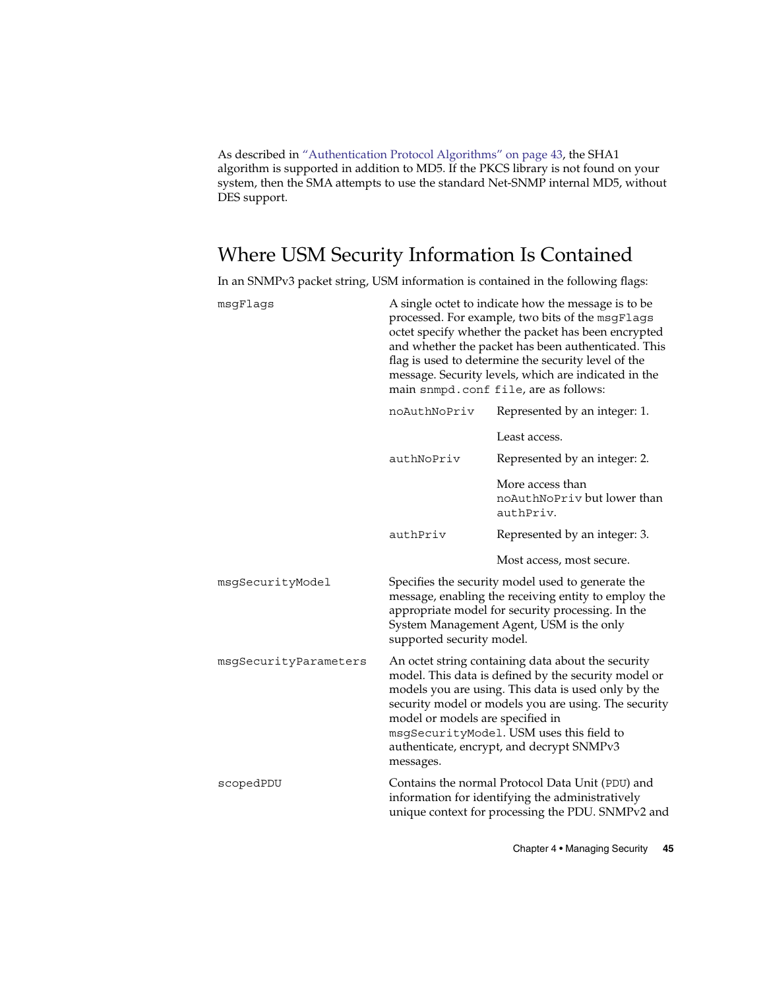<span id="page-44-0"></span>As described in ["Authentication Protocol Algorithms"](#page-42-0) on page 43, the SHA1 algorithm is supported in addition to MD5. If the PKCS library is not found on your system, then the SMA attempts to use the standard Net-SNMP internal MD5, without DES support.

# Where USM Security Information Is Contained

In an SNMPv3 packet string, USM information is contained in the following flags:

| msgFlags              | A single octet to indicate how the message is to be<br>processed. For example, two bits of the msgFlags<br>octet specify whether the packet has been encrypted<br>and whether the packet has been authenticated. This<br>flag is used to determine the security level of the<br>message. Security levels, which are indicated in the<br>main snmpd.conf file, are as follows: |                                                                                                                                                                                                                                                                                                                    |
|-----------------------|-------------------------------------------------------------------------------------------------------------------------------------------------------------------------------------------------------------------------------------------------------------------------------------------------------------------------------------------------------------------------------|--------------------------------------------------------------------------------------------------------------------------------------------------------------------------------------------------------------------------------------------------------------------------------------------------------------------|
|                       | noAuthNoPriv                                                                                                                                                                                                                                                                                                                                                                  | Represented by an integer: 1.                                                                                                                                                                                                                                                                                      |
|                       |                                                                                                                                                                                                                                                                                                                                                                               | Least access.                                                                                                                                                                                                                                                                                                      |
|                       | authNoPriv                                                                                                                                                                                                                                                                                                                                                                    | Represented by an integer: 2.                                                                                                                                                                                                                                                                                      |
|                       |                                                                                                                                                                                                                                                                                                                                                                               | More access than<br>noAuthNoPriv but lower than<br>authPriv.                                                                                                                                                                                                                                                       |
|                       | authPriv                                                                                                                                                                                                                                                                                                                                                                      | Represented by an integer: 3.                                                                                                                                                                                                                                                                                      |
|                       |                                                                                                                                                                                                                                                                                                                                                                               | Most access, most secure.                                                                                                                                                                                                                                                                                          |
| msgSecurityModel      | supported security model.                                                                                                                                                                                                                                                                                                                                                     | Specifies the security model used to generate the<br>message, enabling the receiving entity to employ the<br>appropriate model for security processing. In the<br>System Management Agent, USM is the only                                                                                                         |
| msgSecurityParameters | model or models are specified in<br>messages.                                                                                                                                                                                                                                                                                                                                 | An octet string containing data about the security<br>model. This data is defined by the security model or<br>models you are using. This data is used only by the<br>security model or models you are using. The security<br>msgSecurityModel. USM uses this field to<br>authenticate, encrypt, and decrypt SNMPv3 |
| scopedPDU             |                                                                                                                                                                                                                                                                                                                                                                               | Contains the normal Protocol Data Unit (PDU) and<br>information for identifying the administratively<br>unique context for processing the PDU. SNMPv2 and                                                                                                                                                          |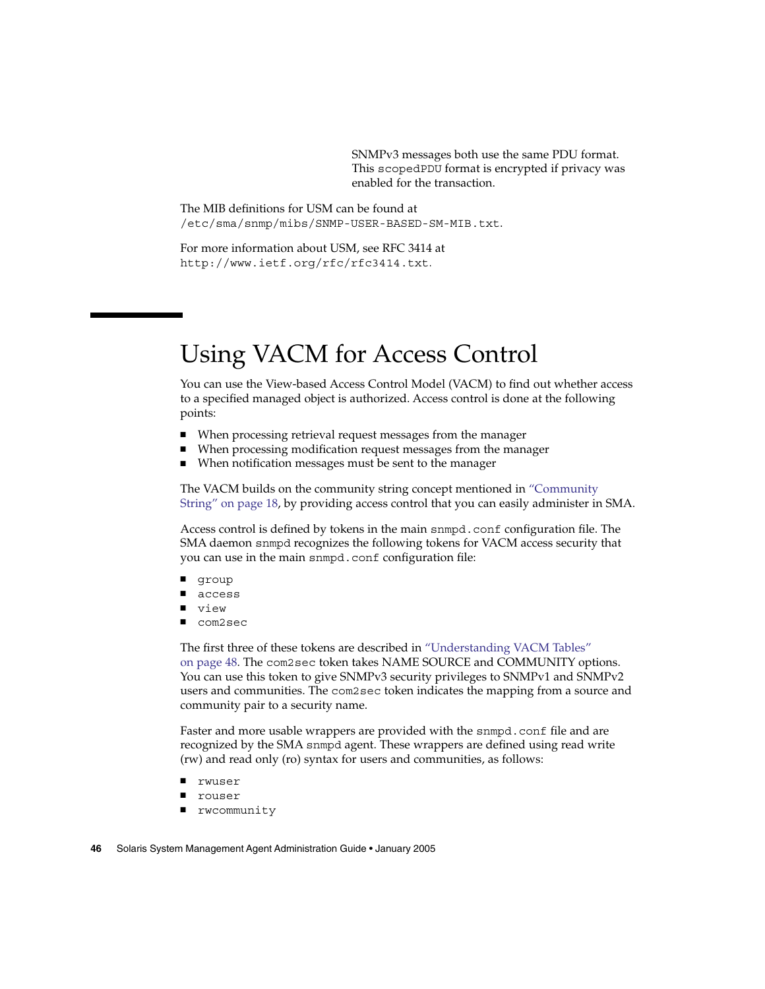SNMPv3 messages both use the same PDU format. This scopedPDU format is encrypted if privacy was enabled for the transaction.

<span id="page-45-0"></span>The MIB definitions for USM can be found at /etc/sma/snmp/mibs/SNMP-USER-BASED-SM-MIB.txt.

For more information about USM, see RFC 3414 at <http://www.ietf.org/rfc/rfc3414.txt>.

# Using VACM for Access Control

You can use the View-based Access Control Model (VACM) to find out whether access to a specified managed object is authorized. Access control is done at the following points:

- When processing retrieval request messages from the manager
- When processing modification request messages from the manager
- When notification messages must be sent to the manager

The VACM builds on the community string concept mentioned in ["Community](#page-17-0) String" [on page 18,](#page-17-0) by providing access control that you can easily administer in SMA.

Access control is defined by tokens in the main snmpd.conf configuration file. The SMA daemon snmpd recognizes the following tokens for VACM access security that you can use in the main snmpd.conf configuration file:

- group
- access
- view
- com2sec

The first three of these tokens are described in ["Understanding VACM Tables"](#page-47-0) [on page 48.](#page-47-0) The com2sec token takes NAME SOURCE and COMMUNITY options. You can use this token to give SNMPv3 security privileges to SNMPv1 and SNMPv2 users and communities. The com2sec token indicates the mapping from a source and community pair to a security name.

Faster and more usable wrappers are provided with the snmpd.conf file and are recognized by the SMA snmpd agent. These wrappers are defined using read write (rw) and read only (ro) syntax for users and communities, as follows:

- rwuser
- rouser
- rwcommunity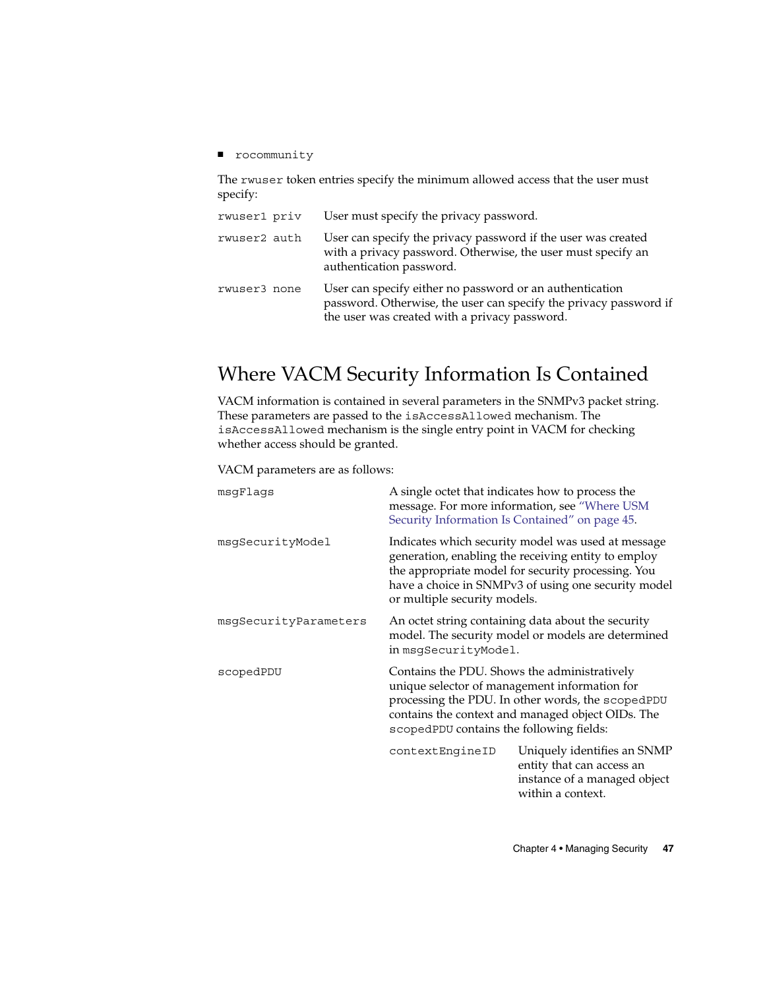<span id="page-46-0"></span>■ rocommunity

The rwuser token entries specify the minimum allowed access that the user must specify:

| rwuser1 priv | User must specify the privacy password.                                                                                                                                        |
|--------------|--------------------------------------------------------------------------------------------------------------------------------------------------------------------------------|
| rwuser2 auth | User can specify the privacy password if the user was created<br>with a privacy password. Otherwise, the user must specify an<br>authentication password.                      |
| rwuser3 none | User can specify either no password or an authentication<br>password. Otherwise, the user can specify the privacy password if<br>the user was created with a privacy password. |

# Where VACM Security Information Is Contained

VACM information is contained in several parameters in the SNMPv3 packet string. These parameters are passed to the isAccessAllowed mechanism. The isAccessAllowed mechanism is the single entry point in VACM for checking whether access should be granted.

VACM parameters are as follows:

| msqFlaqs              |                                          | A single octet that indicates how to process the<br>message. For more information, see "Where USM<br>Security Information Is Contained" on page 45.                                                                    |
|-----------------------|------------------------------------------|------------------------------------------------------------------------------------------------------------------------------------------------------------------------------------------------------------------------|
| msqSecurityModel      | or multiple security models.             | Indicates which security model was used at message<br>generation, enabling the receiving entity to employ<br>the appropriate model for security processing. You<br>have a choice in SNMPv3 of using one security model |
| msgSecurityParameters | in msqSecurityModel.                     | An octet string containing data about the security<br>model. The security model or models are determined                                                                                                               |
| scopedPDU             | scopedPDU contains the following fields: | Contains the PDU. Shows the administratively<br>unique selector of management information for<br>processing the PDU. In other words, the scopedPDU<br>contains the context and managed object OIDs. The                |
|                       | contextEngineID                          | Uniquely identifies an SNMP<br>entity that can access an<br>instance of a managed object<br>within a context.                                                                                                          |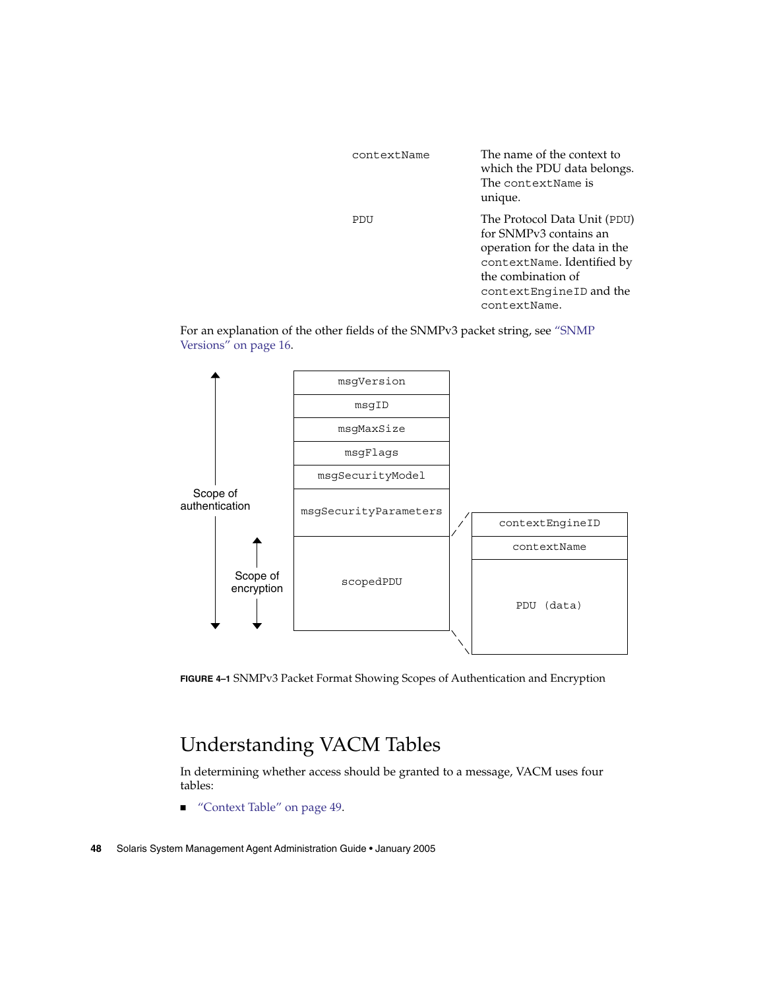| which the PDU data belongs.<br>The contextName is<br>unique.                                                                                                                           |
|----------------------------------------------------------------------------------------------------------------------------------------------------------------------------------------|
| The Protocol Data Unit (PDU)<br>for SNMPv3 contains an<br>operation for the data in the<br>contextName. Identified by<br>the combination of<br>contextEngineID and the<br>contextName. |
|                                                                                                                                                                                        |

<span id="page-47-0"></span>For an explanation of the other fields of the SNMPv3 packet string, see ["SNMP](#page-15-0) Versions" [on page 16.](#page-15-0)



**FIGURE 4–1** SNMPv3 Packet Format Showing Scopes of Authentication and Encryption

# Understanding VACM Tables

In determining whether access should be granted to a message, VACM uses four tables:

- ["Context Table"](#page-48-0) on page 49.
- **48** Solaris System Management Agent Administration Guide January 2005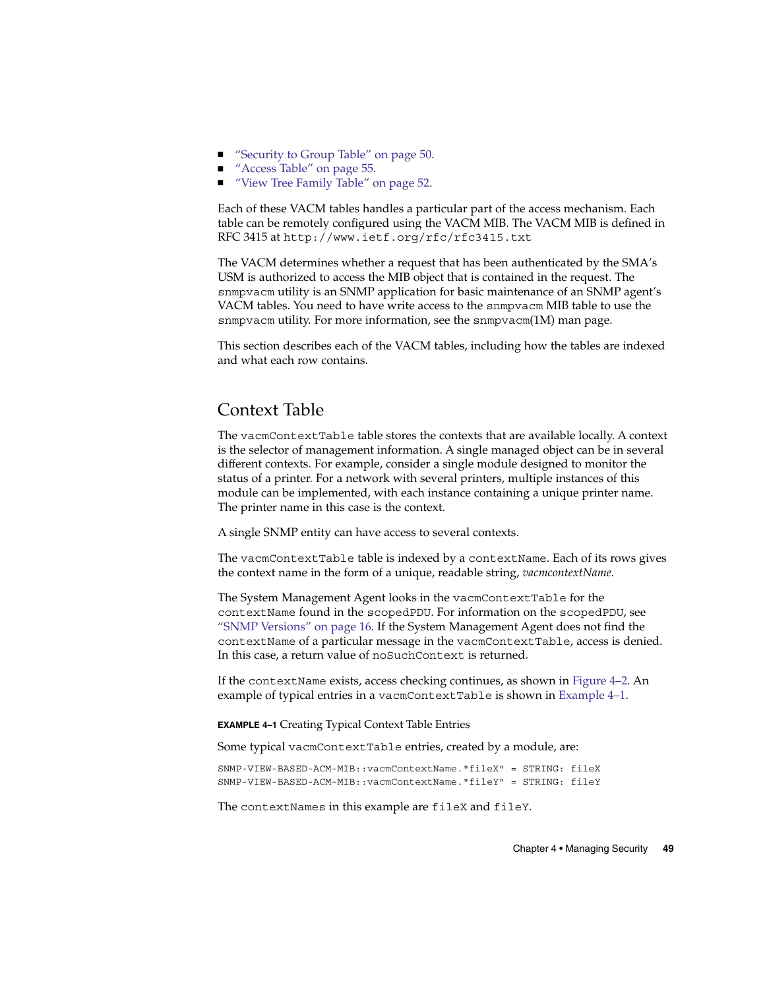- <span id="page-48-0"></span>■ ["Security to Group Table"](#page-49-0) on page 50.
- ["Access Table"](#page-54-0) on page 55.
- ["View Tree Family Table"](#page-51-0) on page 52.

Each of these VACM tables handles a particular part of the access mechanism. Each table can be remotely configured using the VACM MIB. The VACM MIB is defined in RFC 3415 at <http://www.ietf.org/rfc/rfc3415.txt>.

The VACM determines whether a request that has been authenticated by the SMA's USM is authorized to access the MIB object that is contained in the request. The snmpvacm utility is an SNMP application for basic maintenance of an SNMP agent's VACM tables. You need to have write access to the snmpvacm MIB table to use the snmpvacm utility. For more information, see the snmpvacm(1M) man page.

This section describes each of the VACM tables, including how the tables are indexed and what each row contains.

### Context Table

The vacmContextTable table stores the contexts that are available locally. A context is the selector of management information. A single managed object can be in several different contexts. For example, consider a single module designed to monitor the status of a printer. For a network with several printers, multiple instances of this module can be implemented, with each instance containing a unique printer name. The printer name in this case is the context.

A single SNMP entity can have access to several contexts.

The vacmContextTable table is indexed by a contextName. Each of its rows gives the context name in the form of a unique, readable string, *vacmcontextName*.

The System Management Agent looks in the vacmContextTable for the contextName found in the scopedPDU. For information on the scopedPDU, see ["SNMP Versions"](#page-15-0) on page 16. If the System Management Agent does not find the contextName of a particular message in the vacmContextTable, access is denied. In this case, a return value of noSuchContext is returned.

If the contextName exists, access checking continues, as shown in [Figure 4–2.](#page-52-0) An example of typical entries in a vacmContextTable is shown in Example 4–1.

**EXAMPLE 4–1** Creating Typical Context Table Entries

Some typical vacmContextTable entries, created by a module, are:

```
SNMP-VIEW-BASED-ACM-MIB::vacmContextName."fileX" = STRING: fileX
SNMP-VIEW-BASED-ACM-MIB::vacmContextName."fileY" = STRING: fileY
```
The contextNames in this example are fileX and fileY.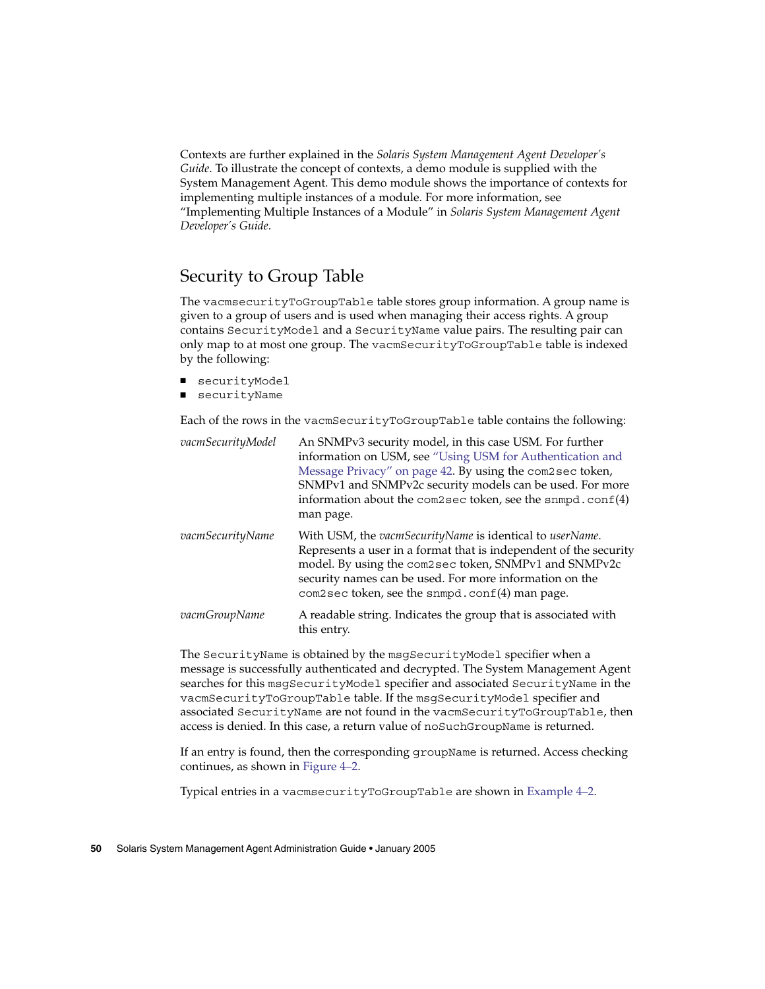<span id="page-49-0"></span>Contexts are further explained in the *Solaris System Management Agent Developer's Guide*. To illustrate the concept of contexts, a demo module is supplied with the System Management Agent. This demo module shows the importance of contexts for implementing multiple instances of a module. For more information, see "Implementing Multiple Instances of a Module" in *Solaris System Management Agent Developer's Guide*.

### Security to Group Table

The vacmsecurityToGroupTable table stores group information. A group name is given to a group of users and is used when managing their access rights. A group contains SecurityModel and a SecurityName value pairs. The resulting pair can only map to at most one group. The vacmSecurityToGroupTable table is indexed by the following:

- securityModel
- securityName

Each of the rows in the vacmSecurityToGroupTable table contains the following:

| vacmSecurityModel | An SNMPv3 security model, in this case USM. For further<br>information on USM, see "Using USM for Authentication and<br>Message Privacy" on page 42. By using the com2sec token,<br>SNMPv1 and SNMPv2c security models can be used. For more<br>information about the com2sec token, see the snmpd.con $f(4)$<br>man page. |
|-------------------|----------------------------------------------------------------------------------------------------------------------------------------------------------------------------------------------------------------------------------------------------------------------------------------------------------------------------|
| vacmSecurityName  | With USM, the vacmSecurityName is identical to userName.<br>Represents a user in a format that is independent of the security<br>model. By using the com2sec token, SNMPv1 and SNMPv2c<br>security names can be used. For more information on the<br>com2sec token, see the snmpd.conf(4) man page.                        |
| vacmGroupName     | A readable string. Indicates the group that is associated with<br>this entry.                                                                                                                                                                                                                                              |

The SecurityName is obtained by the msgSecurityModel specifier when a message is successfully authenticated and decrypted. The System Management Agent searches for this msgSecurityModel specifier and associated SecurityName in the vacmSecurityToGroupTable table. If the msgSecurityModel specifier and associated SecurityName are not found in the vacmSecurityToGroupTable, then access is denied. In this case, a return value of noSuchGroupName is returned.

If an entry is found, then the corresponding groupName is returned. Access checking continues, as shown in [Figure 4–2.](#page-52-0)

Typical entries in a vacmsecurityToGroupTable are shown in [Example 4–2.](#page-50-0)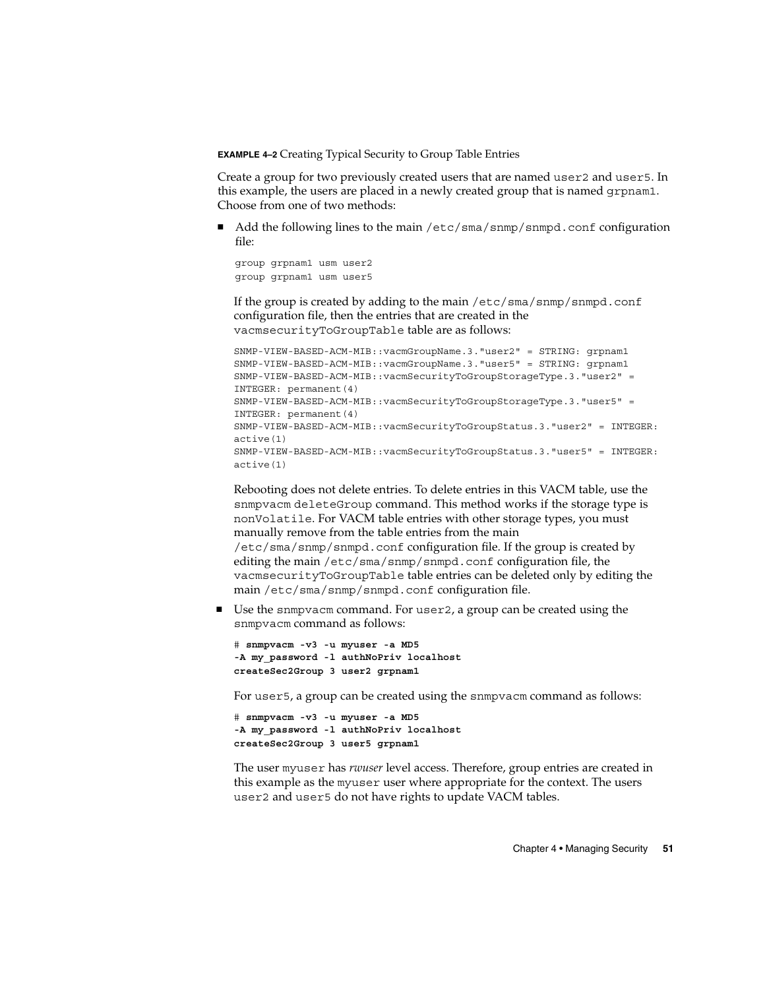<span id="page-50-0"></span>**EXAMPLE 4–2** Creating Typical Security to Group Table Entries

Create a group for two previously created users that are named user2 and user5. In this example, the users are placed in a newly created group that is named grpnam1. Choose from one of two methods:

■ Add the following lines to the main /etc/sma/snmp/snmpd.conf configuration file:

```
group grpnam1 usm user2
group grpnam1 usm user5
```
If the group is created by adding to the main /etc/sma/snmp/snmpd.conf configuration file, then the entries that are created in the vacmsecurityToGroupTable table are as follows:

```
SNMP-VIEW-BASED-ACM-MIB::vacmGroupName.3."user2" = STRING: grpnam1
SNMP-VIEW-BASED-ACM-MIB::vacmGroupName.3."user5" = STRING: grpnam1
SNMP-VIEW-BASED-ACM-MIB::vacmSecurityToGroupStorageType.3."user2" =
INTEGER: permanent(4)
SNMP-VIEW-BASED-ACM-MIB::vacmSecurityToGroupStorageType.3."user5" =
INTEGER: permanent(4)
SNMP-VIEW-BASED-ACM-MIB::vacmSecurityToGroupStatus.3."user2" = INTEGER:
active(1)
SNMP-VIEW-BASED-ACM-MIB::vacmSecurityToGroupStatus.3."user5" = INTEGER:
active(1)
```
Rebooting does not delete entries. To delete entries in this VACM table, use the snmpvacm deleteGroup command. This method works if the storage type is nonVolatile. For VACM table entries with other storage types, you must manually remove from the table entries from the main /etc/sma/snmp/snmpd.conf configuration file. If the group is created by editing the main /etc/sma/snmp/snmpd.conf configuration file, the vacmsecurityToGroupTable table entries can be deleted only by editing the main /etc/sma/snmp/snmpd.conf configuration file.

■ Use the snmpvacm command. For user2, a group can be created using the snmpvacm command as follows:

```
# snmpvacm -v3 -u myuser -a MD5
-A my_password -l authNoPriv localhost
createSec2Group 3 user2 grpnam1
```
For user5, a group can be created using the snmpvacm command as follows:

```
# snmpvacm -v3 -u myuser -a MD5
-A my_password -l authNoPriv localhost
createSec2Group 3 user5 grpnam1
```
The user myuser has *rwuser* level access. Therefore, group entries are created in this example as the myuser user where appropriate for the context. The users user2 and user5 do not have rights to update VACM tables.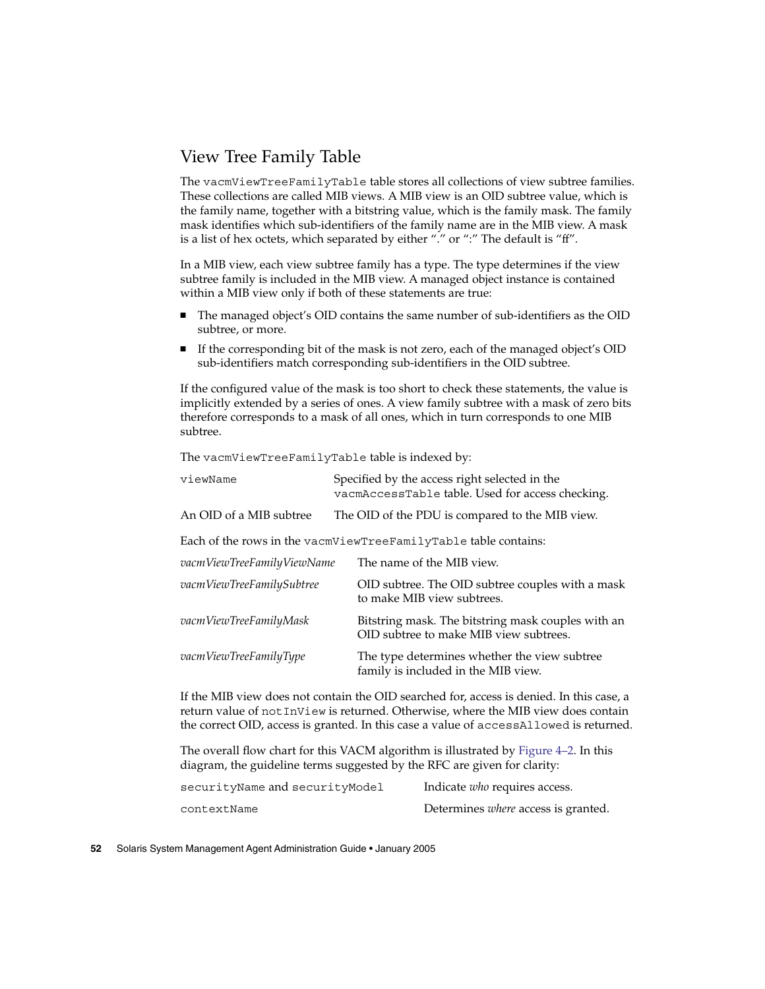### <span id="page-51-0"></span>View Tree Family Table

The vacmViewTreeFamilyTable table stores all collections of view subtree families. These collections are called MIB views. A MIB view is an OID subtree value, which is the family name, together with a bitstring value, which is the family mask. The family mask identifies which sub-identifiers of the family name are in the MIB view. A mask is a list of hex octets, which separated by either "." or ":" The default is "ff".

In a MIB view, each view subtree family has a type. The type determines if the view subtree family is included in the MIB view. A managed object instance is contained within a MIB view only if both of these statements are true:

- The managed object's OID contains the same number of sub-identifiers as the OID subtree, or more.
- If the corresponding bit of the mask is not zero, each of the managed object's OID sub-identifiers match corresponding sub-identifiers in the OID subtree.

If the configured value of the mask is too short to check these statements, the value is implicitly extended by a series of ones. A view family subtree with a mask of zero bits therefore corresponds to a mask of all ones, which in turn corresponds to one MIB subtree.

The vacmViewTreeFamilyTable table is indexed by:

| An OID of a MIB subtree<br>The OID of the PDU is compared to the MIB view.<br>Each of the rows in the vacm View Tree Family Table table contains:<br>The name of the MIB view.<br>vacmViewTreeFamilyViewName<br>vacmViewTreeFamilySubtree<br>to make MIB view subtrees.<br>vacmViewTreeFamilyMask<br>OID subtree to make MIB view subtrees.<br>vacmViewTreeFamilyType<br>The type determines whether the view subtree<br>family is included in the MIB view. | viewName | Specified by the access right selected in the<br>vacmAccessTable table. Used for access checking. |
|--------------------------------------------------------------------------------------------------------------------------------------------------------------------------------------------------------------------------------------------------------------------------------------------------------------------------------------------------------------------------------------------------------------------------------------------------------------|----------|---------------------------------------------------------------------------------------------------|
|                                                                                                                                                                                                                                                                                                                                                                                                                                                              |          |                                                                                                   |
|                                                                                                                                                                                                                                                                                                                                                                                                                                                              |          |                                                                                                   |
|                                                                                                                                                                                                                                                                                                                                                                                                                                                              |          |                                                                                                   |
|                                                                                                                                                                                                                                                                                                                                                                                                                                                              |          | OID subtree. The OID subtree couples with a mask                                                  |
|                                                                                                                                                                                                                                                                                                                                                                                                                                                              |          | Bitstring mask. The bitstring mask couples with an                                                |
|                                                                                                                                                                                                                                                                                                                                                                                                                                                              |          |                                                                                                   |

If the MIB view does not contain the OID searched for, access is denied. In this case, a return value of notInView is returned. Otherwise, where the MIB view does contain the correct OID, access is granted. In this case a value of accessAllowed is returned.

The overall flow chart for this VACM algorithm is illustrated by [Figure 4–2.](#page-52-0) In this diagram, the guideline terms suggested by the RFC are given for clarity:

| securityName and securityModel | Indicate <i>who</i> requires access. |
|--------------------------------|--------------------------------------|
| contextName                    | Determines where access is granted.  |

**52** Solaris System Management Agent Administration Guide • January 2005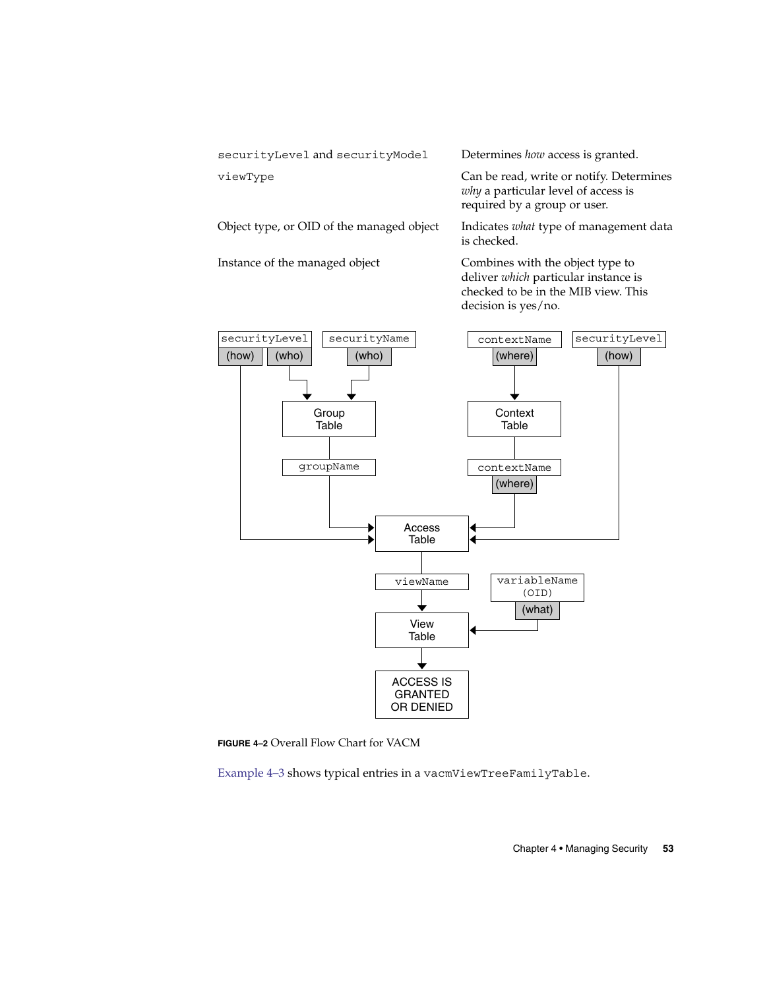<span id="page-52-0"></span>

**FIGURE 4–2** Overall Flow Chart for VACM

[Example 4–3](#page-53-0) shows typical entries in a vacmViewTreeFamilyTable.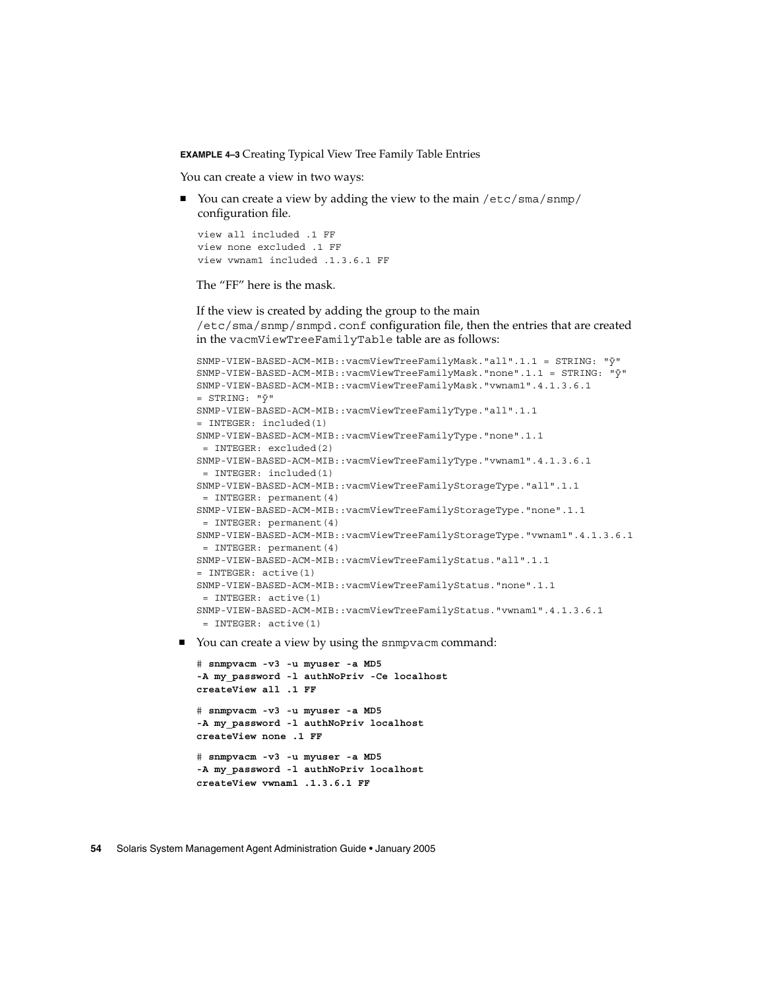<span id="page-53-0"></span>**EXAMPLE 4–3** Creating Typical View Tree Family Table Entries

You can create a view in two ways:

■ You can create a view by adding the view to the main /etc/sma/snmp/ configuration file.

```
view all included .1 FF
view none excluded .1 FF
view vwnam1 included .1.3.6.1 FF
```
The "FF" here is the mask.

If the view is created by adding the group to the main /etc/sma/snmp/snmpd.conf configuration file, then the entries that are created in the vacmViewTreeFamilyTable table are as follows:

```
SNMP-VIEW-BASED-ACM-MIB::vacmViewTreeFamilyMask."all".1.1 = STRING: "ÿ"
SNMP-VIEW-BASED-ACM-MIB::vacmViewTreeFamilyMask."none".1.1 = STRING: "ÿ"
SNMP-VIEW-BASED-ACM-MIB::vacmViewTreeFamilyMask."vwnam1".4.1.3.6.1
= STRING: "ÿ"
SNMP-VIEW-BASED-ACM-MIB::vacmViewTreeFamilyType."all".1.1
= \text{INTER: } \text{included}(1)SNMP-VIEW-BASED-ACM-MIB::vacmViewTreeFamilyType."none".1.1
 = INTEGER: excluded(2)
SNMP-VIEW-BASED-ACM-MIB::vacmViewTreeFamilyType."vwnam1".4.1.3.6.1
 = INTEGER: included(1)
SNMP-VIEW-BASED-ACM-MIB::vacmViewTreeFamilyStorageType."all".1.1
= INTEGER: permanent(4)
SNMP-VIEW-BASED-ACM-MIB::vacmViewTreeFamilyStorageType."none".1.1
= INTEGER: permanent(4)
SNMP-VIEW-BASED-ACM-MIB::vacmViewTreeFamilyStorageType."vwnam1".4.1.3.6.1
= INTEGER: permanent(4)
SNMP-VIEW-BASED-ACM-MIB::vacmViewTreeFamilyStatus."all".1.1
= INTEGER: active(1)
SNMP-VIEW-BASED-ACM-MIB::vacmViewTreeFamilyStatus."none".1.1
= INTEGER: active(1)
SNMP-VIEW-BASED-ACM-MIB::vacmViewTreeFamilyStatus."vwnam1".4.1.3.6.1
 = INTEGER: active(1)
```
■ You can create a view by using the snmpvacm command:

```
# snmpvacm -v3 -u myuser -a MD5
-A my_password -l authNoPriv -Ce localhost
createView all .1 FF
# snmpvacm -v3 -u myuser -a MD5
-A my_password -l authNoPriv localhost
createView none .1 FF
# snmpvacm -v3 -u myuser -a MD5
-A my_password -l authNoPriv localhost
createView vwnam1 .1.3.6.1 FF
```
#### **54** Solaris System Management Agent Administration Guide • January 2005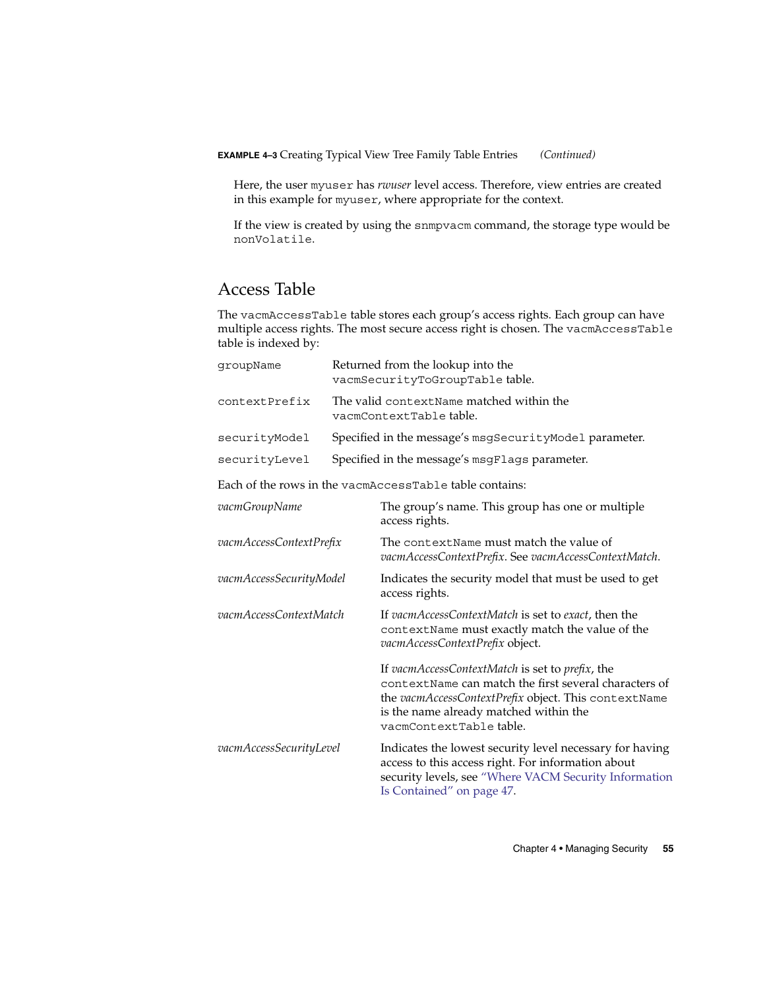<span id="page-54-0"></span>**EXAMPLE 4–3** Creating Typical View Tree Family Table Entries *(Continued)*

Here, the user myuser has *rwuser* level access. Therefore, view entries are created in this example for myuser, where appropriate for the context.

If the view is created by using the snmpvacm command, the storage type would be nonVolatile.

### Access Table

The vacmAccessTable table stores each group's access rights. Each group can have multiple access rights. The most secure access right is chosen. The vacmAccessTable table is indexed by:

| qroupName               | Returned from the lookup into the<br>vacmSecurityToGroupTable table. |                                                                                                                                                                                                                                       |
|-------------------------|----------------------------------------------------------------------|---------------------------------------------------------------------------------------------------------------------------------------------------------------------------------------------------------------------------------------|
| contextPrefix           | The valid contextName matched within the<br>vacmContextTable table.  |                                                                                                                                                                                                                                       |
| securityModel           |                                                                      | Specified in the message's msgSecurityModel parameter.                                                                                                                                                                                |
| securityLevel           |                                                                      | Specified in the message's msgFlags parameter.                                                                                                                                                                                        |
|                         |                                                                      | Each of the rows in the vacmAccessTable table contains:                                                                                                                                                                               |
| vacmGroupName           |                                                                      | The group's name. This group has one or multiple<br>access rights.                                                                                                                                                                    |
| vacmAccessContextPrefix |                                                                      | The contextName must match the value of<br>vacmAccessContextPrefix. See vacmAccessContextMatch.                                                                                                                                       |
| vacmAccessSecurityModel |                                                                      | Indicates the security model that must be used to get<br>access rights.                                                                                                                                                               |
| vacmAccessContextMatch  |                                                                      | If vacmAccessContextMatch is set to exact, then the<br>contextName must exactly match the value of the<br>vacmAccessContextPrefix object.                                                                                             |
|                         |                                                                      | If vacmAccessContextMatch is set to prefix, the<br>contextName can match the first several characters of<br>the vacmAccessContextPrefix object. This contextName<br>is the name already matched within the<br>vacmContextTable table. |
| vacmAccessSecurityLevel |                                                                      | Indicates the lowest security level necessary for having<br>access to this access right. For information about<br>security levels, see "Where VACM Security Information<br>Is Contained" on page 47.                                  |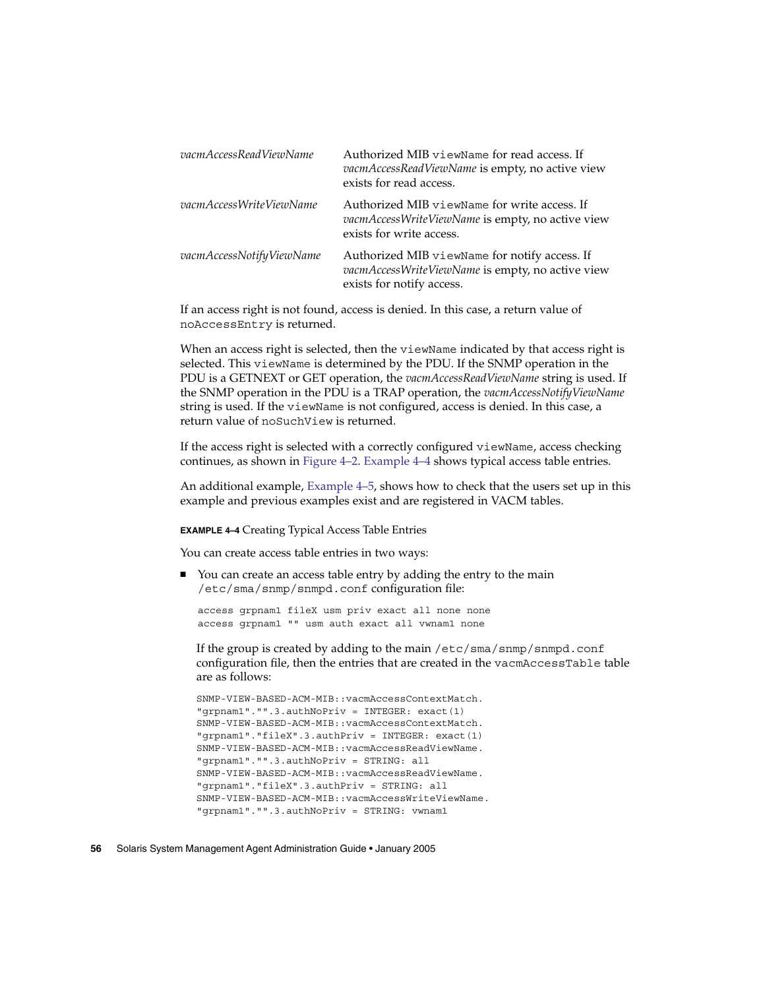<span id="page-55-0"></span>

| vacmAccessReadViewName   | Authorized MIB viewName for read access. If<br>vacmAccessReadViewName is empty, no active view<br>exists for read access.      |
|--------------------------|--------------------------------------------------------------------------------------------------------------------------------|
| vacmAccessWriteViewName  | Authorized MIB viewName for write access. If<br>vacmAccessWriteViewName is empty, no active view<br>exists for write access.   |
| vacmAccessNotifyViewName | Authorized MIB viewName for notify access. If<br>vacmAccessWriteViewName is empty, no active view<br>exists for notify access. |

If an access right is not found, access is denied. In this case, a return value of noAccessEntry is returned.

When an access right is selected, then the viewName indicated by that access right is selected. This viewName is determined by the PDU. If the SNMP operation in the PDU is a GETNEXT or GET operation, the *vacmAccessReadViewName* string is used. If the SNMP operation in the PDU is a TRAP operation, the *vacmAccessNotifyViewName* string is used. If the viewName is not configured, access is denied. In this case, a return value of noSuchView is returned.

If the access right is selected with a correctly configured viewName, access checking continues, as shown in [Figure 4–2.](#page-52-0) Example 4–4 shows typical access table entries.

An additional example, [Example 4–5,](#page-56-0) shows how to check that the users set up in this example and previous examples exist and are registered in VACM tables.

**EXAMPLE 4–4** Creating Typical Access Table Entries

You can create access table entries in two ways:

■ You can create an access table entry by adding the entry to the main /etc/sma/snmp/snmpd.conf configuration file:

```
access grpnam1 fileX usm priv exact all none none
access grpnam1 "" usm auth exact all vwnam1 none
```
If the group is created by adding to the main /etc/sma/snmp/snmpd.conf configuration file, then the entries that are created in the vacmAccessTable table are as follows:

```
SNMP-VIEW-BASED-ACM-MIB::vacmAccessContextMatch.
"grpnam1"."".3.authNoPriv = INTEGER: exact(1)
SNMP-VIEW-BASED-ACM-MIB::vacmAccessContextMatch.
"grpnam1"."fileX".3.authPriv = INTEGER: exact(1)
SNMP-VIEW-BASED-ACM-MIB::vacmAccessReadViewName.
"grpnam1"."".3.authNoPriv = STRING: all
SNMP-VIEW-BASED-ACM-MIB::vacmAccessReadViewName.
"grpnam1"."fileX".3.authPriv = STRING: all
SNMP-VIEW-BASED-ACM-MIB::vacmAccessWriteViewName.
"grpnam1"."".3.authNoPriv = STRING: vwnam1
```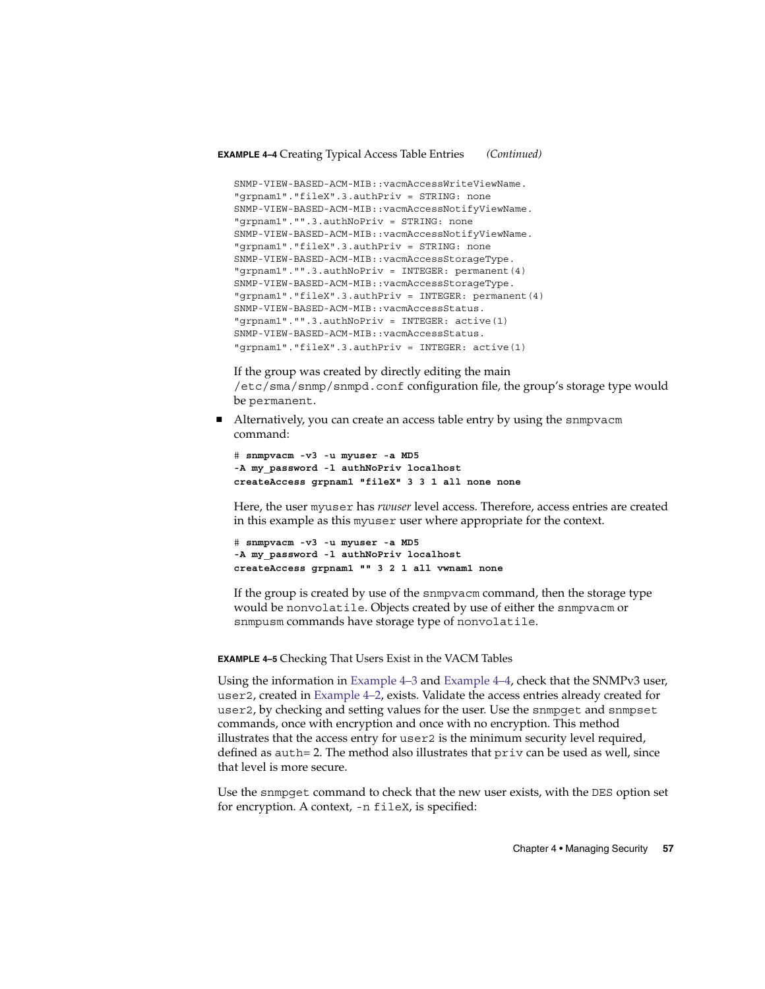```
SNMP-VIEW-BASED-ACM-MIB::vacmAccessWriteViewName.
"grpnam1"."fileX".3.authPriv = STRING: none
SNMP-VIEW-BASED-ACM-MIB::vacmAccessNotifyViewName.
"grpnam1"."".3.authNoPriv = STRING: none
SNMP-VIEW-BASED-ACM-MIB::vacmAccessNotifyViewName.
"grpnam1"."fileX".3.authPriv = STRING: none
SNMP-VIEW-BASED-ACM-MIB::vacmAccessStorageType.
"grpnam1"."".3.authNoPriv = INTEGER: permanent(4)
SNMP-VIEW-BASED-ACM-MIB::vacmAccessStorageType.
"grpnam1"."fileX".3.authPriv = INTEGER: permanent(4)
SNMP-VIEW-BASED-ACM-MIB::vacmAccessStatus.
"grpnam1"."".3.authNoPriv = INTEGER: active(1)
SNMP-VIEW-BASED-ACM-MIB::vacmAccessStatus.
"grpnam1"."fileX".3.authPriv = INTEGER: active(1)
```
If the group was created by directly editing the main /etc/sma/snmp/snmpd.conf configuration file, the group's storage type would be permanent.

■ Alternatively, you can create an access table entry by using the snmpvacm command:

```
# snmpvacm -v3 -u myuser -a MD5
-A my_password -l authNoPriv localhost
createAccess grpnam1 "fileX" 3 3 1 all none none
```
Here, the user myuser has *rwuser* level access. Therefore, access entries are created in this example as this myuser user where appropriate for the context.

```
# snmpvacm -v3 -u myuser -a MD5
-A my_password -l authNoPriv localhost
createAccess grpnam1 "" 3 2 1 all vwnam1 none
```
If the group is created by use of the snmpvacm command, then the storage type would be nonvolatile. Objects created by use of either the snmpvacm or snmpusm commands have storage type of nonvolatile.

**EXAMPLE 4–5** Checking That Users Exist in the VACM Tables

Using the information in [Example 4–3](#page-53-0) and [Example 4–4,](#page-55-0) check that the SNMPv3 user, user2, created in [Example 4–2,](#page-50-0) exists. Validate the access entries already created for user2, by checking and setting values for the user. Use the snmpget and snmpset commands, once with encryption and once with no encryption. This method illustrates that the access entry for user2 is the minimum security level required, defined as auth= 2. The method also illustrates that priv can be used as well, since that level is more secure.

Use the snmpget command to check that the new user exists, with the DES option set for encryption. A context, -n fileX, is specified: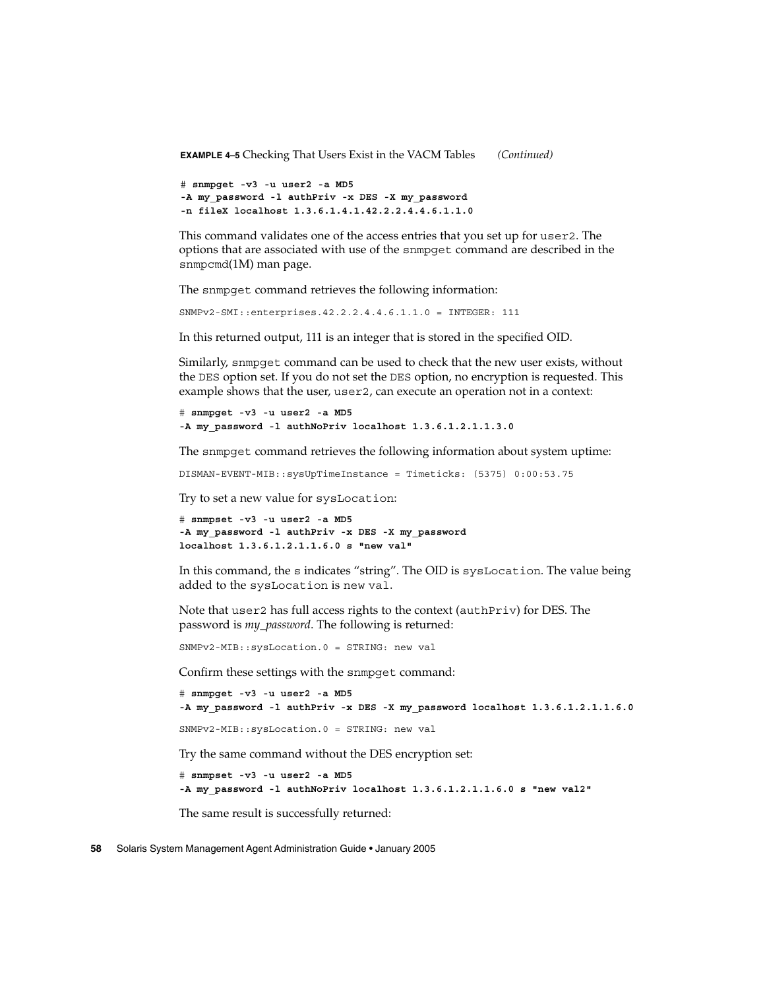**EXAMPLE 4–5** Checking That Users Exist in the VACM Tables *(Continued)*

```
# snmpget -v3 -u user2 -a MD5
-A my_password -l authPriv -x DES -X my_password
-n fileX localhost 1.3.6.1.4.1.42.2.2.4.4.6.1.1.0
```
This command validates one of the access entries that you set up for user2. The options that are associated with use of the snmpget command are described in the snmpcmd(1M) man page.

The snmpget command retrieves the following information:

SNMPv2-SMI::enterprises.42.2.2.4.4.6.1.1.0 = INTEGER: 111

In this returned output, 111 is an integer that is stored in the specified OID.

Similarly, snmpget command can be used to check that the new user exists, without the DES option set. If you do not set the DES option, no encryption is requested. This example shows that the user, user2, can execute an operation not in a context:

```
# snmpget -v3 -u user2 -a MD5
-A my_password -l authNoPriv localhost 1.3.6.1.2.1.1.3.0
```
The snmpget command retrieves the following information about system uptime:

DISMAN-EVENT-MIB::sysUpTimeInstance = Timeticks: (5375) 0:00:53.75

Try to set a new value for sysLocation:

```
# snmpset -v3 -u user2 -a MD5
-A my_password -l authPriv -x DES -X my_password
localhost 1.3.6.1.2.1.1.6.0 s "new val"
```
In this command, the s indicates "string". The OID is sysLocation. The value being added to the sysLocation is new val.

Note that user2 has full access rights to the context (authPriv) for DES. The password is *my\_password*. The following is returned:

SNMPv2-MIB::sysLocation.0 = STRING: new val

Confirm these settings with the snmpget command:

```
# snmpget -v3 -u user2 -a MD5
-A my_password -l authPriv -x DES -X my_password localhost 1.3.6.1.2.1.1.6.0
SNMPv2-MIB::sysLocation.0 = STRING: new val
```
Try the same command without the DES encryption set:

```
# snmpset -v3 -u user2 -a MD5
-A my_password -l authNoPriv localhost 1.3.6.1.2.1.1.6.0 s "new val2"
```
The same result is successfully returned: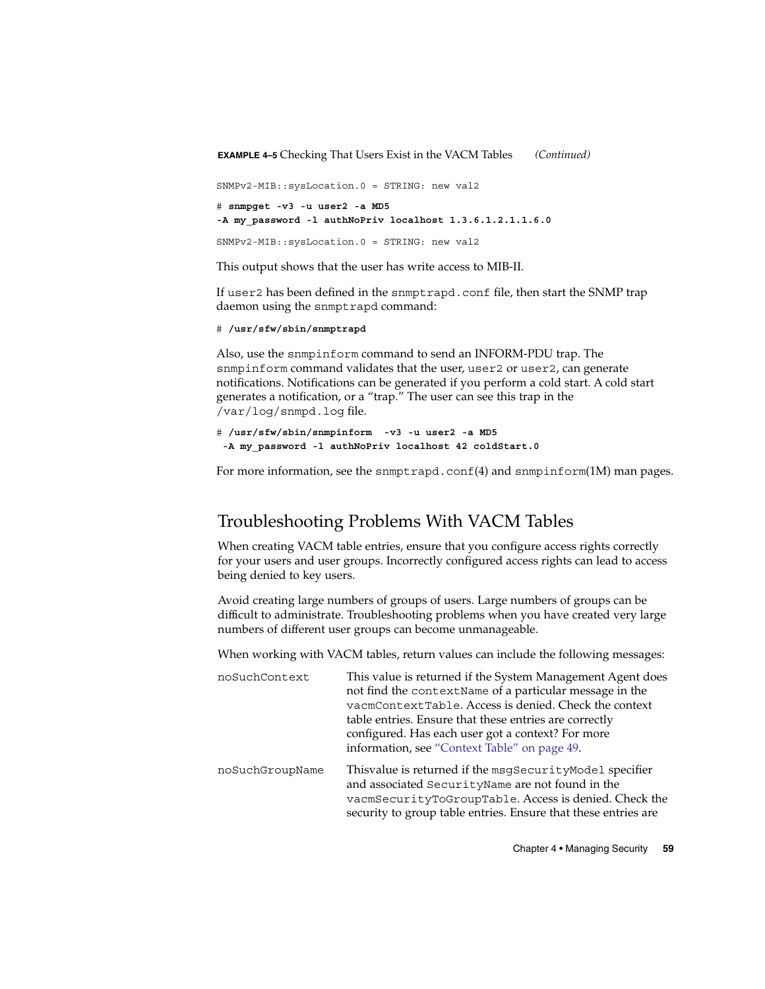**EXAMPLE 4–5** Checking That Users Exist in the VACM Tables *(Continued)*

SNMPv2-MIB::sysLocation.0 = STRING: new val2 # **snmpget -v3 -u user2 -a MD5 -A my\_password -l authNoPriv localhost 1.3.6.1.2.1.1.6.0** SNMPv2-MIB::sysLocation.0 = STRING: new val2

This output shows that the user has write access to MIB-II.

If user2 has been defined in the snmptrapd.conf file, then start the SNMP trap daemon using the snmptrapd command:

```
# /usr/sfw/sbin/snmptrapd
```
Also, use the snmpinform command to send an INFORM-PDU trap. The snmpinform command validates that the user, user2 or user2, can generate notifications. Notifications can be generated if you perform a cold start. A cold start generates a notification, or a "trap." The user can see this trap in the /var/log/snmpd.log file.

```
# /usr/sfw/sbin/snmpinform -v3 -u user2 -a MD5
-A my_password -l authNoPriv localhost 42 coldStart.0
```
For more information, see the snmptrapd.conf(4) and snmpinform(1M) man pages.

### Troubleshooting Problems With VACM Tables

When creating VACM table entries, ensure that you configure access rights correctly for your users and user groups. Incorrectly configured access rights can lead to access being denied to key users.

Avoid creating large numbers of groups of users. Large numbers of groups can be difficult to administrate. Troubleshooting problems when you have created very large numbers of different user groups can become unmanageable.

When working with VACM tables, return values can include the following messages:

| noSuchContext   | This value is returned if the System Management Agent does<br>not find the contextName of a particular message in the<br>vacmContextTable. Access is denied. Check the context<br>table entries. Ensure that these entries are correctly<br>configured. Has each user got a context? For more<br>information, see "Context Table" on page 49. |
|-----------------|-----------------------------------------------------------------------------------------------------------------------------------------------------------------------------------------------------------------------------------------------------------------------------------------------------------------------------------------------|
| noSuchGroupName | Thisvalue is returned if the msgSecurityModel specifier<br>and associated SecurityName are not found in the<br>vacmSecurityToGroupTable. Access is denied. Check the<br>security to group table entries. Ensure that these entries are                                                                                                        |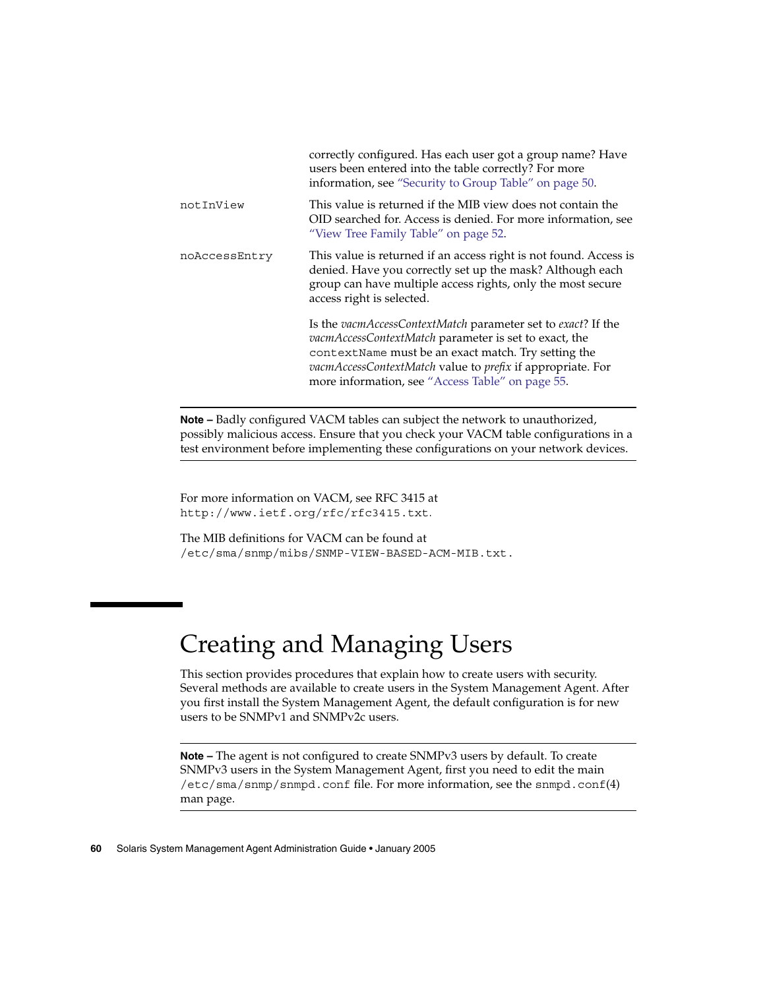<span id="page-59-0"></span>

|               | correctly configured. Has each user got a group name? Have<br>users been entered into the table correctly? For more<br>information, see "Security to Group Table" on page 50.                                                                                                                  |
|---------------|------------------------------------------------------------------------------------------------------------------------------------------------------------------------------------------------------------------------------------------------------------------------------------------------|
| notInView     | This value is returned if the MIB view does not contain the<br>OID searched for. Access is denied. For more information, see<br>"View Tree Family Table" on page 52.                                                                                                                           |
| noAccessEntry | This value is returned if an access right is not found. Access is<br>denied. Have you correctly set up the mask? Although each<br>group can have multiple access rights, only the most secure<br>access right is selected.                                                                     |
|               | Is the vacmAccessContextMatch parameter set to exact? If the<br>vacmAccessContextMatch parameter is set to exact, the<br>contextName must be an exact match. Try setting the<br>vacmAccessContextMatch value to prefix if appropriate. For<br>more information, see "Access Table" on page 55. |

**Note –** Badly configured VACM tables can subject the network to unauthorized, possibly malicious access. Ensure that you check your VACM table configurations in a test environment before implementing these configurations on your network devices.

For more information on VACM, see RFC 3415 at <http://www.ietf.org/rfc/rfc3415.txt>.

The MIB definitions for VACM can be found at /etc/sma/snmp/mibs/SNMP-VIEW-BASED-ACM-MIB.txt.

# Creating and Managing Users

This section provides procedures that explain how to create users with security. Several methods are available to create users in the System Management Agent. After you first install the System Management Agent, the default configuration is for new users to be SNMPv1 and SNMPv2c users.

**Note –** The agent is not configured to create SNMPv3 users by default. To create SNMPv3 users in the System Management Agent, first you need to edit the main /etc/sma/snmp/snmpd.conf file. For more information, see the snmpd.conf(4) man page.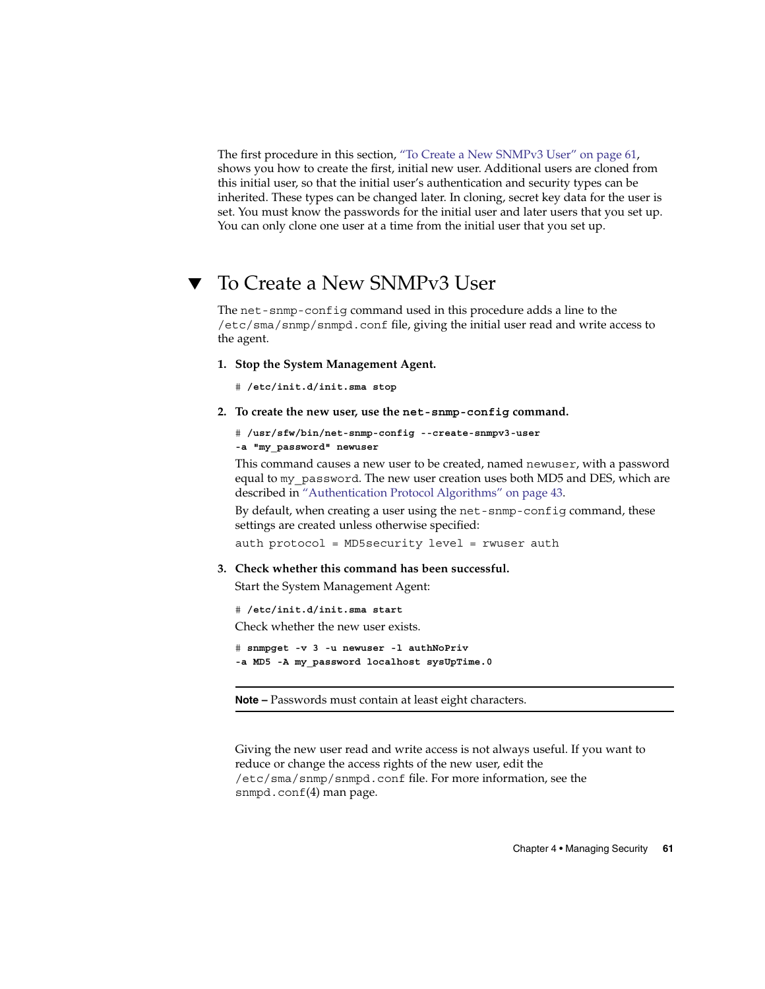<span id="page-60-0"></span>The first procedure in this section, "To Create a New SNMPv3 User" on page 61, shows you how to create the first, initial new user. Additional users are cloned from this initial user, so that the initial user's authentication and security types can be inherited. These types can be changed later. In cloning, secret key data for the user is set. You must know the passwords for the initial user and later users that you set up. You can only clone one user at a time from the initial user that you set up.

## To Create a New SNMP<sub>v3</sub> User

The net-snmp-config command used in this procedure adds a line to the /etc/sma/snmp/snmpd.conf file, giving the initial user read and write access to the agent.

**1. Stop the System Management Agent.**

# **/etc/init.d/init.sma stop**

**2. To create the new user, use the net-snmp-config command.**

```
# /usr/sfw/bin/net-snmp-config --create-snmpv3-user
-a "my_password" newuser
```
This command causes a new user to be created, named newuser, with a password equal to my\_password. The new user creation uses both MD5 and DES, which are described in ["Authentication Protocol Algorithms"](#page-42-0) on page 43.

By default, when creating a user using the net-snmp-config command, these settings are created unless otherwise specified:

auth protocol = MD5security level = rwuser auth

#### **3. Check whether this command has been successful.**

Start the System Management Agent:

# **/etc/init.d/init.sma start** Check whether the new user exists.

```
# snmpget -v 3 -u newuser -l authNoPriv
-a MD5 -A my_password localhost sysUpTime.0
```
**Note –** Passwords must contain at least eight characters.

Giving the new user read and write access is not always useful. If you want to reduce or change the access rights of the new user, edit the /etc/sma/snmp/snmpd.conf file. For more information, see the snmpd.conf(4) man page.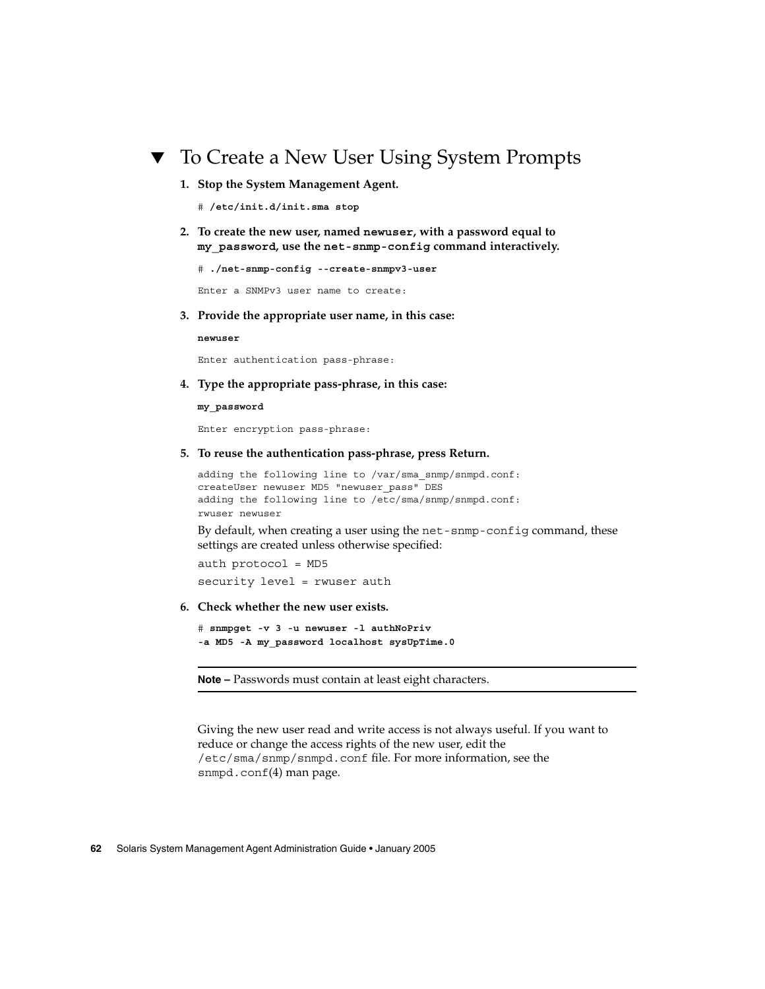## ▼ To Create a New User Using System Prompts

#### **1. Stop the System Management Agent.**

- # **/etc/init.d/init.sma stop**
- **2. To create the new user, named newuser, with a password equal to my\_password, use the net-snmp-config command interactively.**

```
# ./net-snmp-config --create-snmpv3-user
```
Enter a SNMPv3 user name to create:

**3. Provide the appropriate user name, in this case:**

**newuser**

Enter authentication pass-phrase:

#### **4. Type the appropriate pass-phrase, in this case:**

#### **my\_password**

Enter encryption pass-phrase:

**5. To reuse the authentication pass-phrase, press Return.**

```
adding the following line to /var/sma_snmp/snmpd.conf:
createUser newuser MD5 "newuser_pass" DES
adding the following line to /etc/sma/snmp/snmpd.conf:
rwuser newuser
```
By default, when creating a user using the net-snmp-config command, these settings are created unless otherwise specified:

auth protocol = MD5 security level = rwuser auth

#### **6. Check whether the new user exists.**

```
# snmpget -v 3 -u newuser -l authNoPriv
-a MD5 -A my_password localhost sysUpTime.0
```
**Note –** Passwords must contain at least eight characters.

Giving the new user read and write access is not always useful. If you want to reduce or change the access rights of the new user, edit the /etc/sma/snmp/snmpd.conf file. For more information, see the snmpd.conf(4) man page.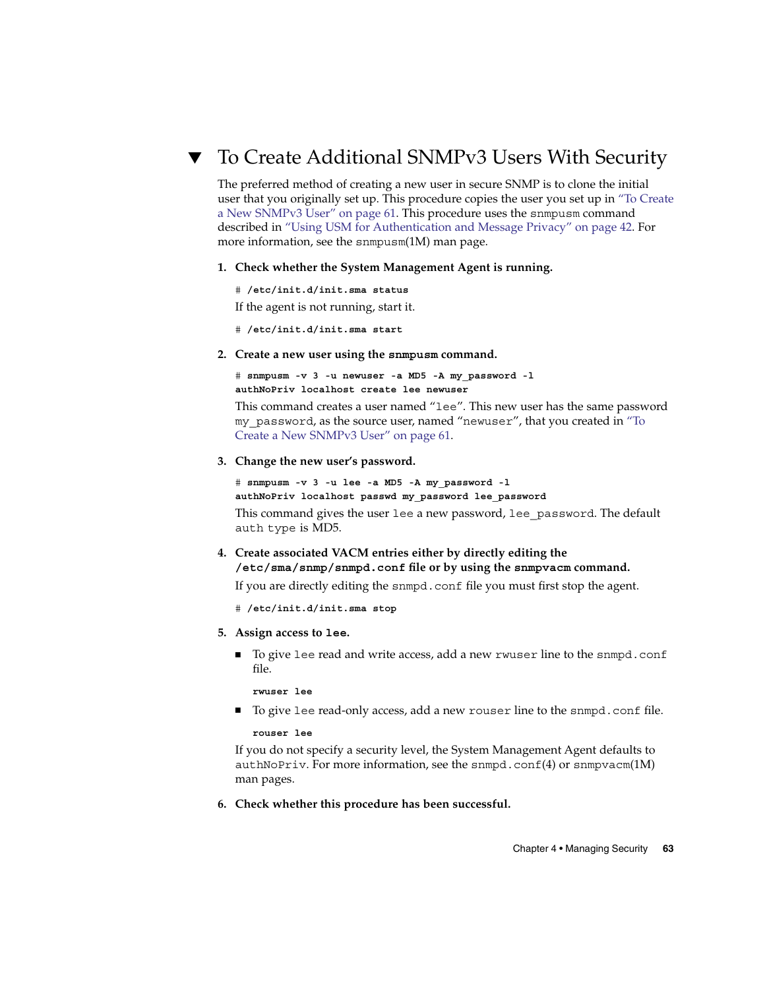## ▼ To Create Additional SNMPv3 Users With Security

The preferred method of creating a new user in secure SNMP is to clone the initial user that you originally set up. This procedure copies the user you set up in ["To Create](#page-60-0) [a New SNMPv3 User"](#page-60-0) on page 61. This procedure uses the snmpusm command described in ["Using USM for Authentication and Message Privacy"](#page-41-0) on page 42. For more information, see the snmpusm(1M) man page.

#### **1. Check whether the System Management Agent is running.**

# **/etc/init.d/init.sma status**

If the agent is not running, start it.

- # **/etc/init.d/init.sma start**
- **2. Create a new user using the snmpusm command.**

# **snmpusm -v 3 -u newuser -a MD5 -A my\_password -l authNoPriv localhost create lee newuser**

This command creates a user named "lee". This new user has the same password my\_password, as the source user, named "newuser", that you created in ["To](#page-60-0) [Create a New SNMPv3 User"](#page-60-0) on page 61.

**3. Change the new user's password.**

# **snmpusm -v 3 -u lee -a MD5 -A my\_password -l**

**authNoPriv localhost passwd my\_password lee\_password**

This command gives the user lee a new password, lee password. The default auth type is MD5.

#### **4. Create associated VACM entries either by directly editing the /etc/sma/snmp/snmpd.conf file or by using the snmpvacm command.**

If you are directly editing the snmpd.conf file you must first stop the agent.

# **/etc/init.d/init.sma stop**

- **5. Assign access to lee.**
	- To give lee read and write access, add a new rwuser line to the snmpd.conf file.

**rwuser lee**

■ To give lee read-only access, add a new rouser line to the snmpd.conf file.

#### **rouser lee**

If you do not specify a security level, the System Management Agent defaults to authNoPriv. For more information, see the snmpd.conf(4) or snmpvacm $(1M)$ man pages.

**6. Check whether this procedure has been successful.**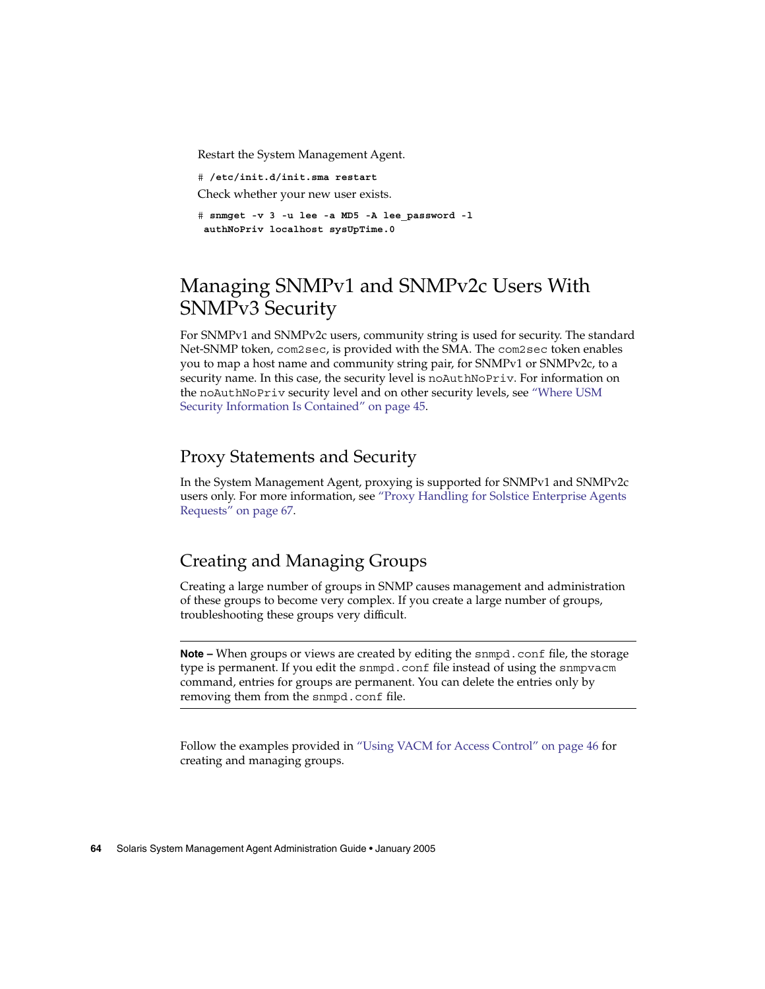Restart the System Management Agent.

# **/etc/init.d/init.sma restart**

Check whether your new user exists.

```
# snmget -v 3 -u lee -a MD5 -A lee_password -l
authNoPriv localhost sysUpTime.0
```
## Managing SNMPv1 and SNMPv2c Users With SNMPv3 Security

For SNMPv1 and SNMPv2c users, community string is used for security. The standard Net-SNMP token, com2sec, is provided with the SMA. The com2sec token enables you to map a host name and community string pair, for SNMPv1 or SNMPv2c, to a security name. In this case, the security level is noAuthNoPriv. For information on the noAuthNoPriv security level and on other security levels, see ["Where USM](#page-44-0) [Security Information Is Contained"](#page-44-0) on page 45.

### Proxy Statements and Security

In the System Management Agent, proxying is supported for SNMPv1 and SNMPv2c users only. For more information, see ["Proxy Handling for Solstice Enterprise Agents](#page-66-0) Requests" [on page 67.](#page-66-0)

### Creating and Managing Groups

Creating a large number of groups in SNMP causes management and administration of these groups to become very complex. If you create a large number of groups, troubleshooting these groups very difficult.

**Note –** When groups or views are created by editing the snmpd.conf file, the storage type is permanent. If you edit the snmpd.conf file instead of using the snmpvacm command, entries for groups are permanent. You can delete the entries only by removing them from the snmpd.conf file.

Follow the examples provided in ["Using VACM for Access Control"](#page-45-0) on page 46 for creating and managing groups.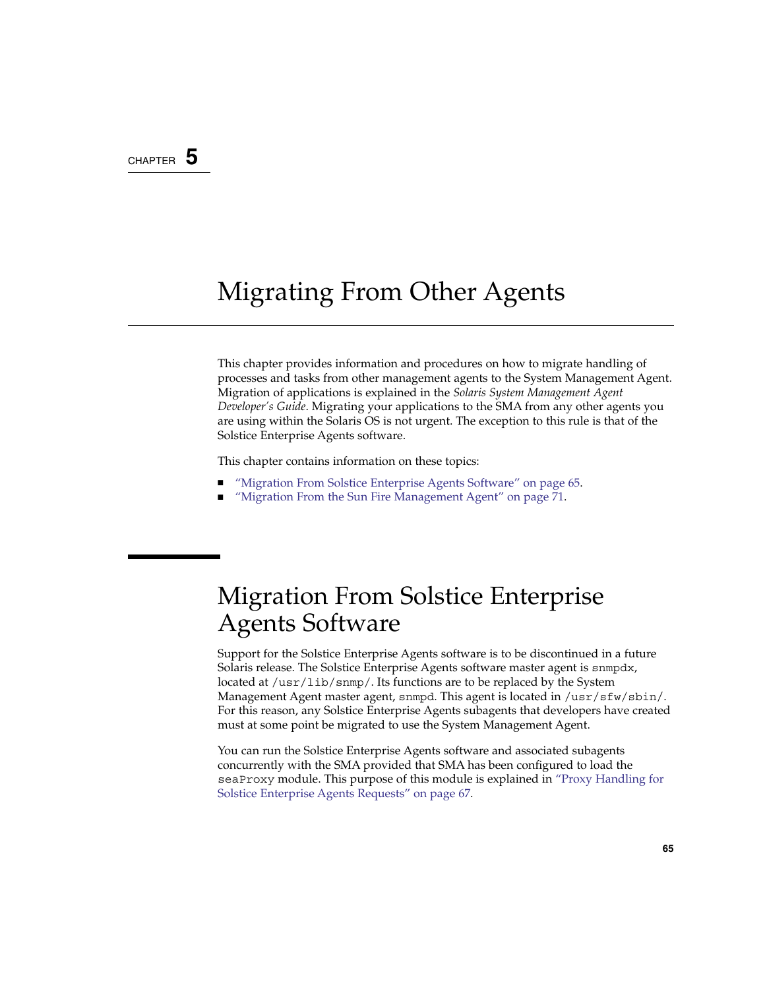### CHAPTER **5**

# Migrating From Other Agents

This chapter provides information and procedures on how to migrate handling of processes and tasks from other management agents to the System Management Agent. Migration of applications is explained in the *Solaris System Management Agent Developer's Guide*. Migrating your applications to the SMA from any other agents you are using within the Solaris OS is not urgent. The exception to this rule is that of the Solstice Enterprise Agents software.

This chapter contains information on these topics:

- "Migration From Solstice Enterprise Agents Software" on page 65.
- ["Migration From the Sun Fire Management Agent"](#page-70-0) on page 71.

# Migration From Solstice Enterprise Agents Software

Support for the Solstice Enterprise Agents software is to be discontinued in a future Solaris release. The Solstice Enterprise Agents software master agent is snmpdx, located at /usr/lib/snmp/. Its functions are to be replaced by the System Management Agent master agent, snmpd. This agent is located in /usr/sfw/sbin/. For this reason, any Solstice Enterprise Agents subagents that developers have created must at some point be migrated to use the System Management Agent.

You can run the Solstice Enterprise Agents software and associated subagents concurrently with the SMA provided that SMA has been configured to load the seaProxy module. This purpose of this module is explained in ["Proxy Handling for](#page-66-0) [Solstice Enterprise Agents Requests"](#page-66-0) on page 67.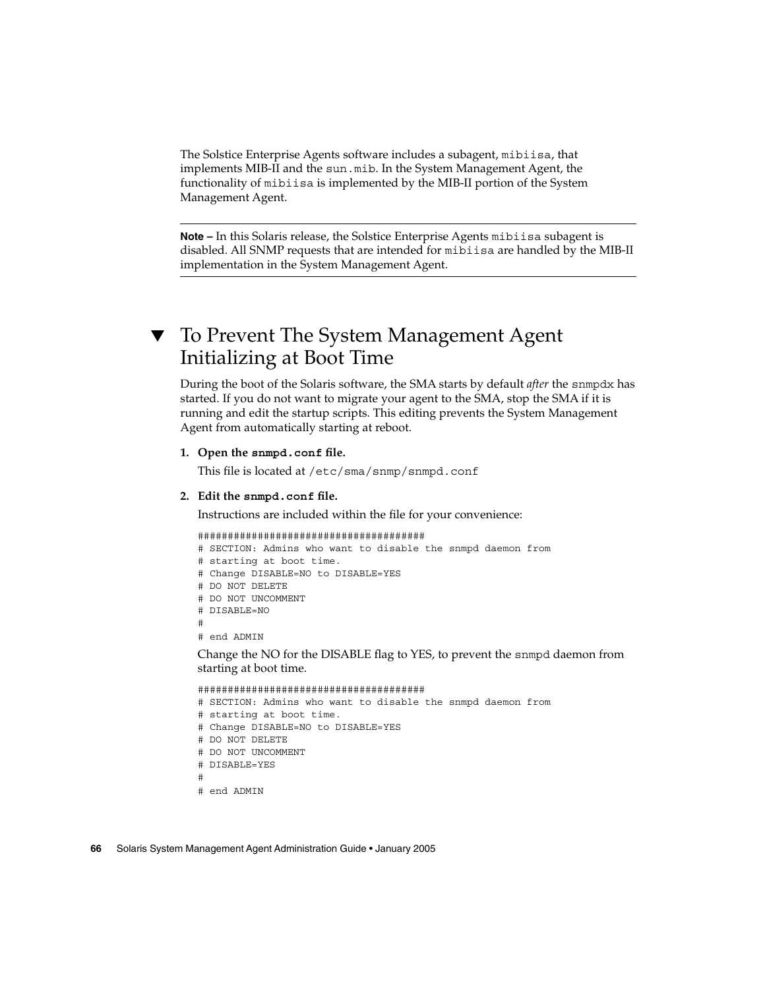<span id="page-65-0"></span>The Solstice Enterprise Agents software includes a subagent, mibiisa, that implements MIB-II and the sun.mib. In the System Management Agent, the functionality of mibiisa is implemented by the MIB-II portion of the System Management Agent.

**Note –** In this Solaris release, the Solstice Enterprise Agents mibiisa subagent is disabled. All SNMP requests that are intended for mibiisa are handled by the MIB-II implementation in the System Management Agent.

## To Prevent The System Management Agent Initializing at Boot Time

During the boot of the Solaris software, the SMA starts by default *after* the snmpdx has started. If you do not want to migrate your agent to the SMA, stop the SMA if it is running and edit the startup scripts. This editing prevents the System Management Agent from automatically starting at reboot.

#### **1. Open the snmpd.conf file.**

This file is located at /etc/sma/snmp/snmpd.conf

#### **2. Edit the snmpd.conf file.**

Instructions are included within the file for your convenience:

|   | ######################################                      |
|---|-------------------------------------------------------------|
|   | # SECTION: Admins who want to disable the snmpd daemon from |
|   | # starting at boot time.                                    |
|   | # Change DISABLE=NO to DISABLE=YES                          |
|   | # DO NOT DELETE                                             |
|   | # DO NOT UNCOMMENT                                          |
|   | # DISABLE=NO                                                |
| # |                                                             |
|   | # end ADMIN                                                 |

Change the NO for the DISABLE flag to YES, to prevent the snmpd daemon from starting at boot time.

```
######################################
# SECTION: Admins who want to disable the snmpd daemon from
# starting at boot time.
# Change DISABLE=NO to DISABLE=YES
# DO NOT DELETE
# DO NOT UNCOMMENT
# DISABLE=YES
#
# end ADMIN
```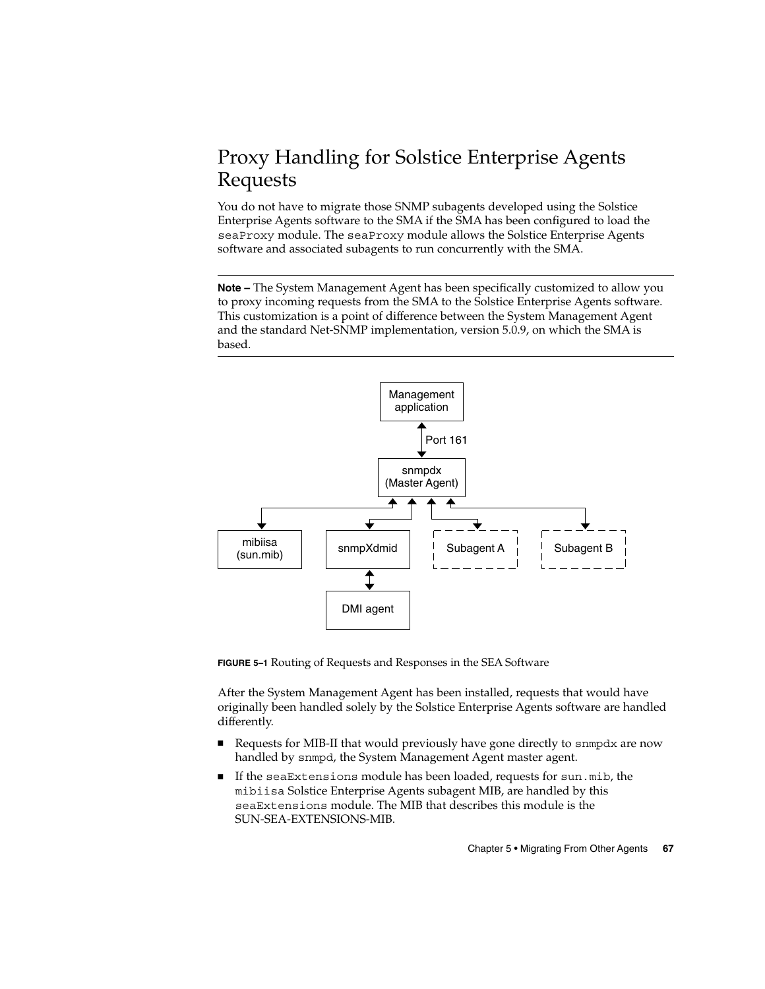# <span id="page-66-0"></span>Proxy Handling for Solstice Enterprise Agents Requests

You do not have to migrate those SNMP subagents developed using the Solstice Enterprise Agents software to the SMA if the SMA has been configured to load the seaProxy module. The seaProxy module allows the Solstice Enterprise Agents software and associated subagents to run concurrently with the SMA.

**Note –** The System Management Agent has been specifically customized to allow you to proxy incoming requests from the SMA to the Solstice Enterprise Agents software. This customization is a point of difference between the System Management Agent and the standard Net-SNMP implementation, version 5.0.9, on which the SMA is based.



**FIGURE 5–1** Routing of Requests and Responses in the SEA Software

After the System Management Agent has been installed, requests that would have originally been handled solely by the Solstice Enterprise Agents software are handled differently.

- Requests for MIB-II that would previously have gone directly to snmpdx are now handled by snmpd, the System Management Agent master agent.
- If the seaExtensions module has been loaded, requests for sun.mib, the mibiisa Solstice Enterprise Agents subagent MIB, are handled by this seaExtensions module. The MIB that describes this module is the SUN-SEA-EXTENSIONS-MIB.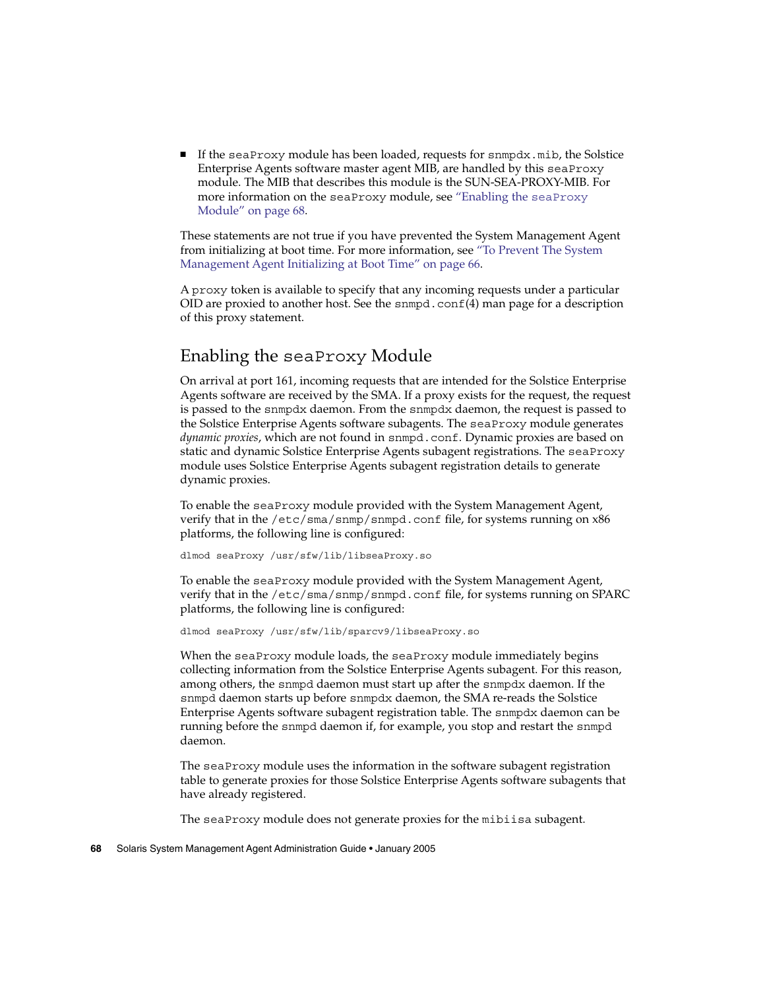■ If the seaProxy module has been loaded, requests for snmpdx.mib, the Solstice Enterprise Agents software master agent MIB, are handled by this seaProxy module. The MIB that describes this module is the SUN-SEA-PROXY-MIB. For more information on the seaProxy module, see "Enabling the seaProxy Module" on page 68.

These statements are not true if you have prevented the System Management Agent from initializing at boot time. For more information, see ["To Prevent The System](#page-65-0) [Management Agent Initializing at Boot Time"](#page-65-0) on page 66.

A proxy token is available to specify that any incoming requests under a particular OID are proxied to another host. See the snmpd.conf $(4)$  man page for a description of this proxy statement.

### Enabling the seaProxy Module

On arrival at port 161, incoming requests that are intended for the Solstice Enterprise Agents software are received by the SMA. If a proxy exists for the request, the request is passed to the snmpdx daemon. From the snmpdx daemon, the request is passed to the Solstice Enterprise Agents software subagents. The seaProxy module generates *dynamic proxies*, which are not found in snmpd.conf. Dynamic proxies are based on static and dynamic Solstice Enterprise Agents subagent registrations. The seaProxy module uses Solstice Enterprise Agents subagent registration details to generate dynamic proxies.

To enable the seaProxy module provided with the System Management Agent, verify that in the /etc/sma/snmp/snmpd.conf file, for systems running on x86 platforms, the following line is configured:

dlmod seaProxy /usr/sfw/lib/libseaProxy.so

To enable the seaProxy module provided with the System Management Agent, verify that in the /etc/sma/snmp/snmpd.conf file, for systems running on SPARC platforms, the following line is configured:

dlmod seaProxy /usr/sfw/lib/sparcv9/libseaProxy.so

When the seaProxy module loads, the seaProxy module immediately begins collecting information from the Solstice Enterprise Agents subagent. For this reason, among others, the snmpd daemon must start up after the snmpdx daemon. If the snmpd daemon starts up before snmpdx daemon, the SMA re-reads the Solstice Enterprise Agents software subagent registration table. The snmpdx daemon can be running before the snmpd daemon if, for example, you stop and restart the snmpd daemon.

The seaProxy module uses the information in the software subagent registration table to generate proxies for those Solstice Enterprise Agents software subagents that have already registered.

The seaProxy module does not generate proxies for the mibiisa subagent.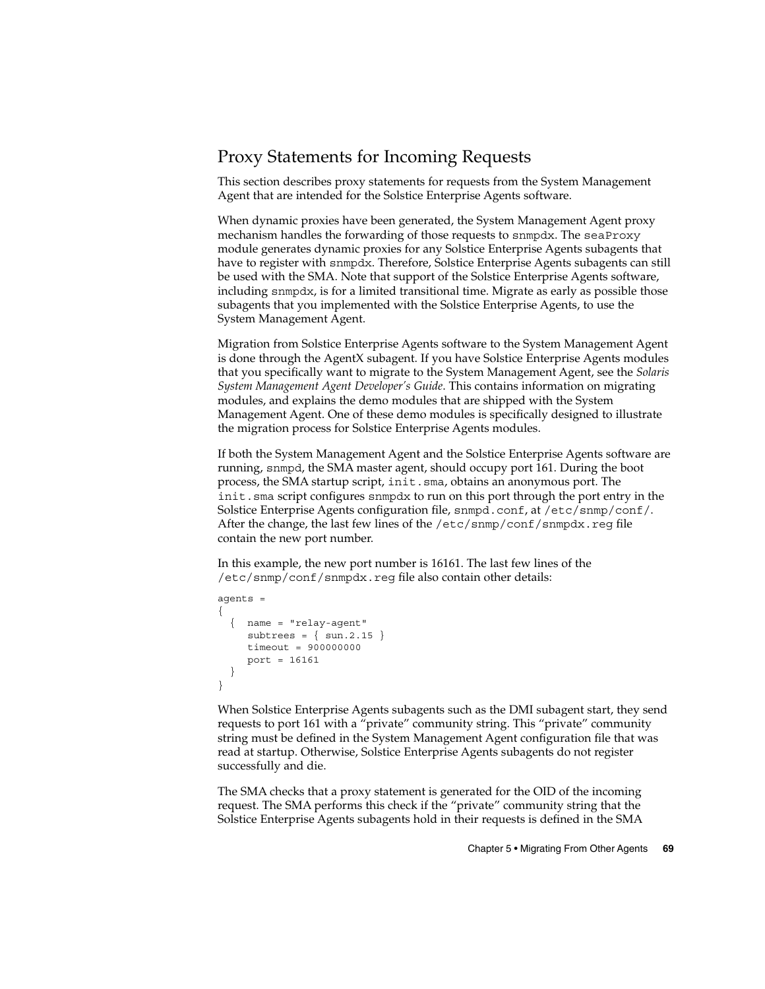### Proxy Statements for Incoming Requests

This section describes proxy statements for requests from the System Management Agent that are intended for the Solstice Enterprise Agents software.

When dynamic proxies have been generated, the System Management Agent proxy mechanism handles the forwarding of those requests to snmpdx. The seaProxy module generates dynamic proxies for any Solstice Enterprise Agents subagents that have to register with snmpdx. Therefore, Solstice Enterprise Agents subagents can still be used with the SMA. Note that support of the Solstice Enterprise Agents software, including snmpdx, is for a limited transitional time. Migrate as early as possible those subagents that you implemented with the Solstice Enterprise Agents, to use the System Management Agent.

Migration from Solstice Enterprise Agents software to the System Management Agent is done through the AgentX subagent. If you have Solstice Enterprise Agents modules that you specifically want to migrate to the System Management Agent, see the *Solaris System Management Agent Developer's Guide*. This contains information on migrating modules, and explains the demo modules that are shipped with the System Management Agent. One of these demo modules is specifically designed to illustrate the migration process for Solstice Enterprise Agents modules.

If both the System Management Agent and the Solstice Enterprise Agents software are running, snmpd, the SMA master agent, should occupy port 161. During the boot process, the SMA startup script, init. sma, obtains an anonymous port. The init. sma script configures snmpdx to run on this port through the port entry in the Solstice Enterprise Agents configuration file, snmpd.conf, at /etc/snmp/conf/. After the change, the last few lines of the /etc/snmp/conf/snmpdx.reg file contain the new port number.

In this example, the new port number is 16161. The last few lines of the /etc/snmp/conf/snmpdx.reg file also contain other details:

```
agents =
{
  { name = "relay-agent"
    subtrees = { sum.2.15 }timeout = 900000000
    port = 16161
  }
}
```
When Solstice Enterprise Agents subagents such as the DMI subagent start, they send requests to port 161 with a "private" community string. This "private" community string must be defined in the System Management Agent configuration file that was read at startup. Otherwise, Solstice Enterprise Agents subagents do not register successfully and die.

The SMA checks that a proxy statement is generated for the OID of the incoming request. The SMA performs this check if the "private" community string that the Solstice Enterprise Agents subagents hold in their requests is defined in the SMA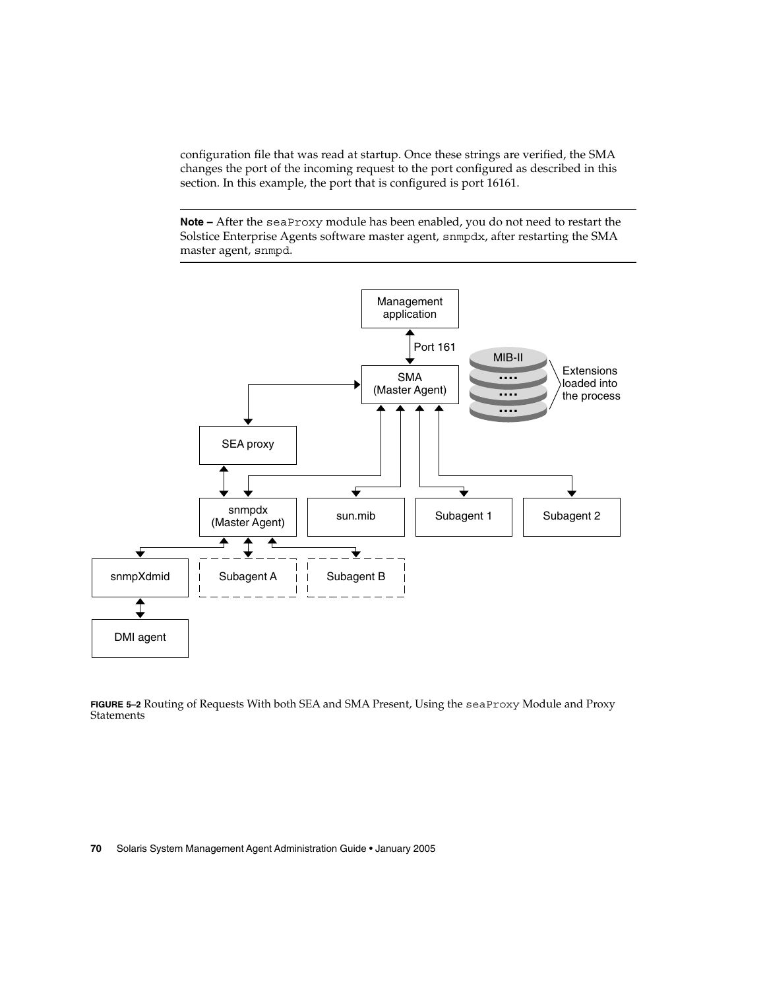configuration file that was read at startup. Once these strings are verified, the SMA changes the port of the incoming request to the port configured as described in this section. In this example, the port that is configured is port 16161.

**Note –** After the seaProxy module has been enabled, you do not need to restart the Solstice Enterprise Agents software master agent, snmpdx, after restarting the SMA master agent, snmpd.



**FIGURE 5–2** Routing of Requests With both SEA and SMA Present, Using the seaProxy Module and Proxy Statements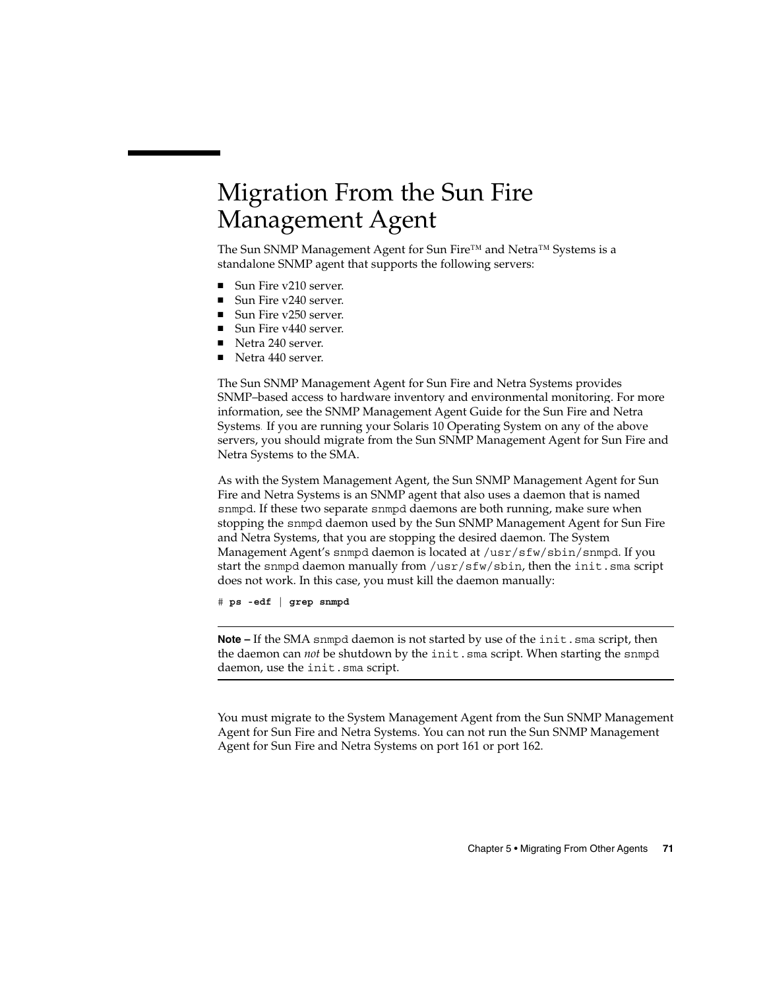# <span id="page-70-0"></span>Migration From the Sun Fire Management Agent

The Sun SNMP Management Agent for Sun Fire™ and Netra™ Systems is a standalone SNMP agent that supports the following servers:

- Sun Fire v210 server.
- Sun Fire v240 server.
- Sun Fire v250 server.
- Sun Fire v440 server.
- Netra 240 server.
- Netra 440 server.

The Sun SNMP Management Agent for Sun Fire and Netra Systems provides SNMP–based access to hardware inventory and environmental monitoring. For more information, see the [SNMP Management Agent Guide for the Sun Fire and Netra](http://www.sun.com/servers/entry/sun_management.html) [Systems.](http://www.sun.com/servers/entry/sun_management.html) If you are running your Solaris 10 Operating System on any of the above servers, you should migrate from the Sun SNMP Management Agent for Sun Fire and Netra Systems to the SMA.

As with the System Management Agent, the Sun SNMP Management Agent for Sun Fire and Netra Systems is an SNMP agent that also uses a daemon that is named snmpd. If these two separate snmpd daemons are both running, make sure when stopping the snmpd daemon used by the Sun SNMP Management Agent for Sun Fire and Netra Systems, that you are stopping the desired daemon. The System Management Agent's snmpd daemon is located at /usr/sfw/sbin/snmpd. If you start the snmpd daemon manually from /usr/sfw/sbin, then the init.sma script does not work. In this case, you must kill the daemon manually:

# **ps -edf | grep snmpd**

**Note** – If the SMA snmpd daemon is not started by use of the init. sma script, then the daemon can *not* be shutdown by the init.sma script. When starting the snmpd daemon, use the init.sma script.

You must migrate to the System Management Agent from the Sun SNMP Management Agent for Sun Fire and Netra Systems. You can not run the Sun SNMP Management Agent for Sun Fire and Netra Systems on port 161 or port 162.

Chapter 5 • Migrating From Other Agents **71**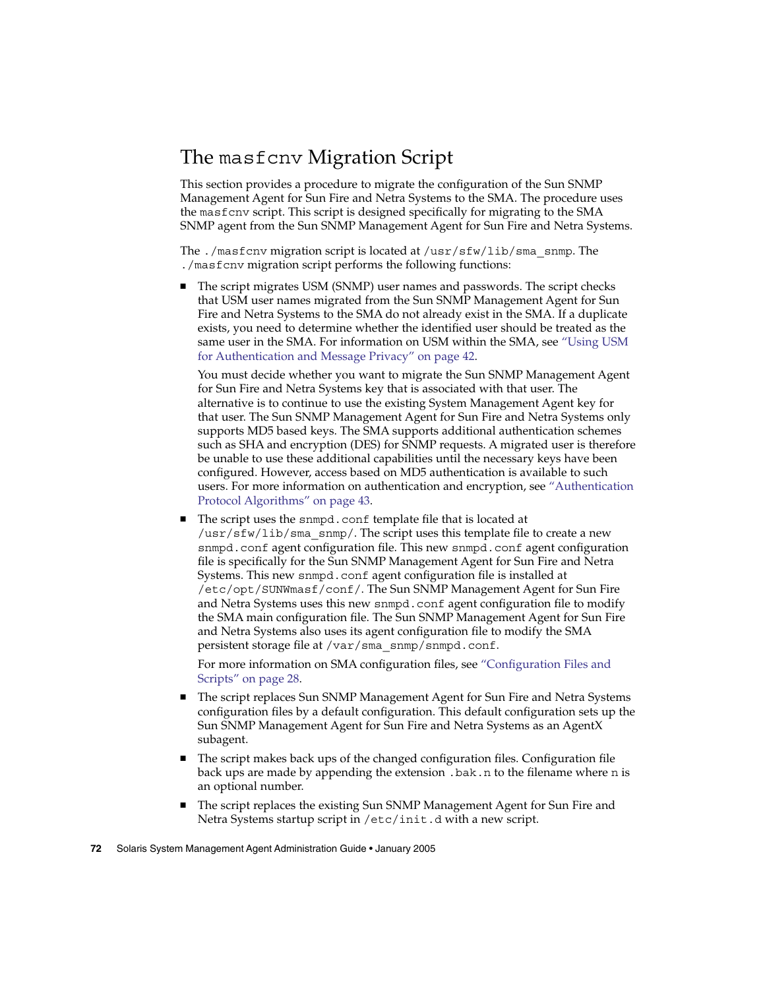# The masfcnv Migration Script

This section provides a procedure to migrate the configuration of the Sun SNMP Management Agent for Sun Fire and Netra Systems to the SMA. The procedure uses the masfcnv script. This script is designed specifically for migrating to the SMA SNMP agent from the Sun SNMP Management Agent for Sun Fire and Netra Systems.

The ./masfcnv migration script is located at /usr/sfw/lib/sma\_snmp. The ./masfcnv migration script performs the following functions:

The script migrates USM (SNMP) user names and passwords. The script checks that USM user names migrated from the Sun SNMP Management Agent for Sun Fire and Netra Systems to the SMA do not already exist in the SMA. If a duplicate exists, you need to determine whether the identified user should be treated as the same user in the SMA. For information on USM within the SMA, see ["Using USM](#page-41-0) [for Authentication and Message Privacy"](#page-41-0) on page 42.

You must decide whether you want to migrate the Sun SNMP Management Agent for Sun Fire and Netra Systems key that is associated with that user. The alternative is to continue to use the existing System Management Agent key for that user. The Sun SNMP Management Agent for Sun Fire and Netra Systems only supports MD5 based keys. The SMA supports additional authentication schemes such as SHA and encryption (DES) for SNMP requests. A migrated user is therefore be unable to use these additional capabilities until the necessary keys have been configured. However, access based on MD5 authentication is available to such users. For more information on authentication and encryption, see ["Authentication](#page-42-0) [Protocol Algorithms"](#page-42-0) on page 43.

■ The script uses the snmpd.conf template file that is located at /usr/sfw/lib/sma\_snmp/. The script uses this template file to create a new snmpd.conf agent configuration file. This new snmpd.conf agent configuration file is specifically for the Sun SNMP Management Agent for Sun Fire and Netra Systems. This new snmpd.conf agent configuration file is installed at /etc/opt/SUNWmasf/conf/. The Sun SNMP Management Agent for Sun Fire and Netra Systems uses this new snmpd.conf agent configuration file to modify the SMA main configuration file. The Sun SNMP Management Agent for Sun Fire and Netra Systems also uses its agent configuration file to modify the SMA persistent storage file at /var/sma\_snmp/snmpd.conf.

For more information on SMA configuration files, see ["Configuration Files and](#page-27-0) Scripts" [on page 28.](#page-27-0)

- The script replaces Sun SNMP Management Agent for Sun Fire and Netra Systems configuration files by a default configuration. This default configuration sets up the Sun SNMP Management Agent for Sun Fire and Netra Systems as an AgentX subagent.
- The script makes back ups of the changed configuration files. Configuration file back ups are made by appending the extension .bak.n to the filename where n is an optional number.
- The script replaces the existing Sun SNMP Management Agent for Sun Fire and Netra Systems startup script in /etc/init.d with a new script.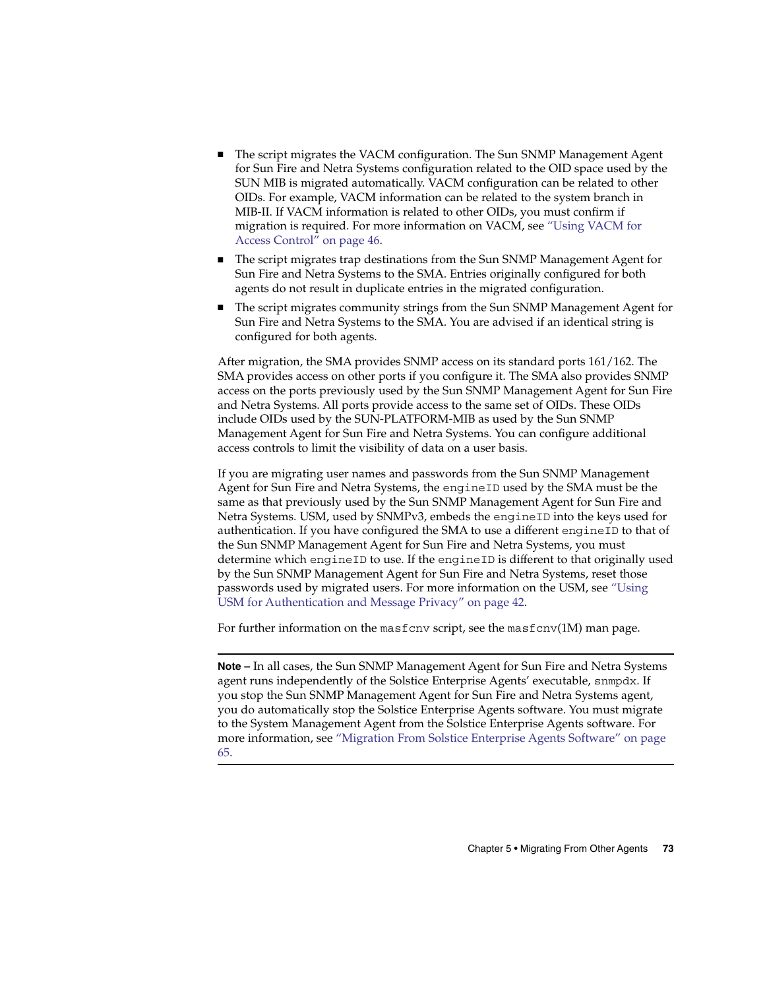- <span id="page-72-0"></span>The script migrates the VACM configuration. The Sun SNMP Management Agent for Sun Fire and Netra Systems configuration related to the OID space used by the SUN MIB is migrated automatically. VACM configuration can be related to other OIDs. For example, VACM information can be related to the system branch in MIB-II. If VACM information is related to other OIDs, you must confirm if migration is required. For more information on VACM, see ["Using VACM for](#page-45-0) [Access Control"](#page-45-0) on page 46.
- The script migrates trap destinations from the Sun SNMP Management Agent for Sun Fire and Netra Systems to the SMA. Entries originally configured for both agents do not result in duplicate entries in the migrated configuration.
- The script migrates community strings from the Sun SNMP Management Agent for Sun Fire and Netra Systems to the SMA. You are advised if an identical string is configured for both agents.

After migration, the SMA provides SNMP access on its standard ports 161/162. The SMA provides access on other ports if you configure it. The SMA also provides SNMP access on the ports previously used by the Sun SNMP Management Agent for Sun Fire and Netra Systems. All ports provide access to the same set of OIDs. These OIDs include OIDs used by the SUN-PLATFORM-MIB as used by the Sun SNMP Management Agent for Sun Fire and Netra Systems. You can configure additional access controls to limit the visibility of data on a user basis.

If you are migrating user names and passwords from the Sun SNMP Management Agent for Sun Fire and Netra Systems, the engineID used by the SMA must be the same as that previously used by the Sun SNMP Management Agent for Sun Fire and Netra Systems. USM, used by SNMPv3, embeds the engineID into the keys used for authentication. If you have configured the SMA to use a different engineID to that of the Sun SNMP Management Agent for Sun Fire and Netra Systems, you must determine which engineID to use. If the engineID is different to that originally used by the Sun SNMP Management Agent for Sun Fire and Netra Systems, reset those passwords used by migrated users. For more information on the USM, see ["Using](#page-41-0) [USM for Authentication and Message Privacy"](#page-41-0) on page 42.

For further information on the masfcnv script, see the masfcnv(1M) man page.

**Note –** In all cases, the Sun SNMP Management Agent for Sun Fire and Netra Systems agent runs independently of the Solstice Enterprise Agents' executable, snmpdx. If you stop the Sun SNMP Management Agent for Sun Fire and Netra Systems agent, you do automatically stop the Solstice Enterprise Agents software. You must migrate to the System Management Agent from the Solstice Enterprise Agents software. For more information, see ["Migration From Solstice Enterprise Agents Software"](#page-64-0) on page [65.](#page-64-0)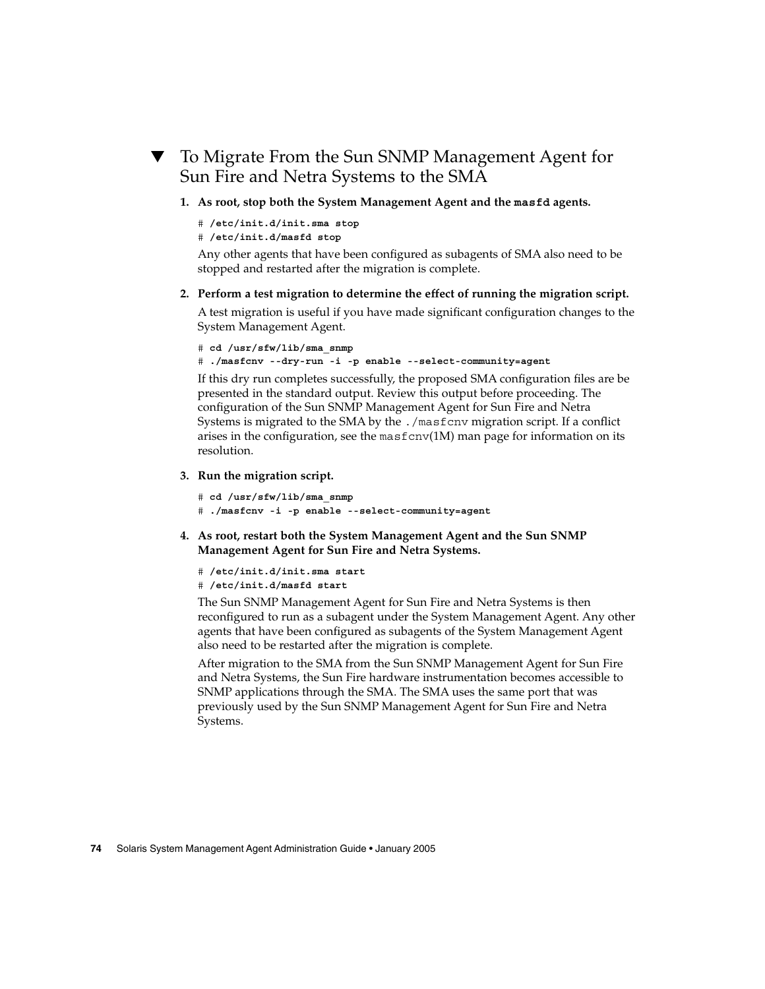# To Migrate From the Sun SNMP Management Agent for Sun Fire and Netra Systems to the SMA

- **1. As root, stop both the System Management Agent and the masfd agents.**
	- # **/etc/init.d/init.sma stop**
	- # **/etc/init.d/masfd stop**

Any other agents that have been configured as subagents of SMA also need to be stopped and restarted after the migration is complete.

**2. Perform a test migration to determine the effect of running the migration script.**

A test migration is useful if you have made significant configuration changes to the System Management Agent.

```
# cd /usr/sfw/lib/sma_snmp
# ./masfcnv --dry-run -i -p enable --select-community=agent
```
If this dry run completes successfully, the proposed SMA configuration files are be presented in the standard output. Review this output before proceeding. The configuration of the Sun SNMP Management Agent for Sun Fire and Netra Systems is migrated to the SMA by the ./masfcnv migration script. If a conflict arises in the configuration, see the masfcnv(1M) man page for information on its resolution.

**3. Run the migration script.**

```
# cd /usr/sfw/lib/sma_snmp
```
- # **./masfcnv -i -p enable --select-community=agent**
- **4. As root, restart both the System Management Agent and the Sun SNMP Management Agent for Sun Fire and Netra Systems.**
	- # **/etc/init.d/init.sma start**
	- # **/etc/init.d/masfd start**

The Sun SNMP Management Agent for Sun Fire and Netra Systems is then reconfigured to run as a subagent under the System Management Agent. Any other agents that have been configured as subagents of the System Management Agent also need to be restarted after the migration is complete.

After migration to the SMA from the Sun SNMP Management Agent for Sun Fire and Netra Systems, the Sun Fire hardware instrumentation becomes accessible to SNMP applications through the SMA. The SMA uses the same port that was previously used by the Sun SNMP Management Agent for Sun Fire and Netra Systems.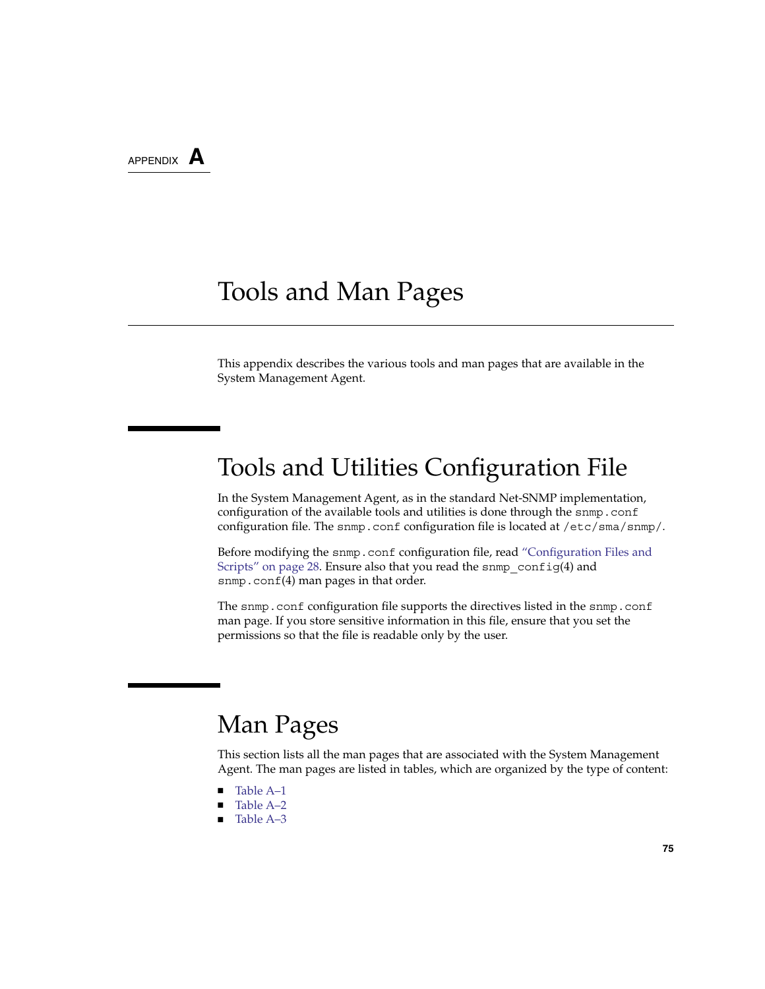APPENDIX **A**

# Tools and Man Pages

This appendix describes the various tools and man pages that are available in the System Management Agent.

# Tools and Utilities Configuration File

In the System Management Agent, as in the standard Net-SNMP implementation, configuration of the available tools and utilities is done through the snmp.conf configuration file. The snmp.conf configuration file is located at /etc/sma/snmp/.

Before modifying the snmp.conf configuration file, read ["Configuration Files and](#page-27-0) Scripts" [on page 28.](#page-27-0) Ensure also that you read the snmp\_config(4) and snmp.conf(4) man pages in that order.

The snmp.conf configuration file supports the directives listed in the snmp.conf man page. If you store sensitive information in this file, ensure that you set the permissions so that the file is readable only by the user.

# Man Pages

This section lists all the man pages that are associated with the System Management Agent. The man pages are listed in tables, which are organized by the type of content:

- [Table A–1](#page-75-0)
- [Table A–2](#page-75-0)
- [Table A–3](#page-77-0)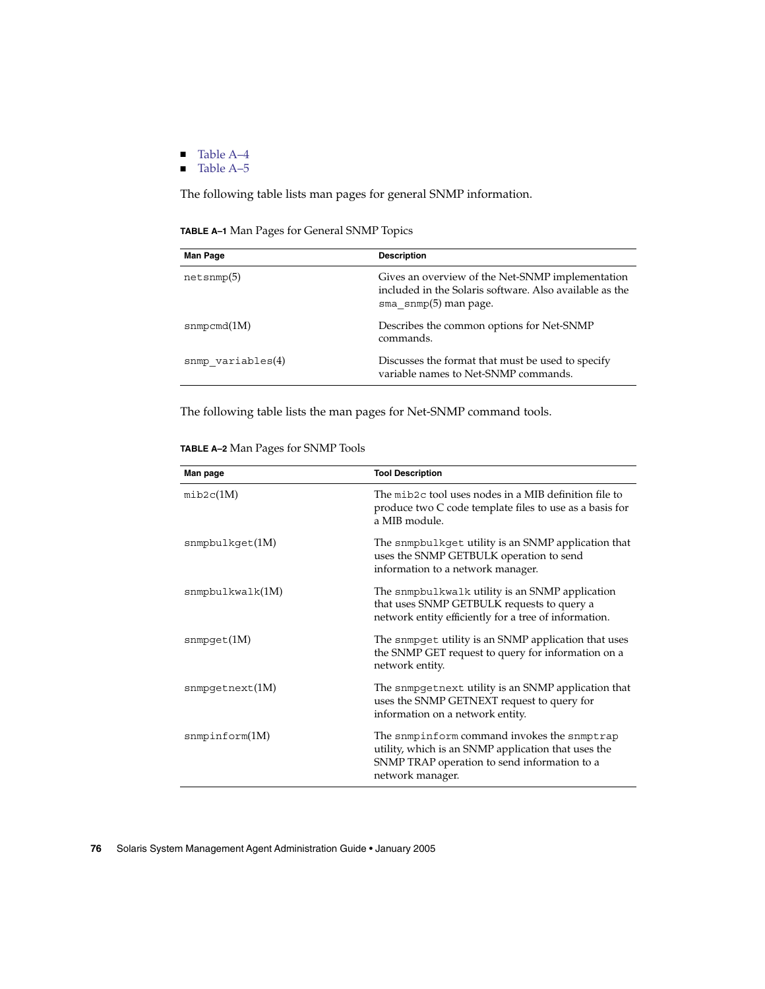- <span id="page-75-0"></span>■ Table A<sup>-4</sup>
- [Table A–5](#page-78-0)

The following table lists man pages for general SNMP information.

**TABLE A–1** Man Pages for General SNMP Topics

| <b>Man Page</b>         | <b>Description</b>                                                                                                                            |
|-------------------------|-----------------------------------------------------------------------------------------------------------------------------------------------|
| netsnmp(5)              | Gives an overview of the Net-SNMP implementation<br>included in the Solaris software. Also available as the<br>$s$ ma $s$ nmp $(5)$ man page. |
| $s$ nmpcmd $(1M)$       | Describes the common options for Net-SNMP<br>commands.                                                                                        |
| $s$ nmp variables $(4)$ | Discusses the format that must be used to specify<br>variable names to Net-SNMP commands.                                                     |

The following table lists the man pages for Net-SNMP command tools.

| <b>TABLE A-2</b> Man Pages for SNMP Tools |  |  |  |  |  |
|-------------------------------------------|--|--|--|--|--|
|-------------------------------------------|--|--|--|--|--|

| Man page              | <b>Tool Description</b>                                                                                                                                                |
|-----------------------|------------------------------------------------------------------------------------------------------------------------------------------------------------------------|
| mib2c(1M)             | The mib2c tool uses nodes in a MIB definition file to<br>produce two C code template files to use as a basis for<br>a MIB module.                                      |
| $s$ nmpbulkget $(1M)$ | The snmpbulkget utility is an SNMP application that<br>uses the SNMP GETBULK operation to send<br>information to a network manager.                                    |
| snmpbulkwalk(1M)      | The snmpbulkwalk utility is an SNMP application<br>that uses SNMP GETBULK requests to query a<br>network entity efficiently for a tree of information.                 |
| $s$ nmpqet $(1M)$     | The snmpget utility is an SNMP application that uses<br>the SNMP GET request to query for information on a<br>network entity.                                          |
| $s$ nmpgetnext $(1M)$ | The snmpgetnext utility is an SNMP application that<br>uses the SNMP GETNEXT request to query for<br>information on a network entity.                                  |
| $s$ nmpinform $(1M)$  | The snmpinform command invokes the snmptrap<br>utility, which is an SNMP application that uses the<br>SNMP TRAP operation to send information to a<br>network manager. |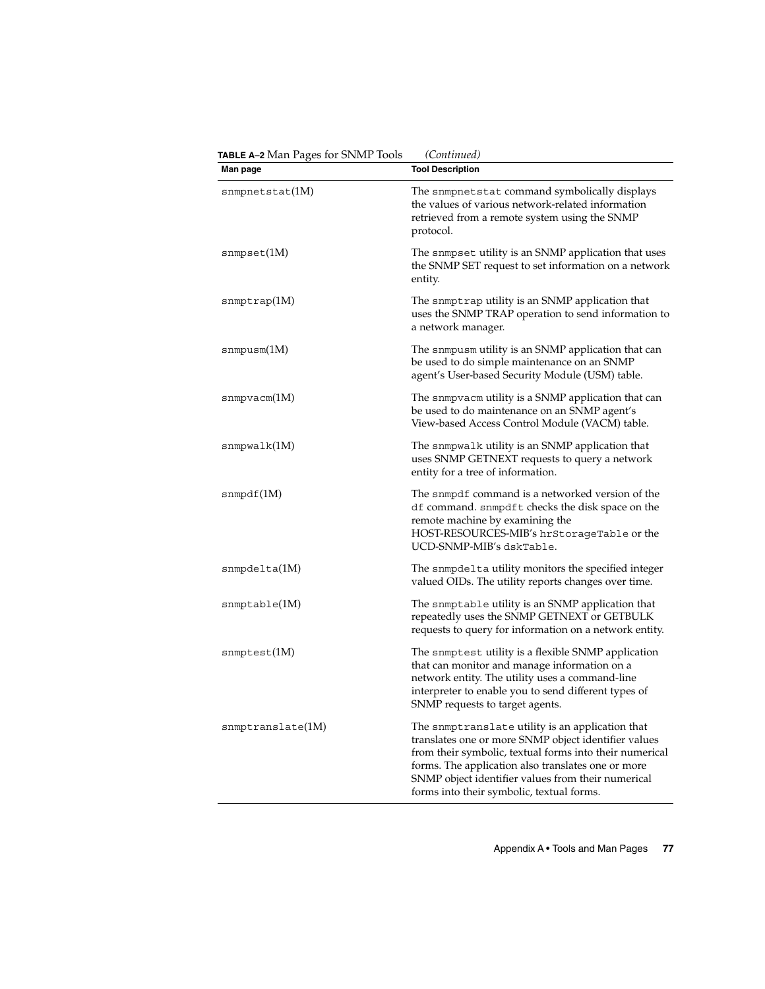| TABLE A-2 Man Pages for SNMP Tools<br>Man page | <b>Tool Description</b>                                                                                                                                                                                                                                                                                                      |
|------------------------------------------------|------------------------------------------------------------------------------------------------------------------------------------------------------------------------------------------------------------------------------------------------------------------------------------------------------------------------------|
| $s$ nmpnetstat $(M)$                           | The snmpnetstat command symbolically displays<br>the values of various network-related information<br>retrieved from a remote system using the SNMP<br>protocol.                                                                                                                                                             |
| $s$ nmpset $(1M)$                              | The snmpset utility is an SNMP application that uses<br>the SNMP SET request to set information on a network<br>entity.                                                                                                                                                                                                      |
| $s$ nmptrap $(1M)$                             | The snmptrap utility is an SNMP application that<br>uses the SNMP TRAP operation to send information to<br>a network manager.                                                                                                                                                                                                |
| $s$ nmpusm $(1M)$                              | The snmpusm utility is an SNMP application that can<br>be used to do simple maintenance on an SNMP<br>agent's User-based Security Module (USM) table.                                                                                                                                                                        |
| snmpvacm(1M)                                   | The snmpvacm utility is a SNMP application that can<br>be used to do maintenance on an SNMP agent's<br>View-based Access Control Module (VACM) table.                                                                                                                                                                        |
| $s$ nmpwalk $(M)$                              | The snmpwalk utility is an SNMP application that<br>uses SNMP GETNEXT requests to query a network<br>entity for a tree of information.                                                                                                                                                                                       |
| $s$ nmpd $f(1M)$                               | The snmpdf command is a networked version of the<br>df command. snmpdft checks the disk space on the<br>remote machine by examining the<br>HOST-RESOURCES-MIB's hrStorageTable or the<br>UCD-SNMP-MIB's dskTable.                                                                                                            |
| $s$ nmpdelta $(1M)$                            | The snmpdelta utility monitors the specified integer<br>valued OIDs. The utility reports changes over time.                                                                                                                                                                                                                  |
| $s$ nmptable $(1M)$                            | The snmptable utility is an SNMP application that<br>repeatedly uses the SNMP GETNEXT or GETBULK<br>requests to query for information on a network entity.                                                                                                                                                                   |
| $s$ nmptest $(1M)$                             | The snmptest utility is a flexible SNMP application<br>that can monitor and manage information on a<br>network entity. The utility uses a command-line<br>interpreter to enable you to send different types of<br>SNMP requests to target agents.                                                                            |
| $s$ nmptranslate $(1M)$                        | The snmptranslate utility is an application that<br>translates one or more SNMP object identifier values<br>from their symbolic, textual forms into their numerical<br>forms. The application also translates one or more<br>SNMP object identifier values from their numerical<br>forms into their symbolic, textual forms. |

Appendix A • Tools and Man Pages **77**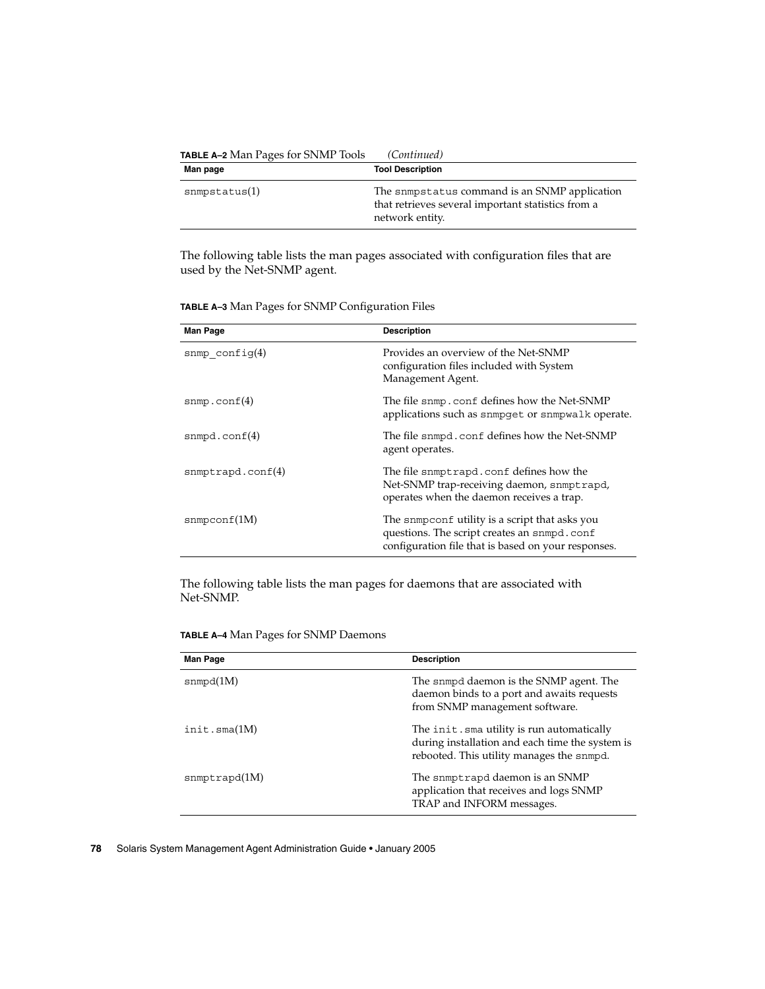<span id="page-77-0"></span>

| TABLE A-2 Man Pages for SNMP Tools | (Continued)                                                                                                            |
|------------------------------------|------------------------------------------------------------------------------------------------------------------------|
| Man page                           | <b>Tool Description</b>                                                                                                |
| sumpstate(s(1)                     | The snmpstatus command is an SNMP application<br>that retrieves several important statistics from a<br>network entity. |

The following table lists the man pages associated with configuration files that are used by the Net-SNMP agent.

**TABLE A–3** Man Pages for SNMP Configuration Files

| <b>Man Page</b>         | <b>Description</b>                                                                                                                                   |
|-------------------------|------------------------------------------------------------------------------------------------------------------------------------------------------|
| $s$ nmp config $(4)$    | Provides an overview of the Net-SNMP<br>configuration files included with System<br>Management Agent.                                                |
| $s$ nmp.con $f(4)$      | The file snmp.conf defines how the Net-SNMP<br>applications such as snmpget or snmpwalk operate.                                                     |
| $s$ nmpd.con $f(4)$     | The file snmpd.conf defines how the Net-SNMP<br>agent operates.                                                                                      |
| $s$ nmptrapd.conf $(4)$ | The file snmptrapd.conf defines how the<br>Net-SNMP trap-receiving daemon, snmptrapd,<br>operates when the daemon receives a trap.                   |
| $smm$ conf $(1M)$       | The snmpconf utility is a script that asks you<br>questions. The script creates an snmpd.conf<br>configuration file that is based on your responses. |

The following table lists the man pages for daemons that are associated with Net-SNMP.

**TABLE A–4** Man Pages for SNMP Daemons

| <b>Man Page</b>       | <b>Description</b>                                                                                                                         |
|-----------------------|--------------------------------------------------------------------------------------------------------------------------------------------|
| $s$ nmpd $(1M)$       | The snmpd daemon is the SNMP agent. The<br>daemon binds to a port and awaits requests<br>from SNMP management software.                    |
| $init.\text{sma}(1M)$ | The init. sma utility is run automatically<br>during installation and each time the system is<br>rebooted. This utility manages the snmpd. |
| snmptrapd(M)          | The snmptrapd daemon is an SNMP<br>application that receives and logs SNMP<br>TRAP and INFORM messages.                                    |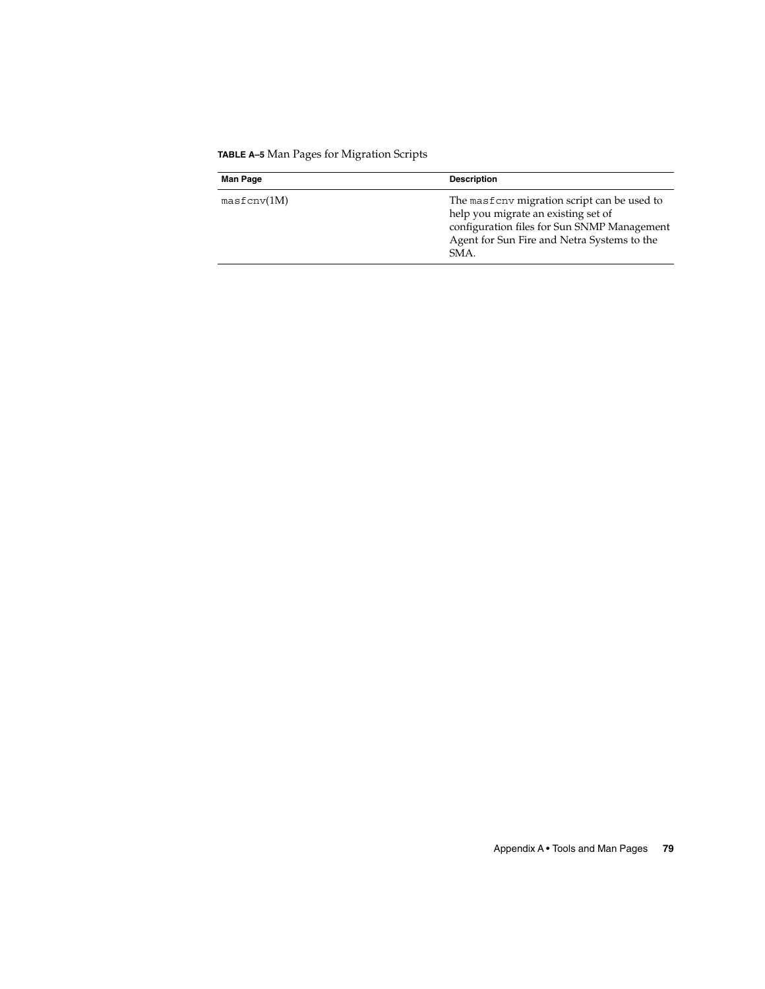# <span id="page-78-0"></span>**TABLE A–5** Man Pages for Migration Scripts

| <b>Man Page</b>      | <b>Description</b>                                                                                                                                                                        |
|----------------------|-------------------------------------------------------------------------------------------------------------------------------------------------------------------------------------------|
| $\text{masfcnv}(1M)$ | The masf cnv migration script can be used to<br>help you migrate an existing set of<br>configuration files for Sun SNMP Management<br>Agent for Sun Fire and Netra Systems to the<br>SMA. |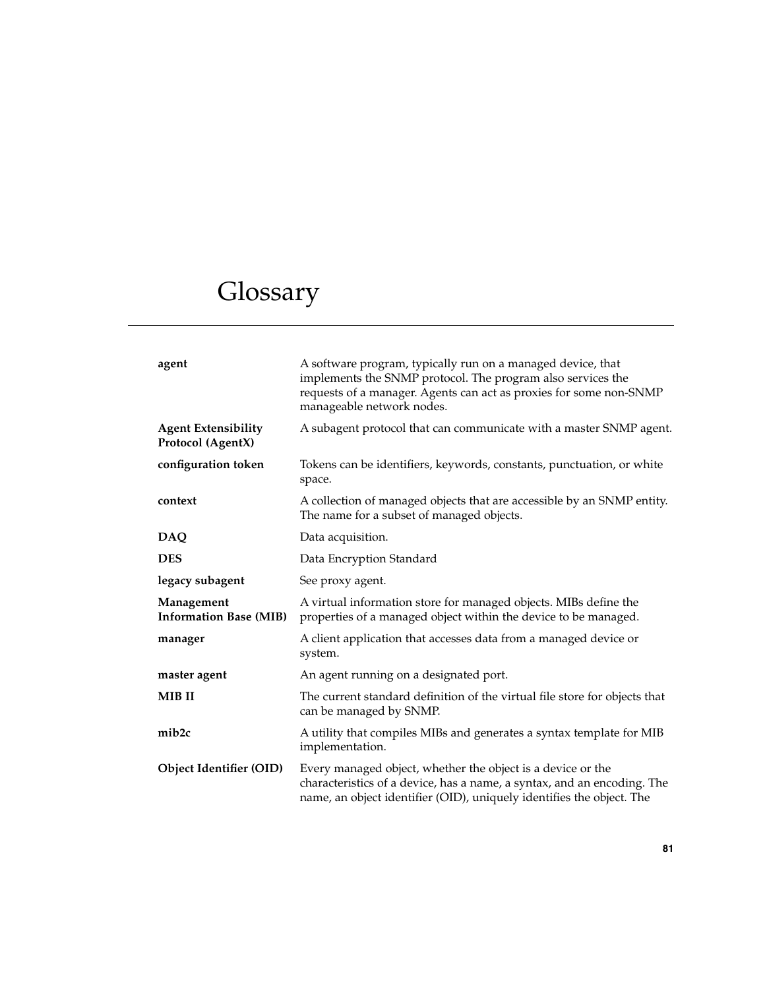# Glossary

| agent                                           | A software program, typically run on a managed device, that<br>implements the SNMP protocol. The program also services the<br>requests of a manager. Agents can act as proxies for some non-SNMP<br>manageable network nodes. |
|-------------------------------------------------|-------------------------------------------------------------------------------------------------------------------------------------------------------------------------------------------------------------------------------|
| <b>Agent Extensibility</b><br>Protocol (AgentX) | A subagent protocol that can communicate with a master SNMP agent.                                                                                                                                                            |
| configuration token                             | Tokens can be identifiers, keywords, constants, punctuation, or white<br>space.                                                                                                                                               |
| context                                         | A collection of managed objects that are accessible by an SNMP entity.<br>The name for a subset of managed objects.                                                                                                           |
| <b>DAQ</b>                                      | Data acquisition.                                                                                                                                                                                                             |
| <b>DES</b>                                      | Data Encryption Standard                                                                                                                                                                                                      |
| legacy subagent                                 | See proxy agent.                                                                                                                                                                                                              |
| Management<br><b>Information Base (MIB)</b>     | A virtual information store for managed objects. MIBs define the<br>properties of a managed object within the device to be managed.                                                                                           |
| manager                                         | A client application that accesses data from a managed device or<br>system.                                                                                                                                                   |
| master agent                                    | An agent running on a designated port.                                                                                                                                                                                        |
| <b>MIBII</b>                                    | The current standard definition of the virtual file store for objects that<br>can be managed by SNMP.                                                                                                                         |
| mib <sub>2c</sub>                               | A utility that compiles MIBs and generates a syntax template for MIB<br>implementation.                                                                                                                                       |
| Object Identifier (OID)                         | Every managed object, whether the object is a device or the<br>characteristics of a device, has a name, a syntax, and an encoding. The<br>name, an object identifier (OID), uniquely identifies the object. The               |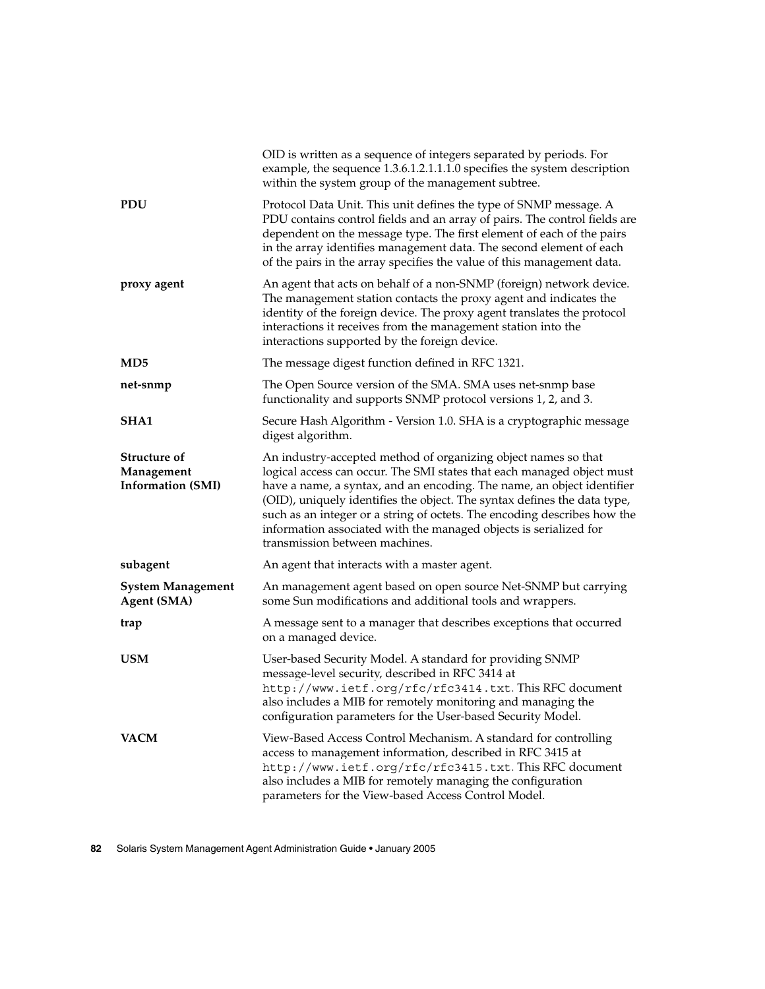|                                                        | OID is written as a sequence of integers separated by periods. For<br>example, the sequence 1.3.6.1.2.1.1.1.0 specifies the system description<br>within the system group of the management subtree.                                                                                                                                                                                                                                                                              |
|--------------------------------------------------------|-----------------------------------------------------------------------------------------------------------------------------------------------------------------------------------------------------------------------------------------------------------------------------------------------------------------------------------------------------------------------------------------------------------------------------------------------------------------------------------|
| <b>PDU</b>                                             | Protocol Data Unit. This unit defines the type of SNMP message. A<br>PDU contains control fields and an array of pairs. The control fields are<br>dependent on the message type. The first element of each of the pairs<br>in the array identifies management data. The second element of each<br>of the pairs in the array specifies the value of this management data.                                                                                                          |
| proxy agent                                            | An agent that acts on behalf of a non-SNMP (foreign) network device.<br>The management station contacts the proxy agent and indicates the<br>identity of the foreign device. The proxy agent translates the protocol<br>interactions it receives from the management station into the<br>interactions supported by the foreign device.                                                                                                                                            |
| MD <sub>5</sub>                                        | The message digest function defined in RFC 1321.                                                                                                                                                                                                                                                                                                                                                                                                                                  |
| net-snmp                                               | The Open Source version of the SMA. SMA uses net-snmp base<br>functionality and supports SNMP protocol versions 1, 2, and 3.                                                                                                                                                                                                                                                                                                                                                      |
| SHA1                                                   | Secure Hash Algorithm - Version 1.0. SHA is a cryptographic message<br>digest algorithm.                                                                                                                                                                                                                                                                                                                                                                                          |
| Structure of<br>Management<br><b>Information (SMI)</b> | An industry-accepted method of organizing object names so that<br>logical access can occur. The SMI states that each managed object must<br>have a name, a syntax, and an encoding. The name, an object identifier<br>(OID), uniquely identifies the object. The syntax defines the data type,<br>such as an integer or a string of octets. The encoding describes how the<br>information associated with the managed objects is serialized for<br>transmission between machines. |
| subagent                                               | An agent that interacts with a master agent.                                                                                                                                                                                                                                                                                                                                                                                                                                      |
| <b>System Management</b><br>Agent (SMA)                | An management agent based on open source Net-SNMP but carrying<br>some Sun modifications and additional tools and wrappers.                                                                                                                                                                                                                                                                                                                                                       |
| trap                                                   | A message sent to a manager that describes exceptions that occurred<br>on a managed device.                                                                                                                                                                                                                                                                                                                                                                                       |
| <b>USM</b>                                             | User-based Security Model. A standard for providing SNMP<br>message-level security, described in RFC 3414 at<br>http://www.ietf.org/rfc/rfc3414.txt.This RFC document<br>also includes a MIB for remotely monitoring and managing the<br>configuration parameters for the User-based Security Model.                                                                                                                                                                              |
| <b>VACM</b>                                            | View-Based Access Control Mechanism. A standard for controlling<br>access to management information, described in RFC 3415 at<br>http://www.ietf.org/rfc/rfc3415.txt.This RFC document<br>also includes a MIB for remotely managing the configuration<br>parameters for the View-based Access Control Model.                                                                                                                                                                      |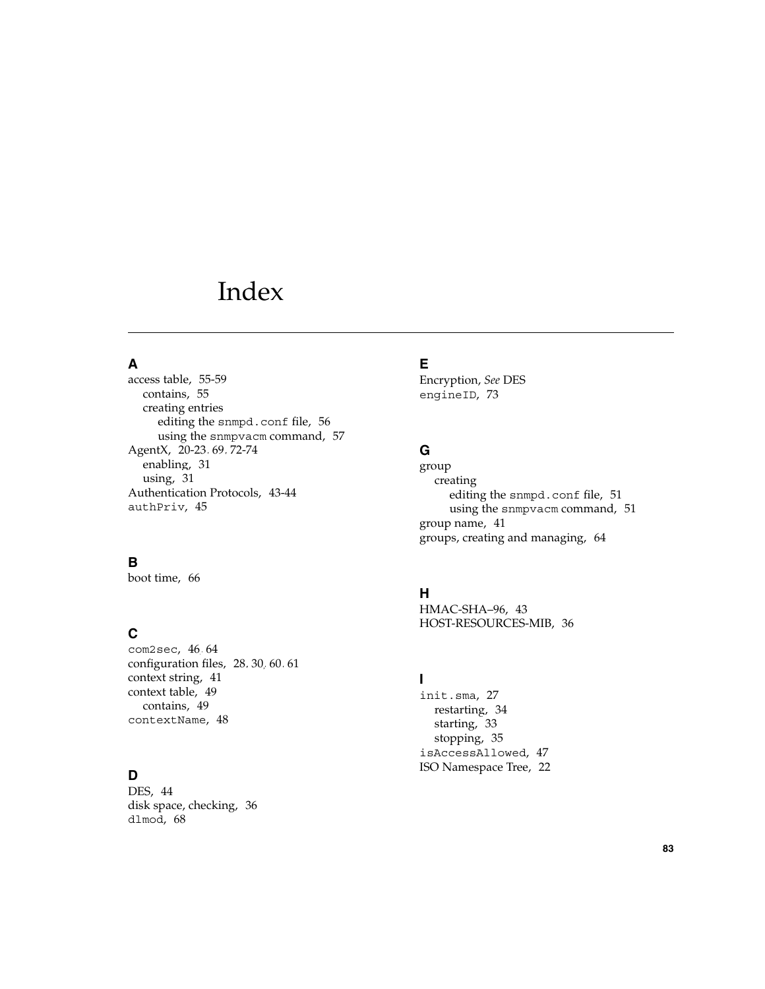# Index

## **A**

access table, [55-59](#page-54-0) contains, [55](#page-54-0) creating entries editing the snmpd.conf file, [56](#page-55-0) using the snmpvacm command, [57](#page-56-0) AgentX, [20-23,](#page-19-0) [69,](#page-68-0) [72-74](#page-71-0) enabling, [31](#page-30-0) using, [31](#page-30-0) Authentication Protocols, [43-44](#page-42-0) authPriv, [45](#page-44-0)

#### **B**

boot time, [66](#page-65-0)

# **C**

com2sec, [46,](#page-45-0) [64](#page-63-0) configuration files, [28,](#page-27-0) [30,](#page-29-0) [60,](#page-59-0) [61](#page-60-0) context string, [41](#page-40-0) context table, [49](#page-48-0) contains, [49](#page-48-0) contextName, [48](#page-47-0)

# **D**

DES, [44](#page-43-0) disk space, checking, [36](#page-35-0) dlmod, [68](#page-67-0)

## **E**

Encryption, *See* DES engineID, [73](#page-72-0)

# **G**

group creating editing the snmpd.conf file, [51](#page-50-0) using the snmpvacm command, [51](#page-50-0) group name, [41](#page-40-0) groups, creating and managing, [64](#page-63-0)

#### **H**

HMAC-SHA–96, [43](#page-42-0) HOST-RESOURCES-MIB, [36](#page-35-0)

### **I**

init.sma, [27](#page-26-0) restarting, [34](#page-33-0) starting, [33](#page-32-0) stopping, [35](#page-34-0) isAccessAllowed, [47](#page-46-0) ISO Namespace Tree, [22](#page-21-0)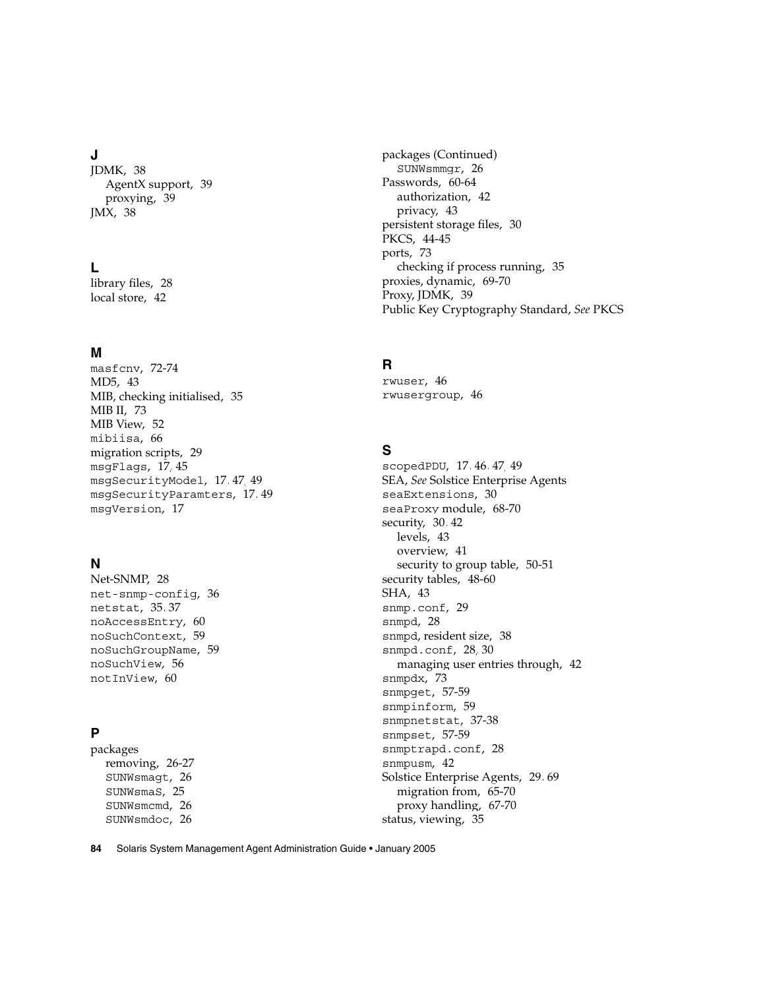#### **J**

JDMK, [38](#page-37-0) AgentX support, [39](#page-38-0) proxying, [39](#page-38-0) JMX, [38](#page-37-0)

#### **L**

library files, [28](#page-27-0) local store, [42](#page-41-0)

#### **M**

masfcnv, [72-74](#page-71-0) MD5, [43](#page-42-0) MIB, checking initialised, [35](#page-34-0) MIB II, [73](#page-72-0) MIB View, [52](#page-51-0) mibiisa, [66](#page-65-0) migration scripts, [29](#page-28-0) msgFlags, [17,](#page-16-0) [45](#page-44-0) msgSecurityModel, [17,](#page-16-0) [47,](#page-46-0) [49](#page-48-0) msgSecurityParamters, [17,](#page-16-0) [49](#page-48-0) msgVersion, [17](#page-16-0)

#### **N**

Net-SNMP, [28](#page-27-0) net-snmp-config, [36](#page-35-0) netstat, [35,](#page-34-0) [37](#page-36-0) noAccessEntry, [60](#page-59-0) noSuchContext, [59](#page-58-0) noSuchGroupName, [59](#page-58-0) noSuchView, [56](#page-55-0) notInView, [60](#page-59-0)

#### **P**

packages removing, [26-27](#page-25-0) SUNWsmagt, [26](#page-25-0) SUNWsmaS, [25](#page-24-0) SUNWsmcmd, [26](#page-25-0) SUNWsmdoc, [26](#page-25-0)

packages (Continued) SUNWsmmgr, [26](#page-25-0) Passwords, [60-64](#page-59-0) authorization, [42](#page-41-0) privacy, [43](#page-42-0) persistent storage files, [30](#page-29-0) PKCS, [44-45](#page-43-0) ports, [73](#page-72-0) checking if process running, [35](#page-34-0) proxies, dynamic, [69-70](#page-68-0) Proxy, JDMK, [39](#page-38-0) Public Key Cryptography Standard, *See* PKCS

#### **R**

rwuser, [46](#page-45-0) rwusergroup, [46](#page-45-0)

#### **S**

scopedPDU, [17,](#page-16-0) [46,](#page-45-0) [47,](#page-46-0) [49](#page-48-0) SEA, *See* Solstice Enterprise Agents seaExtensions, [30](#page-29-0) seaProxy module, [68-70](#page-67-0) security, [30,](#page-29-0) [42](#page-41-0) levels, [43](#page-42-0) overview, [41](#page-40-0) security to group table, [50-51](#page-49-0) security tables, [48-60](#page-47-0) SHA, [43](#page-42-0) snmp.conf, [29](#page-28-0) snmpd, [28](#page-27-0) snmpd, resident size, [38](#page-37-0) snmpd.conf, [28,](#page-27-0) [30](#page-29-0) managing user entries through, [42](#page-41-0) snmpdx, [73](#page-72-0) snmpget, [57-59](#page-56-0) snmpinform, [59](#page-58-0) snmpnetstat, [37-38](#page-36-0) snmpset, [57-59](#page-56-0) snmptrapd.conf, [28](#page-27-0) snmpusm, [42](#page-41-0) Solstice Enterprise Agents, [29,](#page-28-0) [69](#page-68-0) migration from, [65-70](#page-64-0) proxy handling, [67-70](#page-66-0) status, viewing, [35](#page-34-0)